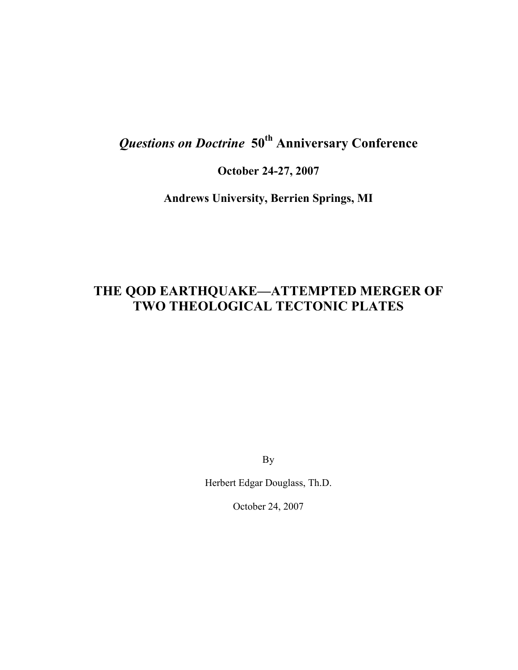# Questions on Doctrine 50<sup>th</sup> Anniversary Conference

October 24-27, 2007

Andrews University, Berrien Springs, MI

# THE QOD EARTHQUAKE—ATTEMPTED MERGER OF TWO THEOLOGICAL TECTONIC PLATES

By

Herbert Edgar Douglass, Th.D.

October 24, 2007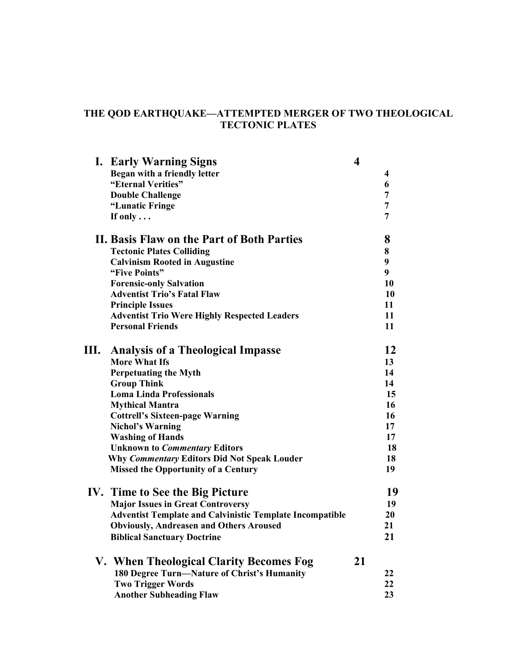# THE QOD EARTHQUAKE—ATTEMPTED MERGER OF TWO THEOLOGICAL TECTONIC PLATES

|    | <b>I. Early Warning Signs</b>                                   | 4  | 4  |
|----|-----------------------------------------------------------------|----|----|
|    | Began with a friendly letter<br>"Eternal Verities"              |    | 6  |
|    | <b>Double Challenge</b>                                         |    | 7  |
|    | "Lunatic Fringe                                                 |    | 7  |
|    | If only $\ldots$                                                |    | 7  |
|    | II. Basis Flaw on the Part of Both Parties                      |    | 8  |
|    | <b>Tectonic Plates Colliding</b>                                |    | 8  |
|    | <b>Calvinism Rooted in Augustine</b>                            |    | 9  |
|    | "Five Points"                                                   |    | 9  |
|    | <b>Forensic-only Salvation</b>                                  |    | 10 |
|    | <b>Adventist Trio's Fatal Flaw</b>                              |    | 10 |
|    | <b>Principle Issues</b>                                         |    | 11 |
|    | <b>Adventist Trio Were Highly Respected Leaders</b>             |    | 11 |
|    | <b>Personal Friends</b>                                         |    | 11 |
| Ш. | <b>Analysis of a Theological Impasse</b>                        |    | 12 |
|    | <b>More What Ifs</b>                                            |    | 13 |
|    | <b>Perpetuating the Myth</b>                                    |    | 14 |
|    | <b>Group Think</b>                                              |    | 14 |
|    | <b>Loma Linda Professionals</b>                                 |    | 15 |
|    | <b>Mythical Mantra</b>                                          |    | 16 |
|    | <b>Cottrell's Sixteen-page Warning</b>                          |    | 16 |
|    | <b>Nichol's Warning</b>                                         |    | 17 |
|    | <b>Washing of Hands</b>                                         |    | 17 |
|    | <b>Unknown to Commentary Editors</b>                            |    | 18 |
|    | Why Commentary Editors Did Not Speak Louder                     |    | 18 |
|    | <b>Missed the Opportunity of a Century</b>                      |    | 19 |
|    | IV. Time to See the Big Picture                                 |    | 19 |
|    | <b>Major Issues in Great Controversy</b>                        |    | 19 |
|    | <b>Adventist Template and Calvinistic Template Incompatible</b> |    | 20 |
|    | <b>Obviously, Andreasen and Others Aroused</b>                  |    | 21 |
|    | <b>Biblical Sanctuary Doctrine</b>                              |    | 21 |
|    | V. When Theological Clarity Becomes Fog                         | 21 |    |
|    | 180 Degree Turn-Nature of Christ's Humanity                     |    | 22 |
|    | <b>Two Trigger Words</b>                                        |    | 22 |
|    | <b>Another Subheading Flaw</b>                                  |    | 23 |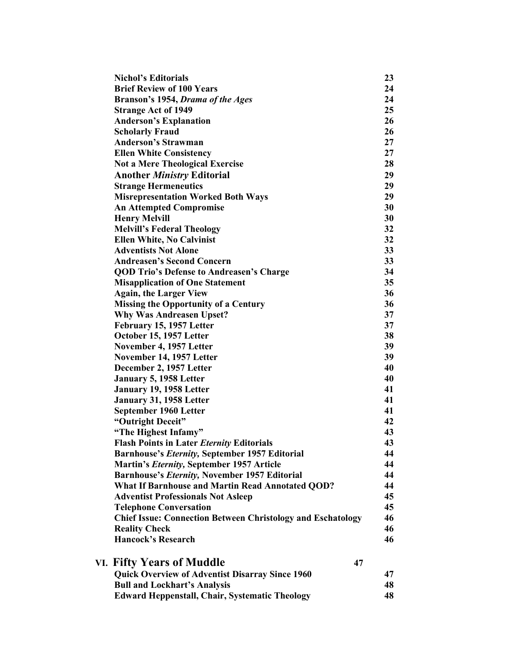| <b>Nichol's Editorials</b>                                         | 23       |
|--------------------------------------------------------------------|----------|
| <b>Brief Review of 100 Years</b>                                   |          |
| Branson's 1954, Drama of the Ages                                  |          |
| <b>Strange Act of 1949</b>                                         | 25       |
| <b>Anderson's Explanation</b>                                      | 26       |
| <b>Scholarly Fraud</b>                                             | 26       |
| <b>Anderson's Strawman</b>                                         | 27       |
| <b>Ellen White Consistency</b>                                     | 27       |
| <b>Not a Mere Theological Exercise</b>                             | 28       |
| <b>Another Ministry Editorial</b>                                  | 29       |
| <b>Strange Hermeneutics</b>                                        | 29       |
| <b>Misrepresentation Worked Both Ways</b>                          | 29       |
| <b>An Attempted Compromise</b>                                     | 30       |
| <b>Henry Melvill</b>                                               | 30       |
| <b>Melvill's Federal Theology</b>                                  | 32       |
| <b>Ellen White, No Calvinist</b>                                   | 32       |
| <b>Adventists Not Alone</b>                                        | 33       |
| <b>Andreasen's Second Concern</b>                                  | 33       |
| <b>QOD Trio's Defense to Andreasen's Charge</b>                    | 34       |
| <b>Misapplication of One Statement</b>                             | 35       |
| <b>Again, the Larger View</b>                                      | 36       |
| <b>Missing the Opportunity of a Century</b>                        | 36       |
| <b>Why Was Andreasen Upset?</b>                                    | 37       |
| February 15, 1957 Letter                                           |          |
| October 15, 1957 Letter                                            |          |
| November 4, 1957 Letter                                            | 38<br>39 |
| November 14, 1957 Letter                                           | 39       |
| December 2, 1957 Letter                                            | 40       |
| January 5, 1958 Letter                                             | 40       |
| January 19, 1958 Letter                                            | 41       |
| January 31, 1958 Letter                                            | 41       |
| September 1960 Letter                                              | 41       |
| "Outright Deceit"                                                  | 42       |
| "The Highest Infamy"                                               | 43       |
| <b>Flash Points in Later Eternity Editorials</b>                   | 43       |
| Barnhouse's Eternity, September 1957 Editorial                     | 44       |
| Martin's <i>Eternity</i> , September 1957 Article                  | 44       |
| Barnhouse's Eternity, November 1957 Editorial                      | 44       |
| <b>What If Barnhouse and Martin Read Annotated QOD?</b>            | 44       |
| <b>Adventist Professionals Not Asleep</b>                          | 45       |
| <b>Telephone Conversation</b>                                      | 45       |
| <b>Chief Issue: Connection Between Christology and Eschatology</b> | 46       |
| <b>Reality Check</b>                                               |          |
| <b>Hancock's Research</b>                                          | 46<br>46 |
| <b>Fifty Years of Muddle</b>                                       | 47       |

| VI. Fifty Years of Muddle                              | 47 |
|--------------------------------------------------------|----|
| <b>Quick Overview of Adventist Disarray Since 1960</b> | 47 |
| <b>Bull and Lockhart's Analysis</b>                    | 48 |
| <b>Edward Heppenstall, Chair, Systematic Theology</b>  | 48 |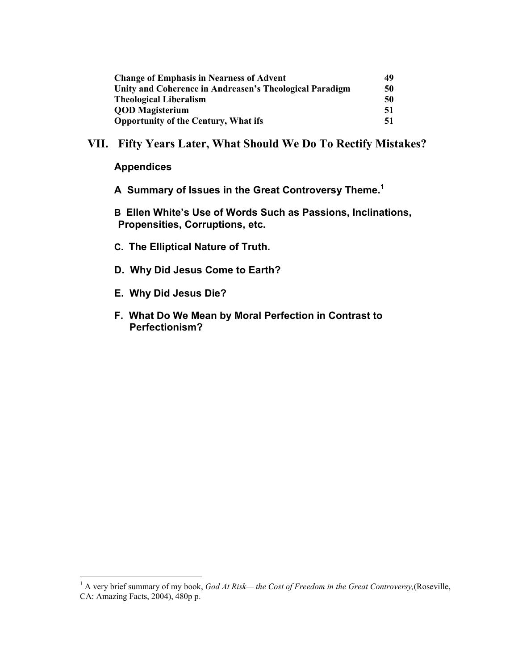| <b>Change of Emphasis in Nearness of Advent</b>         | 49  |
|---------------------------------------------------------|-----|
| Unity and Coherence in Andreasen's Theological Paradigm | 50  |
| <b>Theological Liberalism</b>                           | 50  |
| <b>QOD</b> Magisterium                                  | -51 |
| <b>Opportunity of the Century, What ifs</b>             | 51  |

## VII. Fifty Years Later, What Should We Do To Rectify Mistakes?

## Appendices

- A  $\,$  Summary of Issues in the Great Controversy Theme. $^1$
- B Ellen White's Use of Words Such as Passions, Inclinations, Propensities, Corruptions, etc.
- C. The Elliptical Nature of Truth.
- D. Why Did Jesus Come to Earth?
- E. Why Did Jesus Die?
- F. What Do We Mean by Moral Perfection in Contrast to Perfectionism?

<sup>&</sup>lt;sup>1</sup> A very brief summary of my book, *God At Risk— the Cost of Freedom in the Great Controversy*, (Roseville, CA: Amazing Facts, 2004), 480p p.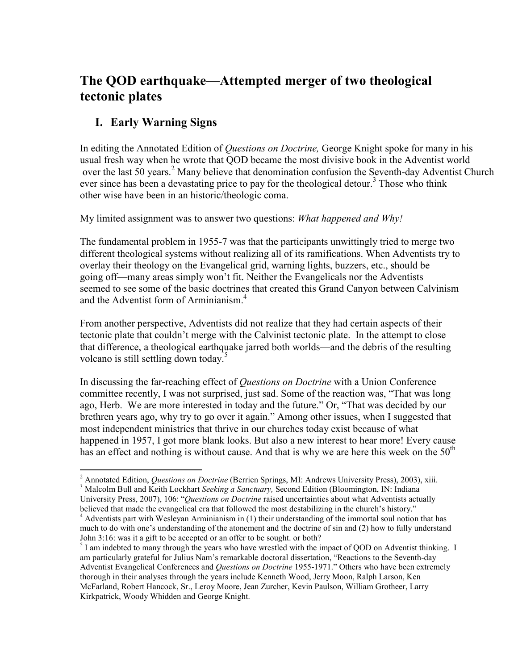# The QOD earthquake—Attempted merger of two theological tectonic plates

# I. Early Warning Signs

In editing the Annotated Edition of *Questions on Doctrine*, George Knight spoke for many in his usual fresh way when he wrote that QOD became the most divisive book in the Adventist world over the last 50 years.<sup>2</sup> Many believe that denomination confusion the Seventh-day Adventist Church ever since has been a devastating price to pay for the theological detour.<sup>3</sup> Those who think other wise have been in an historic/theologic coma.

My limited assignment was to answer two questions: What happened and Why!

The fundamental problem in 1955-7 was that the participants unwittingly tried to merge two different theological systems without realizing all of its ramifications. When Adventists try to overlay their theology on the Evangelical grid, warning lights, buzzers, etc., should be going off—many areas simply won't fit. Neither the Evangelicals nor the Adventists seemed to see some of the basic doctrines that created this Grand Canyon between Calvinism and the Adventist form of Arminianism.<sup>4</sup>

From another perspective, Adventists did not realize that they had certain aspects of their tectonic plate that couldn't merge with the Calvinist tectonic plate. In the attempt to close that difference, a theological earthquake jarred both worlds—and the debris of the resulting volcano is still settling down today.<sup>5</sup>

In discussing the far-reaching effect of *Questions on Doctrine* with a Union Conference committee recently, I was not surprised, just sad. Some of the reaction was, "That was long ago, Herb. We are more interested in today and the future." Or, "That was decided by our brethren years ago, why try to go over it again." Among other issues, when I suggested that most independent ministries that thrive in our churches today exist because of what happened in 1957, I got more blank looks. But also a new interest to hear more! Every cause has an effect and nothing is without cause. And that is why we are here this week on the  $50<sup>th</sup>$ 

<sup>&</sup>lt;sup>2</sup> Annotated Edition, *Questions on Doctrine* (Berrien Springs, MI: Andrews University Press), 2003), xiii. <sup>3</sup> Malcolm Bull and Keith Lockhart Seeking a Sanctuary, Second Edition (Bloomington, IN: Indiana

University Press, 2007), 106: "*Questions on Doctrine* raised uncertainties about what Adventists actually believed that made the evangelical era that followed the most destabilizing in the church's history."

<sup>&</sup>lt;sup>4</sup> Adventists part with Wesleyan Arminianism in (1) their understanding of the immortal soul notion that has much to do with one's understanding of the atonement and the doctrine of sin and (2) how to fully understand John 3:16: was it a gift to be accepted or an offer to be sought. or both?

<sup>&</sup>lt;sup>5</sup> I am indebted to many through the years who have wrestled with the impact of QOD on Adventist thinking. I am particularly grateful for Julius Nam's remarkable doctoral dissertation, "Reactions to the Seventh-day Adventist Evangelical Conferences and Questions on Doctrine 1955-1971." Others who have been extremely thorough in their analyses through the years include Kenneth Wood, Jerry Moon, Ralph Larson, Ken McFarland, Robert Hancock, Sr., Leroy Moore, Jean Zurcher, Kevin Paulson, William Grotheer, Larry Kirkpatrick, Woody Whidden and George Knight.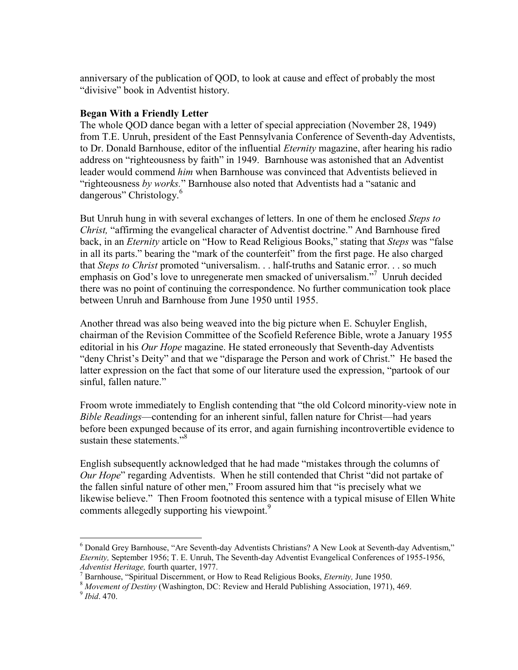anniversary of the publication of QOD, to look at cause and effect of probably the most "divisive" book in Adventist history.

#### Began With a Friendly Letter

The whole QOD dance began with a letter of special appreciation (November 28, 1949) from T.E. Unruh, president of the East Pennsylvania Conference of Seventh-day Adventists, to Dr. Donald Barnhouse, editor of the influential Eternity magazine, after hearing his radio address on "righteousness by faith" in 1949. Barnhouse was astonished that an Adventist leader would commend him when Barnhouse was convinced that Adventists believed in "righteousness by works." Barnhouse also noted that Adventists had a "satanic and dangerous" Christology.<sup>6</sup>

But Unruh hung in with several exchanges of letters. In one of them he enclosed Steps to Christ, "affirming the evangelical character of Adventist doctrine." And Barnhouse fired back, in an *Eternity* article on "How to Read Religious Books," stating that *Steps* was "false" in all its parts." bearing the "mark of the counterfeit" from the first page. He also charged that Steps to Christ promoted "universalism. . . half-truths and Satanic error. . . so much emphasis on God's love to unregenerate men smacked of universalism."<sup>7</sup> Unruh decided there was no point of continuing the correspondence. No further communication took place between Unruh and Barnhouse from June 1950 until 1955.

Another thread was also being weaved into the big picture when E. Schuyler English, chairman of the Revision Committee of the Scofield Reference Bible, wrote a January 1955 editorial in his Our Hope magazine. He stated erroneously that Seventh-day Adventists "deny Christ's Deity" and that we "disparage the Person and work of Christ." He based the latter expression on the fact that some of our literature used the expression, "partook of our sinful, fallen nature."

Froom wrote immediately to English contending that "the old Colcord minority-view note in Bible Readings—contending for an inherent sinful, fallen nature for Christ—had years before been expunged because of its error, and again furnishing incontrovertible evidence to sustain these statements."<sup>8</sup>

English subsequently acknowledged that he had made "mistakes through the columns of Our Hope" regarding Adventists. When he still contended that Christ "did not partake of the fallen sinful nature of other men," Froom assured him that "is precisely what we likewise believe." Then Froom footnoted this sentence with a typical misuse of Ellen White comments allegedly supporting his viewpoint.<sup>9</sup>

<sup>&</sup>lt;sup>6</sup> Donald Grey Barnhouse, "Are Seventh-day Adventists Christians? A New Look at Seventh-day Adventism," Eternity, September 1956; T. E. Unruh, The Seventh-day Adventist Evangelical Conferences of 1955-1956, Adventist Heritage, fourth quarter, 1977.

<sup>&</sup>lt;sup>7</sup> Barnhouse, "Spiritual Discernment, or How to Read Religious Books, *Eternity*, June 1950.

<sup>&</sup>lt;sup>8</sup> Movement of Destiny (Washington, DC: Review and Herald Publishing Association, 1971), 469.

 $^9$  Ibid. 470.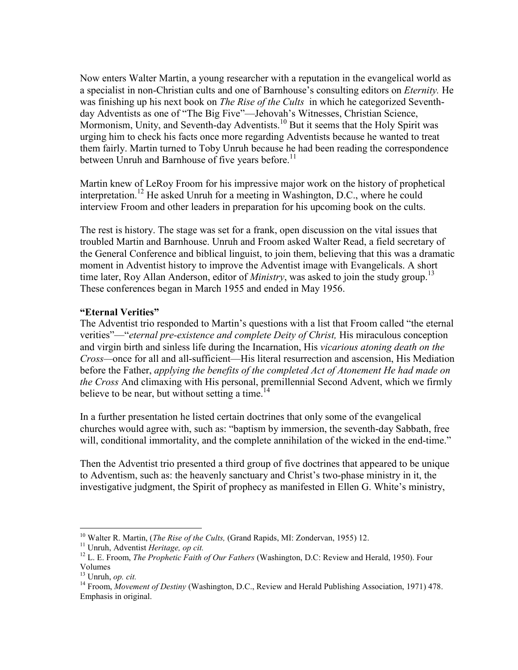Now enters Walter Martin, a young researcher with a reputation in the evangelical world as a specialist in non-Christian cults and one of Barnhouse's consulting editors on Eternity. He was finishing up his next book on *The Rise of the Cults* in which he categorized Seventhday Adventists as one of "The Big Five"—Jehovah's Witnesses, Christian Science, Mormonism, Unity, and Seventh-day Adventists.<sup>10</sup> But it seems that the Holy Spirit was urging him to check his facts once more regarding Adventists because he wanted to treat them fairly. Martin turned to Toby Unruh because he had been reading the correspondence between Unruh and Barnhouse of five years before.<sup>11</sup>

Martin knew of LeRoy Froom for his impressive major work on the history of prophetical interpretation.<sup>12</sup> He asked Unruh for a meeting in Washington, D.C., where he could interview Froom and other leaders in preparation for his upcoming book on the cults.

The rest is history. The stage was set for a frank, open discussion on the vital issues that troubled Martin and Barnhouse. Unruh and Froom asked Walter Read, a field secretary of the General Conference and biblical linguist, to join them, believing that this was a dramatic moment in Adventist history to improve the Adventist image with Evangelicals. A short time later, Roy Allan Anderson, editor of *Ministry*, was asked to join the study group.<sup>13</sup> These conferences began in March 1955 and ended in May 1956.

## "Eternal Verities"

The Adventist trio responded to Martin's questions with a list that Froom called "the eternal verities"—"eternal pre-existence and complete Deity of Christ, His miraculous conception and virgin birth and sinless life during the Incarnation, His vicarious atoning death on the Cross—once for all and all-sufficient—His literal resurrection and ascension, His Mediation before the Father, applying the benefits of the completed Act of Atonement He had made on the Cross And climaxing with His personal, premillennial Second Advent, which we firmly believe to be near, but without setting a time. $^{14}$ 

In a further presentation he listed certain doctrines that only some of the evangelical churches would agree with, such as: "baptism by immersion, the seventh-day Sabbath, free will, conditional immortality, and the complete annihilation of the wicked in the end-time."

Then the Adventist trio presented a third group of five doctrines that appeared to be unique to Adventism, such as: the heavenly sanctuary and Christ's two-phase ministry in it, the investigative judgment, the Spirit of prophecy as manifested in Ellen G. White's ministry,

 $\overline{a}$ <sup>10</sup> Walter R. Martin, (*The Rise of the Cults*, (Grand Rapids, MI: Zondervan, 1955) 12.

 $11$  Unruh, Adventist Heritage, op cit.

<sup>&</sup>lt;sup>12</sup> L. E. Froom, *The Prophetic Faith of Our Fathers* (Washington, D.C: Review and Herald, 1950). Four Volumes

 $13$  Unruh, op. cit.

<sup>&</sup>lt;sup>14</sup> Froom, *Movement of Destiny* (Washington, D.C., Review and Herald Publishing Association, 1971) 478. Emphasis in original.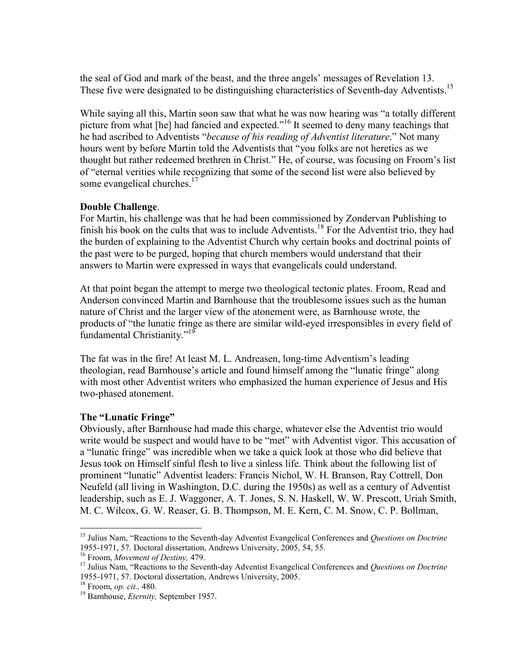the seal of God and mark of the beast, and the three angels' messages of Revelation 13. These five were designated to be distinguishing characteristics of Seventh-day Adventists.<sup>15</sup>

While saying all this, Martin soon saw that what he was now hearing was "a totally different picture from what [he] had fancied and expected."<sup>16</sup> It seemed to deny many teachings that he had ascribed to Adventists "because of his reading of Adventist literature." Not many hours went by before Martin told the Adventists that "you folks are not heretics as we thought but rather redeemed brethren in Christ." He, of course, was focusing on Froom's list of "eternal verities while recognizing that some of the second list were also believed by some evangelical churches.<sup>17</sup>

## Double Challenge.

For Martin, his challenge was that he had been commissioned by Zondervan Publishing to finish his book on the cults that was to include Adventists.<sup>18</sup> For the Adventist trio, they had the burden of explaining to the Adventist Church why certain books and doctrinal points of the past were to be purged, hoping that church members would understand that their answers to Martin were expressed in ways that evangelicals could understand.

At that point began the attempt to merge two theological tectonic plates. Froom, Read and Anderson convinced Martin and Barnhouse that the troublesome issues such as the human nature of Christ and the larger view of the atonement were, as Barnhouse wrote, the products of "the lunatic fringe as there are similar wild-eyed irresponsibles in every field of fundamental Christianity."<sup>19</sup>

The fat was in the fire! At least M. L. Andreasen, long-time Adventism's leading theologian, read Barnhouse's article and found himself among the "lunatic fringe" along with most other Adventist writers who emphasized the human experience of Jesus and His two-phased atonement.

#### The "Lunatic Fringe"

Obviously, after Barnhouse had made this charge, whatever else the Adventist trio would write would be suspect and would have to be "met" with Adventist vigor. This accusation of a "lunatic fringe" was incredible when we take a quick look at those who did believe that Jesus took on Himself sinful flesh to live a sinless life. Think about the following list of prominent "lunatic" Adventist leaders: Francis Nichol, W. H. Branson, Ray Cottrell, Don Neufeld (all living in Washington, D.C. during the 1950s) as well as a century of Adventist leadership, such as E. J. Waggoner, A. T. Jones, S. N. Haskell, W. W. Prescott, Uriah Smith, M. C. Wilcox, G. W. Reaser, G. B. Thompson, M. E. Kern, C. M. Snow, C. P. Bollman,

<sup>&</sup>lt;sup>15</sup> Julius Nam, "Reactions to the Seventh-day Adventist Evangelical Conferences and Questions on Doctrine 1955-1971, 57. Doctoral dissertation, Andrews University, 2005, 54, 55.

 $16$  Froom, Movement of Destiny, 479.

<sup>&</sup>lt;sup>17</sup> Julius Nam, "Reactions to the Seventh-day Adventist Evangelical Conferences and *Questions on Doctrine* 1955-1971, 57. Doctoral dissertation, Andrews University, 2005.

 $18$  Froom, op. cit., 480.

<sup>&</sup>lt;sup>19</sup> Barnhouse, *Eternity*, September 1957.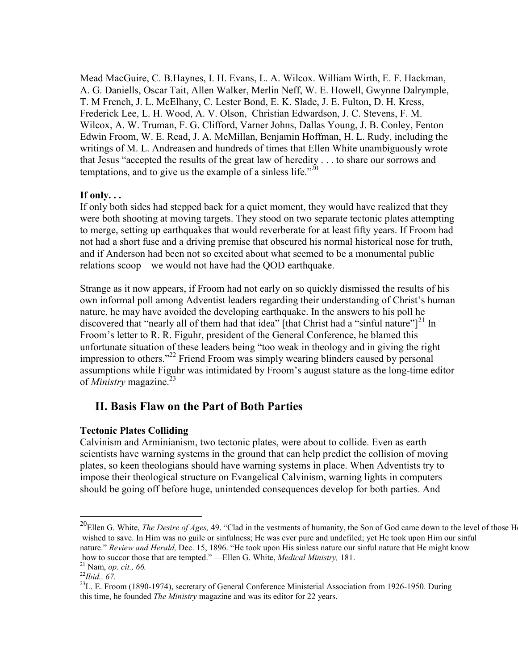Mead MacGuire, C. B.Haynes, I. H. Evans, L. A. Wilcox. William Wirth, E. F. Hackman, A. G. Daniells, Oscar Tait, Allen Walker, Merlin Neff, W. E. Howell, Gwynne Dalrymple, T. M French, J. L. McElhany, C. Lester Bond, E. K. Slade, J. E. Fulton, D. H. Kress, Frederick Lee, L. H. Wood, A. V. Olson, Christian Edwardson, J. C. Stevens, F. M. Wilcox, A. W. Truman, F. G. Clifford, Varner Johns, Dallas Young, J. B. Conley, Fenton Edwin Froom, W. E. Read, J. A. McMillan, Benjamin Hoffman, H. L. Rudy, including the writings of M. L. Andreasen and hundreds of times that Ellen White unambiguously wrote that Jesus "accepted the results of the great law of heredity . . . to share our sorrows and temptations, and to give us the example of a sinless life." $^{20}$ 

## If only. . .

If only both sides had stepped back for a quiet moment, they would have realized that they were both shooting at moving targets. They stood on two separate tectonic plates attempting to merge, setting up earthquakes that would reverberate for at least fifty years. If Froom had not had a short fuse and a driving premise that obscured his normal historical nose for truth, and if Anderson had been not so excited about what seemed to be a monumental public relations scoop—we would not have had the QOD earthquake.

Strange as it now appears, if Froom had not early on so quickly dismissed the results of his own informal poll among Adventist leaders regarding their understanding of Christ's human nature, he may have avoided the developing earthquake. In the answers to his poll he discovered that "nearly all of them had that idea" [that Christ had a "sinful nature"]<sup>21</sup> In Froom's letter to R. R. Figuhr, president of the General Conference, he blamed this unfortunate situation of these leaders being "too weak in theology and in giving the right impression to others."<sup>22</sup> Friend Froom was simply wearing blinders caused by personal assumptions while Figuhr was intimidated by Froom's august stature as the long-time editor of *Ministry* magazine.<sup>23</sup>

# II. Basis Flaw on the Part of Both Parties

## Tectonic Plates Colliding

Calvinism and Arminianism, two tectonic plates, were about to collide. Even as earth scientists have warning systems in the ground that can help predict the collision of moving plates, so keen theologians should have warning systems in place. When Adventists try to impose their theological structure on Evangelical Calvinism, warning lights in computers should be going off before huge, unintended consequences develop for both parties. And

<sup>&</sup>lt;sup>20</sup>Ellen G. White, *The Desire of Ages*, 49. "Clad in the vestments of humanity, the Son of God came down to the level of those He wished to save. In Him was no guile or sinfulness; He was ever pure and undefiled; yet He took upon Him our sinful nature." Review and Herald, Dec. 15, 1896. "He took upon His sinless nature our sinful nature that He might know how to succor those that are tempted." —Ellen G. White, Medical Ministry, 181.

 $21$  Nam, op. cit., 66.

 $^{22}Ibid., 67.$ 

<sup>&</sup>lt;sup>23</sup>L. E. Froom (1890-1974), secretary of General Conference Ministerial Association from 1926-1950. During this time, he founded *The Ministry* magazine and was its editor for 22 years.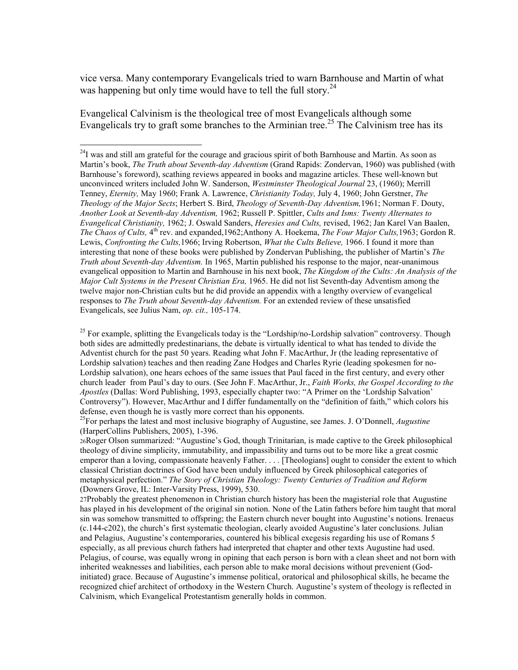vice versa. Many contemporary Evangelicals tried to warn Barnhouse and Martin of what was happening but only time would have to tell the full story.<sup>24</sup>

Evangelical Calvinism is the theological tree of most Evangelicals although some Evangelicals try to graft some branches to the Arminian tree.<sup>25</sup> The Calvinism tree has its

 $\overline{a}$ 

<sup>25</sup> For example, splitting the Evangelicals today is the "Lordship/no-Lordship salvation" controversy. Though both sides are admittedly predestinarians, the debate is virtually identical to what has tended to divide the Adventist church for the past 50 years. Reading what John F. MacArthur, Jr (the leading representative of Lordship salvation) teaches and then reading Zane Hodges and Charles Ryrie (leading spokesmen for no-Lordship salvation), one hears echoes of the same issues that Paul faced in the first century, and every other church leader from Paul's day to ours. (See John F. MacArthur, Jr., Faith Works, the Gospel According to the Apostles (Dallas: Word Publishing, 1993, especially chapter two: "A Primer on the 'Lordship Salvation' Controversy"). However, MacArthur and I differ fundamentally on the "definition of faith," which colors his defense, even though he is vastly more correct than his opponents.

 $^{25}$ For perhaps the latest and most inclusive biography of Augustine, see James. J. O'Donnell, *Augustine* (HarperCollins Publishers, 2005), 1-396.

<sup>26</sup>Roger Olson summarized: "Augustine's God, though Trinitarian, is made captive to the Greek philosophical theology of divine simplicity, immutability, and impassibility and turns out to be more like a great cosmic emperor than a loving, compassionate heavenly Father. . . . [Theologians] ought to consider the extent to which classical Christian doctrines of God have been unduly influenced by Greek philosophical categories of metaphysical perfection." The Story of Christian Theology: Twenty Centuries of Tradition and Reform (Downers Grove, IL: Inter-Varsity Press, 1999), 530.

27Probably the greatest phenomenon in Christian church history has been the magisterial role that Augustine has played in his development of the original sin notion. None of the Latin fathers before him taught that moral sin was somehow transmitted to offspring; the Eastern church never bought into Augustine's notions. Irenaeus (c.144-c202), the church's first systematic theologian, clearly avoided Augustine's later conclusions. Julian and Pelagius, Augustine's contemporaries, countered his biblical exegesis regarding his use of Romans 5 especially, as all previous church fathers had interpreted that chapter and other texts Augustine had used. Pelagius, of course, was equally wrong in opining that each person is born with a clean sheet and not born with inherited weaknesses and liabilities, each person able to make moral decisions without prevenient (Godinitiated) grace. Because of Augustine's immense political, oratorical and philosophical skills, he became the recognized chief architect of orthodoxy in the Western Church. Augustine's system of theology is reflected in Calvinism, which Evangelical Protestantism generally holds in common.

<sup>&</sup>lt;sup>24</sup>I was and still am grateful for the courage and gracious spirit of both Barnhouse and Martin. As soon as Martin's book, The Truth about Seventh-day Adventism (Grand Rapids: Zondervan, 1960) was published (with Barnhouse's foreword), scathing reviews appeared in books and magazine articles. These well-known but unconvinced writers included John W. Sanderson, Westminster Theological Journal 23, (1960); Merrill Tenney, Eternity, May 1960; Frank A. Lawrence, Christianity Today, July 4, 1960; John Gerstner, The Theology of the Major Sects; Herbert S. Bird, Theology of Seventh-Day Adventism,1961; Norman F. Douty, Another Look at Seventh-day Adventism, 1962; Russell P. Spittler, Cults and Isms: Twenty Alternates to Evangelical Christianity, 1962; J. Oswald Sanders, Heresies and Cults, revised, 1962; Jan Karel Van Baalen, The Chaos of Cults, 4<sup>th</sup> rev. and expanded,1962;Anthony A. Hoekema, The Four Major Cults,1963; Gordon R. Lewis, Confronting the Cults, 1966; Irving Robertson, What the Cults Believe, 1966. I found it more than interesting that none of these books were published by Zondervan Publishing, the publisher of Martin's The Truth about Seventh-day Adventism. In 1965, Martin published his response to the major, near-unanimous evangelical opposition to Martin and Barnhouse in his next book, The Kingdom of the Cults: An Analysis of the Major Cult Systems in the Present Christian Era, 1965. He did not list Seventh-day Adventism among the twelve major non-Christian cults but he did provide an appendix with a lengthy overview of evangelical responses to The Truth about Seventh-day Adventism. For an extended review of these unsatisfied Evangelicals, see Julius Nam, op. cit., 105-174.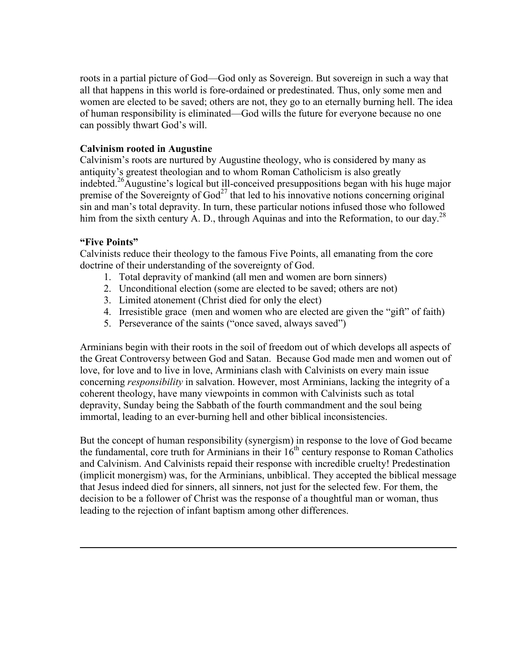roots in a partial picture of God—God only as Sovereign. But sovereign in such a way that all that happens in this world is fore-ordained or predestinated. Thus, only some men and women are elected to be saved; others are not, they go to an eternally burning hell. The idea of human responsibility is eliminated—God wills the future for everyone because no one can possibly thwart God's will.

## Calvinism rooted in Augustine

Calvinism's roots are nurtured by Augustine theology, who is considered by many as antiquity's greatest theologian and to whom Roman Catholicism is also greatly indebted.<sup>26</sup>Augustine's logical but ill-conceived presuppositions began with his huge major premise of the Sovereignty of  $God^{27}$  that led to his innovative notions concerning original sin and man's total depravity. In turn, these particular notions infused those who followed him from the sixth century A. D., through Aquinas and into the Reformation, to our day.<sup>28</sup>

#### "Five Points"

 $\overline{a}$ 

Calvinists reduce their theology to the famous Five Points, all emanating from the core doctrine of their understanding of the sovereignty of God.

- 1. Total depravity of mankind (all men and women are born sinners)
- 2. Unconditional election (some are elected to be saved; others are not)
- 3. Limited atonement (Christ died for only the elect)
- 4. Irresistible grace (men and women who are elected are given the "gift" of faith)
- 5. Perseverance of the saints ("once saved, always saved")

Arminians begin with their roots in the soil of freedom out of which develops all aspects of the Great Controversy between God and Satan. Because God made men and women out of love, for love and to live in love, Arminians clash with Calvinists on every main issue concerning responsibility in salvation. However, most Arminians, lacking the integrity of a coherent theology, have many viewpoints in common with Calvinists such as total depravity, Sunday being the Sabbath of the fourth commandment and the soul being immortal, leading to an ever-burning hell and other biblical inconsistencies.

But the concept of human responsibility (synergism) in response to the love of God became the fundamental, core truth for Arminians in their  $16<sup>th</sup>$  century response to Roman Catholics and Calvinism. And Calvinists repaid their response with incredible cruelty! Predestination (implicit monergism) was, for the Arminians, unbiblical. They accepted the biblical message that Jesus indeed died for sinners, all sinners, not just for the selected few. For them, the decision to be a follower of Christ was the response of a thoughtful man or woman, thus leading to the rejection of infant baptism among other differences.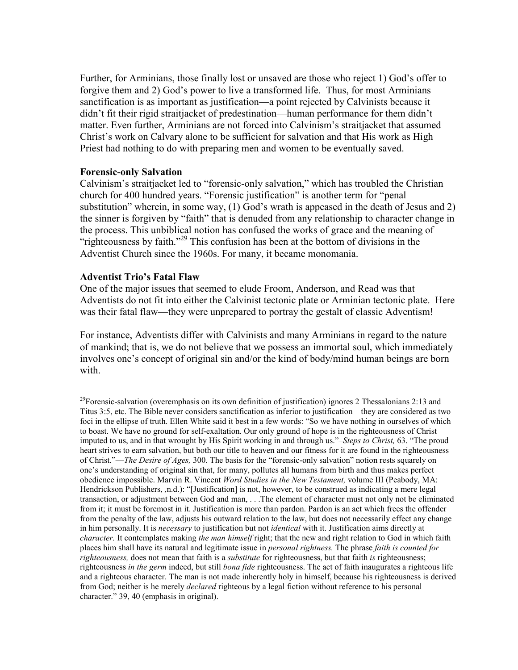Further, for Arminians, those finally lost or unsaved are those who reject 1) God's offer to forgive them and 2) God's power to live a transformed life. Thus, for most Arminians sanctification is as important as justification—a point rejected by Calvinists because it didn't fit their rigid straitjacket of predestination—human performance for them didn't matter. Even further, Arminians are not forced into Calvinism's straitjacket that assumed Christ's work on Calvary alone to be sufficient for salvation and that His work as High Priest had nothing to do with preparing men and women to be eventually saved.

#### Forensic-only Salvation

Calvinism's straitjacket led to "forensic-only salvation," which has troubled the Christian church for 400 hundred years. "Forensic justification" is another term for "penal substitution" wherein, in some way, (1) God's wrath is appeased in the death of Jesus and 2) the sinner is forgiven by "faith" that is denuded from any relationship to character change in the process. This unbiblical notion has confused the works of grace and the meaning of "righteousness by faith."<sup>29</sup> This confusion has been at the bottom of divisions in the Adventist Church since the 1960s. For many, it became monomania.

## Adventist Trio's Fatal Flaw

 $\overline{a}$ 

One of the major issues that seemed to elude Froom, Anderson, and Read was that Adventists do not fit into either the Calvinist tectonic plate or Arminian tectonic plate. Here was their fatal flaw—they were unprepared to portray the gestalt of classic Adventism!

For instance, Adventists differ with Calvinists and many Arminians in regard to the nature of mankind; that is, we do not believe that we possess an immortal soul, which immediately involves one's concept of original sin and/or the kind of body/mind human beings are born with.

<sup>&</sup>lt;sup>29</sup>Forensic-salvation (overemphasis on its own definition of justification) ignores 2 Thessalonians 2:13 and Titus 3:5, etc. The Bible never considers sanctification as inferior to justification—they are considered as two foci in the ellipse of truth. Ellen White said it best in a few words: "So we have nothing in ourselves of which to boast. We have no ground for self-exaltation. Our only ground of hope is in the righteousness of Christ imputed to us, and in that wrought by His Spirit working in and through us."–Steps to Christ, 63. "The proud heart strives to earn salvation, but both our title to heaven and our fitness for it are found in the righteousness of Christ."—The Desire of Ages, 300. The basis for the "forensic-only salvation" notion rests squarely on one's understanding of original sin that, for many, pollutes all humans from birth and thus makes perfect obedience impossible. Marvin R. Vincent Word Studies in the New Testament, volume III (Peabody, MA: Hendrickson Publishers, ,n.d.): "[Justification] is not, however, to be construed as indicating a mere legal transaction, or adjustment between God and man, . . .The element of character must not only not be eliminated from it; it must be foremost in it. Justification is more than pardon. Pardon is an act which frees the offender from the penalty of the law, adjusts his outward relation to the law, but does not necessarily effect any change in him personally. It is *necessary* to justification but not *identical* with it. Justification aims directly at character. It contemplates making the man himself right; that the new and right relation to God in which faith places him shall have its natural and legitimate issue in personal rightness. The phrase faith is counted for righteousness, does not mean that faith is a *substitute* for righteousness, but that faith is righteousness; righteousness in the germ indeed, but still bona fide righteousness. The act of faith inaugurates a righteous life and a righteous character. The man is not made inherently holy in himself, because his righteousness is derived from God; neither is he merely declared righteous by a legal fiction without reference to his personal character." 39, 40 (emphasis in original).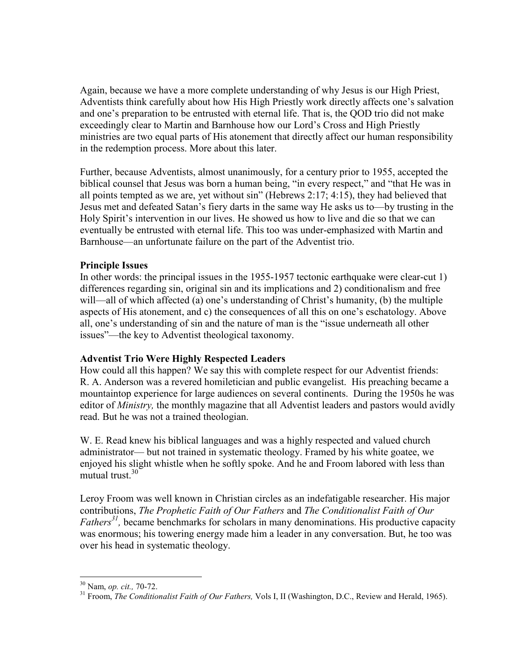Again, because we have a more complete understanding of why Jesus is our High Priest, Adventists think carefully about how His High Priestly work directly affects one's salvation and one's preparation to be entrusted with eternal life. That is, the QOD trio did not make exceedingly clear to Martin and Barnhouse how our Lord's Cross and High Priestly ministries are two equal parts of His atonement that directly affect our human responsibility in the redemption process. More about this later.

Further, because Adventists, almost unanimously, for a century prior to 1955, accepted the biblical counsel that Jesus was born a human being, "in every respect," and "that He was in all points tempted as we are, yet without sin" (Hebrews 2:17; 4:15), they had believed that Jesus met and defeated Satan's fiery darts in the same way He asks us to—by trusting in the Holy Spirit's intervention in our lives. He showed us how to live and die so that we can eventually be entrusted with eternal life. This too was under-emphasized with Martin and Barnhouse—an unfortunate failure on the part of the Adventist trio.

## Principle Issues

In other words: the principal issues in the 1955-1957 tectonic earthquake were clear-cut 1) differences regarding sin, original sin and its implications and 2) conditionalism and free will—all of which affected (a) one's understanding of Christ's humanity, (b) the multiple aspects of His atonement, and c) the consequences of all this on one's eschatology. Above all, one's understanding of sin and the nature of man is the "issue underneath all other issues"—the key to Adventist theological taxonomy.

#### Adventist Trio Were Highly Respected Leaders

How could all this happen? We say this with complete respect for our Adventist friends: R. A. Anderson was a revered homiletician and public evangelist. His preaching became a mountaintop experience for large audiences on several continents. During the 1950s he was editor of Ministry, the monthly magazine that all Adventist leaders and pastors would avidly read. But he was not a trained theologian.

W. E. Read knew his biblical languages and was a highly respected and valued church administrator— but not trained in systematic theology. Framed by his white goatee, we enjoyed his slight whistle when he softly spoke. And he and Froom labored with less than mutual trust<sup>30</sup>

Leroy Froom was well known in Christian circles as an indefatigable researcher. His major contributions, The Prophetic Faith of Our Fathers and The Conditionalist Faith of Our Fathers<sup>31</sup>, became benchmarks for scholars in many denominations. His productive capacity was enormous; his towering energy made him a leader in any conversation. But, he too was over his head in systematic theology.

 $30$  Nam, *op. cit.*, 70-72.

<sup>&</sup>lt;sup>31</sup> Froom, *The Conditionalist Faith of Our Fathers*, Vols I, II (Washington, D.C., Review and Herald, 1965).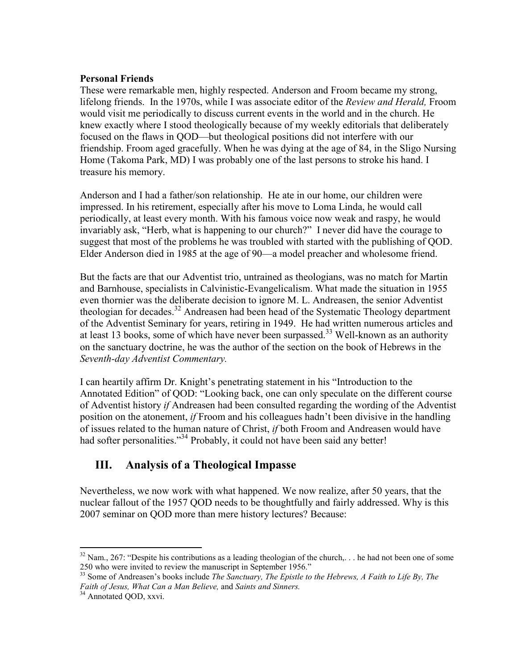#### Personal Friends

These were remarkable men, highly respected. Anderson and Froom became my strong, lifelong friends. In the 1970s, while I was associate editor of the Review and Herald, Froom would visit me periodically to discuss current events in the world and in the church. He knew exactly where I stood theologically because of my weekly editorials that deliberately focused on the flaws in QOD—but theological positions did not interfere with our friendship. Froom aged gracefully. When he was dying at the age of 84, in the Sligo Nursing Home (Takoma Park, MD) I was probably one of the last persons to stroke his hand. I treasure his memory.

Anderson and I had a father/son relationship. He ate in our home, our children were impressed. In his retirement, especially after his move to Loma Linda, he would call periodically, at least every month. With his famous voice now weak and raspy, he would invariably ask, "Herb, what is happening to our church?" I never did have the courage to suggest that most of the problems he was troubled with started with the publishing of QOD. Elder Anderson died in 1985 at the age of 90—a model preacher and wholesome friend.

But the facts are that our Adventist trio, untrained as theologians, was no match for Martin and Barnhouse, specialists in Calvinistic-Evangelicalism. What made the situation in 1955 even thornier was the deliberate decision to ignore M. L. Andreasen, the senior Adventist theologian for decades.<sup>32</sup> Andreasen had been head of the Systematic Theology department of the Adventist Seminary for years, retiring in 1949. He had written numerous articles and at least 13 books, some of which have never been surpassed.<sup>33</sup> Well-known as an authority on the sanctuary doctrine, he was the author of the section on the book of Hebrews in the Seventh-day Adventist Commentary.

I can heartily affirm Dr. Knight's penetrating statement in his "Introduction to the Annotated Edition" of QOD: "Looking back, one can only speculate on the different course of Adventist history if Andreasen had been consulted regarding the wording of the Adventist position on the atonement, if Froom and his colleagues hadn't been divisive in the handling of issues related to the human nature of Christ, if both Froom and Andreasen would have had softer personalities."<sup>34</sup> Probably, it could not have been said any better!

# III. Analysis of a Theological Impasse

Nevertheless, we now work with what happened. We now realize, after 50 years, that the nuclear fallout of the 1957 QOD needs to be thoughtfully and fairly addressed. Why is this 2007 seminar on QOD more than mere history lectures? Because:

 $32$  Nam., 267: "Despite his contributions as a leading theologian of the church,... he had not been one of some 250 who were invited to review the manuscript in September 1956."

 $33$  Some of Andreasen's books include The Sanctuary, The Epistle to the Hebrews, A Faith to Life By, The Faith of Jesus, What Can a Man Believe, and Saints and Sinners.

<sup>&</sup>lt;sup>34</sup> Annotated QOD, xxvi.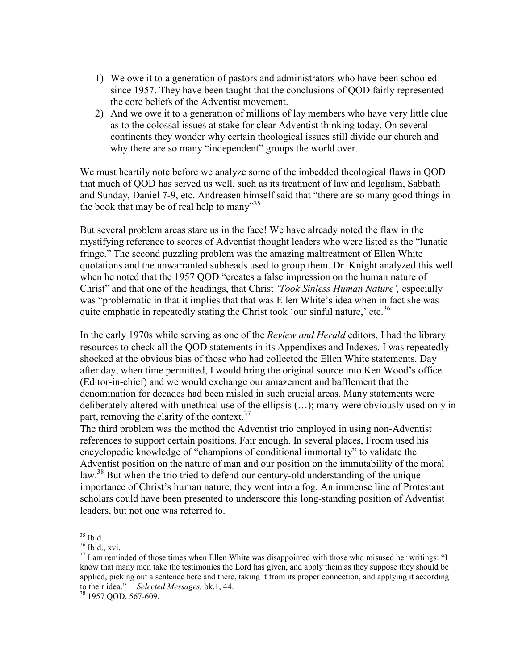- 1) We owe it to a generation of pastors and administrators who have been schooled since 1957. They have been taught that the conclusions of QOD fairly represented the core beliefs of the Adventist movement.
- 2) And we owe it to a generation of millions of lay members who have very little clue as to the colossal issues at stake for clear Adventist thinking today. On several continents they wonder why certain theological issues still divide our church and why there are so many "independent" groups the world over.

We must heartily note before we analyze some of the imbedded theological flaws in QOD that much of QOD has served us well, such as its treatment of law and legalism, Sabbath and Sunday, Daniel 7-9, etc. Andreasen himself said that "there are so many good things in the book that may be of real help to many" $35$ 

But several problem areas stare us in the face! We have already noted the flaw in the mystifying reference to scores of Adventist thought leaders who were listed as the "lunatic fringe." The second puzzling problem was the amazing maltreatment of Ellen White quotations and the unwarranted subheads used to group them. Dr. Knight analyzed this well when he noted that the 1957 QOD "creates a false impression on the human nature of Christ" and that one of the headings, that Christ 'Took Sinless Human Nature', especially was "problematic in that it implies that that was Ellen White's idea when in fact she was quite emphatic in repeatedly stating the Christ took 'our sinful nature,' etc. $36$ 

In the early 1970s while serving as one of the Review and Herald editors, I had the library resources to check all the QOD statements in its Appendixes and Indexes. I was repeatedly shocked at the obvious bias of those who had collected the Ellen White statements. Day after day, when time permitted, I would bring the original source into Ken Wood's office (Editor-in-chief) and we would exchange our amazement and bafflement that the denomination for decades had been misled in such crucial areas. Many statements were deliberately altered with unethical use of the ellipsis (…); many were obviously used only in part, removing the clarity of the context. $37$ 

The third problem was the method the Adventist trio employed in using non-Adventist references to support certain positions. Fair enough. In several places, Froom used his encyclopedic knowledge of "champions of conditional immortality" to validate the Adventist position on the nature of man and our position on the immutability of the moral law.<sup>38</sup> But when the trio tried to defend our century-old understanding of the unique importance of Christ's human nature, they went into a fog. An immense line of Protestant scholars could have been presented to underscore this long-standing position of Adventist leaders, but not one was referred to.

 $\overline{a}$  $35$  Ibid.

<sup>36</sup> Ibid., xvi.

 $37$  I am reminded of those times when Ellen White was disappointed with those who misused her writings: "I know that many men take the testimonies the Lord has given, and apply them as they suppose they should be applied, picking out a sentence here and there, taking it from its proper connection, and applying it according to their idea." —Selected Messages, bk.1, 44.

<sup>&</sup>lt;sup>38</sup> 1957 QOD, 567-609.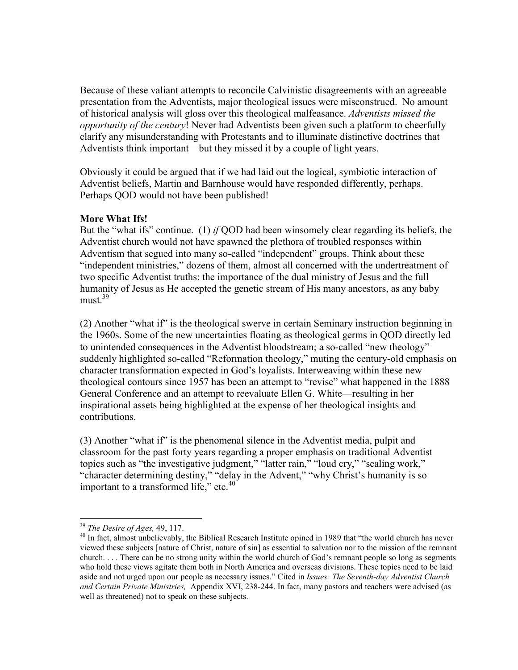Because of these valiant attempts to reconcile Calvinistic disagreements with an agreeable presentation from the Adventists, major theological issues were misconstrued. No amount of historical analysis will gloss over this theological malfeasance. Adventists missed the opportunity of the century! Never had Adventists been given such a platform to cheerfully clarify any misunderstanding with Protestants and to illuminate distinctive doctrines that Adventists think important—but they missed it by a couple of light years.

Obviously it could be argued that if we had laid out the logical, symbiotic interaction of Adventist beliefs, Martin and Barnhouse would have responded differently, perhaps. Perhaps QOD would not have been published!

#### More What Ifs!

But the "what ifs" continue. (1) if QOD had been winsomely clear regarding its beliefs, the Adventist church would not have spawned the plethora of troubled responses within Adventism that segued into many so-called "independent" groups. Think about these "independent ministries," dozens of them, almost all concerned with the undertreatment of two specific Adventist truths: the importance of the dual ministry of Jesus and the full humanity of Jesus as He accepted the genetic stream of His many ancestors, as any baby  $must$ <sup>39</sup>

(2) Another "what if" is the theological swerve in certain Seminary instruction beginning in the 1960s. Some of the new uncertainties floating as theological germs in QOD directly led to unintended consequences in the Adventist bloodstream; a so-called "new theology" suddenly highlighted so-called "Reformation theology," muting the century-old emphasis on character transformation expected in God's loyalists. Interweaving within these new theological contours since 1957 has been an attempt to "revise" what happened in the 1888 General Conference and an attempt to reevaluate Ellen G. White—resulting in her inspirational assets being highlighted at the expense of her theological insights and contributions.

(3) Another "what if" is the phenomenal silence in the Adventist media, pulpit and classroom for the past forty years regarding a proper emphasis on traditional Adventist topics such as "the investigative judgment," "latter rain," "loud cry," "sealing work," "character determining destiny," "delay in the Advent," "why Christ's humanity is so important to a transformed life," etc. $40^{\degree}$ 

 $39$  The Desire of Ages, 49, 117.

<sup>&</sup>lt;sup>40</sup> In fact, almost unbelievably, the Biblical Research Institute opined in 1989 that "the world church has never viewed these subjects [nature of Christ, nature of sin] as essential to salvation nor to the mission of the remnant church. . . . There can be no strong unity within the world church of God's remnant people so long as segments who hold these views agitate them both in North America and overseas divisions. These topics need to be laid aside and not urged upon our people as necessary issues." Cited in Issues: The Seventh-day Adventist Church and Certain Private Ministries, Appendix XVI, 238-244. In fact, many pastors and teachers were advised (as well as threatened) not to speak on these subjects.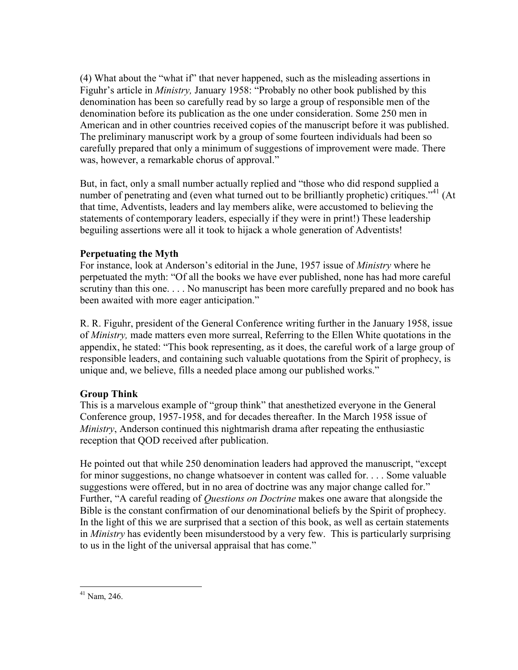(4) What about the "what if" that never happened, such as the misleading assertions in Figuhr's article in Ministry, January 1958: "Probably no other book published by this denomination has been so carefully read by so large a group of responsible men of the denomination before its publication as the one under consideration. Some 250 men in American and in other countries received copies of the manuscript before it was published. The preliminary manuscript work by a group of some fourteen individuals had been so carefully prepared that only a minimum of suggestions of improvement were made. There was, however, a remarkable chorus of approval."

But, in fact, only a small number actually replied and "those who did respond supplied a number of penetrating and (even what turned out to be brilliantly prophetic) critiques.<sup> $31$ </sup> (At that time, Adventists, leaders and lay members alike, were accustomed to believing the statements of contemporary leaders, especially if they were in print!) These leadership beguiling assertions were all it took to hijack a whole generation of Adventists!

## Perpetuating the Myth

For instance, look at Anderson's editorial in the June, 1957 issue of Ministry where he perpetuated the myth: "Of all the books we have ever published, none has had more careful scrutiny than this one. . . . No manuscript has been more carefully prepared and no book has been awaited with more eager anticipation."

R. R. Figuhr, president of the General Conference writing further in the January 1958, issue of Ministry, made matters even more surreal, Referring to the Ellen White quotations in the appendix, he stated: "This book representing, as it does, the careful work of a large group of responsible leaders, and containing such valuable quotations from the Spirit of prophecy, is unique and, we believe, fills a needed place among our published works."

## Group Think

This is a marvelous example of "group think" that anesthetized everyone in the General Conference group, 1957-1958, and for decades thereafter. In the March 1958 issue of Ministry, Anderson continued this nightmarish drama after repeating the enthusiastic reception that QOD received after publication.

He pointed out that while 250 denomination leaders had approved the manuscript, "except for minor suggestions, no change whatsoever in content was called for. . . . Some valuable suggestions were offered, but in no area of doctrine was any major change called for." Further, "A careful reading of *Questions on Doctrine* makes one aware that alongside the Bible is the constant confirmation of our denominational beliefs by the Spirit of prophecy. In the light of this we are surprised that a section of this book, as well as certain statements in Ministry has evidently been misunderstood by a very few. This is particularly surprising to us in the light of the universal appraisal that has come."

 $\overline{a}$  $41$  Nam, 246.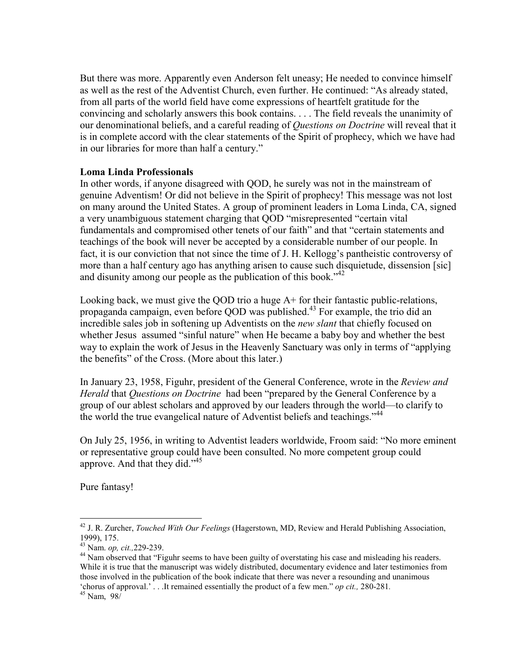But there was more. Apparently even Anderson felt uneasy; He needed to convince himself as well as the rest of the Adventist Church, even further. He continued: "As already stated, from all parts of the world field have come expressions of heartfelt gratitude for the convincing and scholarly answers this book contains. . . . The field reveals the unanimity of our denominational beliefs, and a careful reading of Questions on Doctrine will reveal that it is in complete accord with the clear statements of the Spirit of prophecy, which we have had in our libraries for more than half a century."

#### Loma Linda Professionals

In other words, if anyone disagreed with QOD, he surely was not in the mainstream of genuine Adventism! Or did not believe in the Spirit of prophecy! This message was not lost on many around the United States. A group of prominent leaders in Loma Linda, CA, signed a very unambiguous statement charging that QOD "misrepresented "certain vital fundamentals and compromised other tenets of our faith" and that "certain statements and teachings of the book will never be accepted by a considerable number of our people. In fact, it is our conviction that not since the time of J. H. Kellogg's pantheistic controversy of more than a half century ago has anything arisen to cause such disquietude, dissension [sic] and disunity among our people as the publication of this book."<sup>42</sup>

Looking back, we must give the QOD trio a huge A+ for their fantastic public-relations, propaganda campaign, even before QOD was published.<sup>43</sup> For example, the trio did an incredible sales job in softening up Adventists on the *new slant* that chiefly focused on whether Jesus assumed "sinful nature" when He became a baby boy and whether the best way to explain the work of Jesus in the Heavenly Sanctuary was only in terms of "applying the benefits" of the Cross. (More about this later.)

In January 23, 1958, Figuhr, president of the General Conference, wrote in the Review and Herald that Questions on Doctrine had been "prepared by the General Conference by a group of our ablest scholars and approved by our leaders through the world—to clarify to the world the true evangelical nature of Adventist beliefs and teachings."<sup>44</sup>

On July 25, 1956, in writing to Adventist leaders worldwide, Froom said: "No more eminent or representative group could have been consulted. No more competent group could approve. And that they did."<sup>45</sup>

Pure fantasy!

 $\overline{a}$  $42$  J. R. Zurcher, *Touched With Our Feelings* (Hagerstown, MD, Review and Herald Publishing Association, 1999), 175.

<sup>&</sup>lt;sup>43</sup> Nam. op, cit., 229-239.

<sup>&</sup>lt;sup>44</sup> Nam observed that "Figuhr seems to have been guilty of overstating his case and misleading his readers. While it is true that the manuscript was widely distributed, documentary evidence and later testimonies from those involved in the publication of the book indicate that there was never a resounding and unanimous 'chorus of approval.' . . .It remained essentially the product of a few men." op cit., 280-281.

<sup>45</sup> Nam, 98/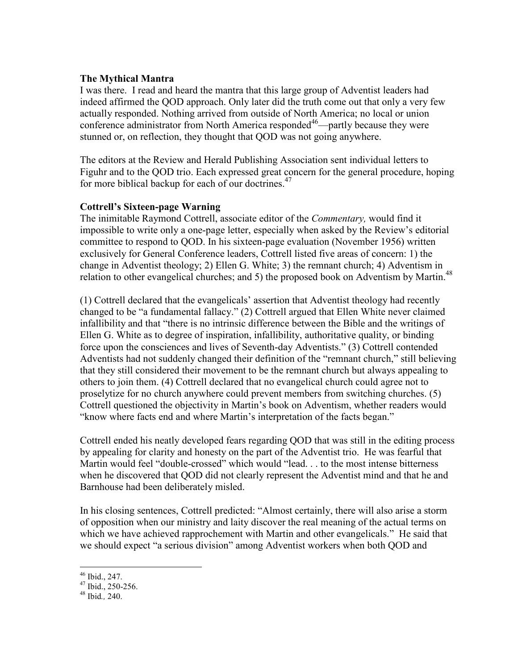#### The Mythical Mantra

I was there. I read and heard the mantra that this large group of Adventist leaders had indeed affirmed the QOD approach. Only later did the truth come out that only a very few actually responded. Nothing arrived from outside of North America; no local or union conference administrator from North America responded<sup>46</sup>—partly because they were stunned or, on reflection, they thought that QOD was not going anywhere.

The editors at the Review and Herald Publishing Association sent individual letters to Figuhr and to the QOD trio. Each expressed great concern for the general procedure, hoping for more biblical backup for each of our doctrines.<sup>47</sup>

## Cottrell's Sixteen-page Warning

The inimitable Raymond Cottrell, associate editor of the Commentary, would find it impossible to write only a one-page letter, especially when asked by the Review's editorial committee to respond to QOD. In his sixteen-page evaluation (November 1956) written exclusively for General Conference leaders, Cottrell listed five areas of concern: 1) the change in Adventist theology; 2) Ellen G. White; 3) the remnant church; 4) Adventism in relation to other evangelical churches; and 5) the proposed book on Adventism by Martin.<sup>48</sup>

(1) Cottrell declared that the evangelicals' assertion that Adventist theology had recently changed to be "a fundamental fallacy." (2) Cottrell argued that Ellen White never claimed infallibility and that "there is no intrinsic difference between the Bible and the writings of Ellen G. White as to degree of inspiration, infallibility, authoritative quality, or binding force upon the consciences and lives of Seventh-day Adventists." (3) Cottrell contended Adventists had not suddenly changed their definition of the "remnant church," still believing that they still considered their movement to be the remnant church but always appealing to others to join them. (4) Cottrell declared that no evangelical church could agree not to proselytize for no church anywhere could prevent members from switching churches. (5) Cottrell questioned the objectivity in Martin's book on Adventism, whether readers would "know where facts end and where Martin's interpretation of the facts began."

Cottrell ended his neatly developed fears regarding QOD that was still in the editing process by appealing for clarity and honesty on the part of the Adventist trio. He was fearful that Martin would feel "double-crossed" which would "lead. . . to the most intense bitterness when he discovered that QOD did not clearly represent the Adventist mind and that he and Barnhouse had been deliberately misled.

In his closing sentences, Cottrell predicted: "Almost certainly, there will also arise a storm of opposition when our ministry and laity discover the real meaning of the actual terms on which we have achieved rapprochement with Martin and other evangelicals." He said that we should expect "a serious division" among Adventist workers when both QOD and

 $\overline{a}$  $46$  Ibid., 247.

 $47$  Ibid., 250-256.

 $48$  Ibid., 240.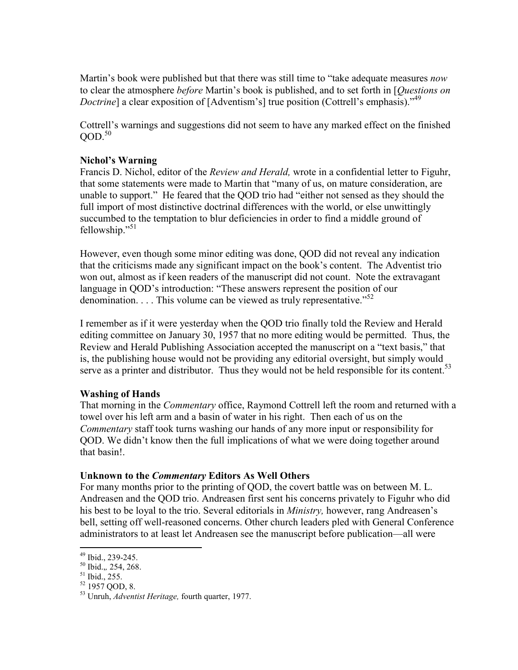Martin's book were published but that there was still time to "take adequate measures *now* to clear the atmosphere *before* Martin's book is published, and to set forth in [*Questions on*] Doctrine] a clear exposition of [Adventism's] true position (Cottrell's emphasis)."<sup>49</sup>

Cottrell's warnings and suggestions did not seem to have any marked effect on the finished  $OOD<sub>50</sub>$ 

## Nichol's Warning

Francis D. Nichol, editor of the *Review and Herald*, wrote in a confidential letter to Figuhr, that some statements were made to Martin that "many of us, on mature consideration, are unable to support." He feared that the QOD trio had "either not sensed as they should the full import of most distinctive doctrinal differences with the world, or else unwittingly succumbed to the temptation to blur deficiencies in order to find a middle ground of fellowship."<sup>51</sup>

However, even though some minor editing was done, QOD did not reveal any indication that the criticisms made any significant impact on the book's content. The Adventist trio won out, almost as if keen readers of the manuscript did not count. Note the extravagant language in QOD's introduction: "These answers represent the position of our denomination. . . . This volume can be viewed as truly representative."<sup>52</sup>

I remember as if it were yesterday when the QOD trio finally told the Review and Herald editing committee on January 30, 1957 that no more editing would be permitted. Thus, the Review and Herald Publishing Association accepted the manuscript on a "text basis," that is, the publishing house would not be providing any editorial oversight, but simply would serve as a printer and distributor. Thus they would not be held responsible for its content.<sup>53</sup>

## Washing of Hands

That morning in the Commentary office, Raymond Cottrell left the room and returned with a towel over his left arm and a basin of water in his right. Then each of us on the Commentary staff took turns washing our hands of any more input or responsibility for QOD. We didn't know then the full implications of what we were doing together around that basin!.

## Unknown to the Commentary Editors As Well Others

For many months prior to the printing of QOD, the covert battle was on between M. L. Andreasen and the QOD trio. Andreasen first sent his concerns privately to Figuhr who did his best to be loyal to the trio. Several editorials in *Ministry*, however, rang Andreasen's bell, setting off well-reasoned concerns. Other church leaders pled with General Conference administrators to at least let Andreasen see the manuscript before publication—all were

<sup>49</sup> Ibid., 239-245.

<sup>50</sup> Ibid.,, 254, 268.

 $51$  Ibid., 255.

<sup>52</sup> 1957 QOD, 8.

<sup>&</sup>lt;sup>53</sup> Unruh, *Adventist Heritage*, fourth quarter, 1977.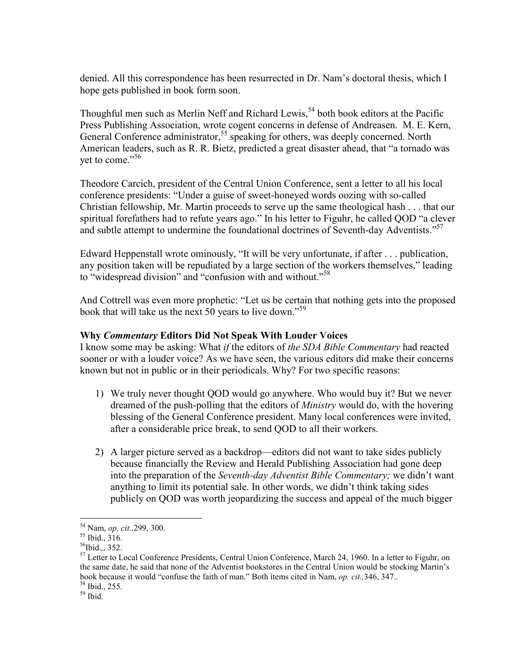denied. All this correspondence has been resurrected in Dr. Nam's doctoral thesis, which I hope gets published in book form soon.

Thoughful men such as Merlin Neff and Richard Lewis,<sup>54</sup> both book editors at the Pacific Press Publishing Association, wrote cogent concerns in defense of Andreasen. M. E. Kern, General Conference administrator,<sup>55</sup> speaking for others, was deeply concerned. North American leaders, such as R. R. Bietz, predicted a great disaster ahead, that "a tornado was yet to come."<sup>56</sup>

Theodore Carcich, president of the Central Union Conference, sent a letter to all his local conference presidents: "Under a guise of sweet-honeyed words oozing with so-called Christian fellowship, Mr. Martin proceeds to serve up the same theological hash . . . that our spiritual forefathers had to refute years ago." In his letter to Figuhr, he called QOD "a clever and subtle attempt to undermine the foundational doctrines of Seventh-day Adventists."<sup>57</sup>

Edward Heppenstall wrote ominously, "It will be very unfortunate, if after . . . publication, any position taken will be repudiated by a large section of the workers themselves," leading to "widespread division" and "confusion with and without."<sup>58</sup>

And Cottrell was even more prophetic: "Let us be certain that nothing gets into the proposed book that will take us the next 50 years to live down."<sup>59</sup>

#### Why Commentary Editors Did Not Speak With Louder Voices

I know some may be asking: What if the editors of the SDA Bible Commentary had reacted sooner or with a louder voice? As we have seen, the various editors did make their concerns known but not in public or in their periodicals. Why? For two specific reasons:

- 1) We truly never thought QOD would go anywhere. Who would buy it? But we never dreamed of the push-polling that the editors of *Ministry* would do, with the hovering blessing of the General Conference president. Many local conferences were invited, after a considerable price break, to send QOD to all their workers.
- 2) A larger picture served as a backdrop—editors did not want to take sides publicly because financially the Review and Herald Publishing Association had gone deep into the preparation of the Seventh-day Adventist Bible Commentary; we didn't want anything to limit its potential sale. In other words, we didn't think taking sides publicly on QOD was worth jeopardizing the success and appeal of the much bigger

<sup>&</sup>lt;sup>54</sup> Nam, op, cit., 299, 300.

<sup>55</sup> Ibid., 316.

<sup>56</sup>Ibid.,, 352.

<sup>&</sup>lt;sup>57</sup> Letter to Local Conference Presidents, Central Union Conference, March 24, 1960. In a letter to Figuhr, on the same date, he said that none of the Adventist bookstores in the Central Union would be stocking Martin's book because it would "confuse the faith of man." Both items cited in Nam, op. cit.,346, 347.. <sup>58</sup> Ibid., 255.

 $59$  Ibid.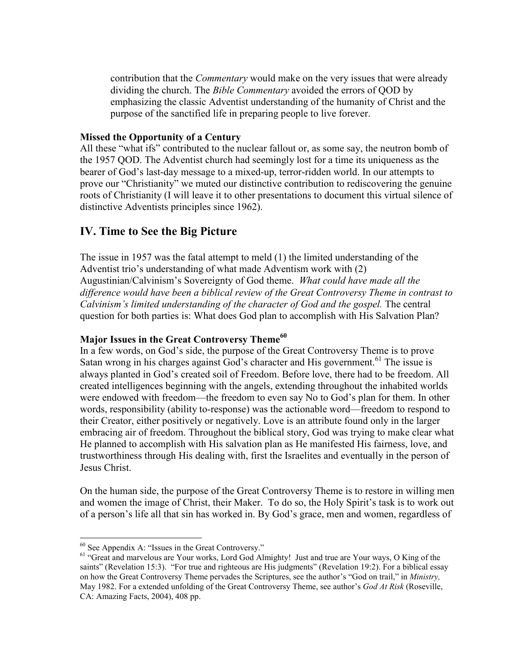contribution that the *Commentary* would make on the very issues that were already dividing the church. The *Bible Commentary* avoided the errors of QOD by emphasizing the classic Adventist understanding of the humanity of Christ and the purpose of the sanctified life in preparing people to live forever.

#### Missed the Opportunity of a Century

All these "what ifs" contributed to the nuclear fallout or, as some say, the neutron bomb of the 1957 QOD. The Adventist church had seemingly lost for a time its uniqueness as the bearer of God's last-day message to a mixed-up, terror-ridden world. In our attempts to prove our "Christianity" we muted our distinctive contribution to rediscovering the genuine roots of Christianity (I will leave it to other presentations to document this virtual silence of distinctive Adventists principles since 1962).

# IV. Time to See the Big Picture

The issue in 1957 was the fatal attempt to meld (1) the limited understanding of the Adventist trio's understanding of what made Adventism work with (2) Augustinian/Calvinism's Sovereignty of God theme. What could have made all the difference would have been a biblical review of the Great Controversy Theme in contrast to Calvinism's limited understanding of the character of God and the gospel. The central question for both parties is: What does God plan to accomplish with His Salvation Plan?

## Major Issues in the Great Controversy Theme<sup>60</sup>

In a few words, on God's side, the purpose of the Great Controversy Theme is to prove Satan wrong in his charges against God's character and His government.<sup>61</sup> The issue is always planted in God's created soil of Freedom. Before love, there had to be freedom. All created intelligences beginning with the angels, extending throughout the inhabited worlds were endowed with freedom—the freedom to even say No to God's plan for them. In other words, responsibility (ability to-response) was the actionable word—freedom to respond to their Creator, either positively or negatively. Love is an attribute found only in the larger embracing air of freedom. Throughout the biblical story, God was trying to make clear what He planned to accomplish with His salvation plan as He manifested His fairness, love, and trustworthiness through His dealing with, first the Israelites and eventually in the person of Jesus Christ.

On the human side, the purpose of the Great Controversy Theme is to restore in willing men and women the image of Christ, their Maker. To do so, the Holy Spirit's task is to work out of a person's life all that sin has worked in. By God's grace, men and women, regardless of

 $\overline{a}$ <sup>60</sup> See Appendix A: "Issues in the Great Controversy."

<sup>&</sup>lt;sup>61</sup> "Great and marvelous are Your works, Lord God Almighty! Just and true are Your ways, O King of the saints" (Revelation 15:3). "For true and righteous are His judgments" (Revelation 19:2). For a biblical essay on how the Great Controversy Theme pervades the Scriptures, see the author's "God on trail," in Ministry, May 1982. For a extended unfolding of the Great Controversy Theme, see author's God At Risk (Roseville, CA: Amazing Facts, 2004), 408 pp.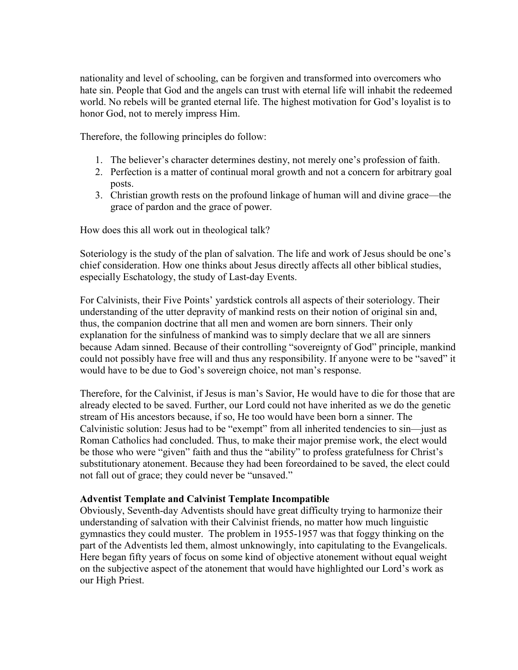nationality and level of schooling, can be forgiven and transformed into overcomers who hate sin. People that God and the angels can trust with eternal life will inhabit the redeemed world. No rebels will be granted eternal life. The highest motivation for God's loyalist is to honor God, not to merely impress Him.

Therefore, the following principles do follow:

- 1. The believer's character determines destiny, not merely one's profession of faith.
- 2. Perfection is a matter of continual moral growth and not a concern for arbitrary goal posts.
- 3. Christian growth rests on the profound linkage of human will and divine grace—the grace of pardon and the grace of power.

How does this all work out in theological talk?

Soteriology is the study of the plan of salvation. The life and work of Jesus should be one's chief consideration. How one thinks about Jesus directly affects all other biblical studies, especially Eschatology, the study of Last-day Events.

For Calvinists, their Five Points' yardstick controls all aspects of their soteriology. Their understanding of the utter depravity of mankind rests on their notion of original sin and, thus, the companion doctrine that all men and women are born sinners. Their only explanation for the sinfulness of mankind was to simply declare that we all are sinners because Adam sinned. Because of their controlling "sovereignty of God" principle, mankind could not possibly have free will and thus any responsibility. If anyone were to be "saved" it would have to be due to God's sovereign choice, not man's response.

Therefore, for the Calvinist, if Jesus is man's Savior, He would have to die for those that are already elected to be saved. Further, our Lord could not have inherited as we do the genetic stream of His ancestors because, if so, He too would have been born a sinner. The Calvinistic solution: Jesus had to be "exempt" from all inherited tendencies to sin—just as Roman Catholics had concluded. Thus, to make their major premise work, the elect would be those who were "given" faith and thus the "ability" to profess gratefulness for Christ's substitutionary atonement. Because they had been foreordained to be saved, the elect could not fall out of grace; they could never be "unsaved."

#### Adventist Template and Calvinist Template Incompatible

Obviously, Seventh-day Adventists should have great difficulty trying to harmonize their understanding of salvation with their Calvinist friends, no matter how much linguistic gymnastics they could muster. The problem in 1955-1957 was that foggy thinking on the part of the Adventists led them, almost unknowingly, into capitulating to the Evangelicals. Here began fifty years of focus on some kind of objective atonement without equal weight on the subjective aspect of the atonement that would have highlighted our Lord's work as our High Priest.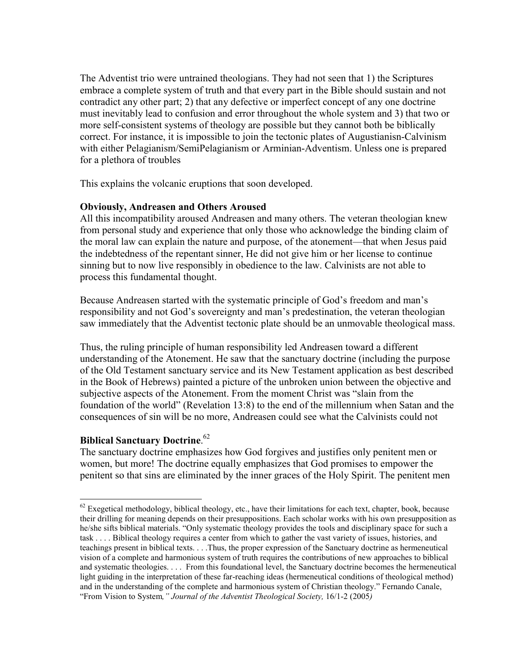The Adventist trio were untrained theologians. They had not seen that 1) the Scriptures embrace a complete system of truth and that every part in the Bible should sustain and not contradict any other part; 2) that any defective or imperfect concept of any one doctrine must inevitably lead to confusion and error throughout the whole system and 3) that two or more self-consistent systems of theology are possible but they cannot both be biblically correct. For instance, it is impossible to join the tectonic plates of Augustianisn-Calvinism with either Pelagianism/SemiPelagianism or Arminian-Adventism. Unless one is prepared for a plethora of troubles

This explains the volcanic eruptions that soon developed.

## Obviously, Andreasen and Others Aroused

All this incompatibility aroused Andreasen and many others. The veteran theologian knew from personal study and experience that only those who acknowledge the binding claim of the moral law can explain the nature and purpose, of the atonement—that when Jesus paid the indebtedness of the repentant sinner, He did not give him or her license to continue sinning but to now live responsibly in obedience to the law. Calvinists are not able to process this fundamental thought.

Because Andreasen started with the systematic principle of God's freedom and man's responsibility and not God's sovereignty and man's predestination, the veteran theologian saw immediately that the Adventist tectonic plate should be an unmovable theological mass.

Thus, the ruling principle of human responsibility led Andreasen toward a different understanding of the Atonement. He saw that the sanctuary doctrine (including the purpose of the Old Testament sanctuary service and its New Testament application as best described in the Book of Hebrews) painted a picture of the unbroken union between the objective and subjective aspects of the Atonement. From the moment Christ was "slain from the foundation of the world" (Revelation 13:8) to the end of the millennium when Satan and the consequences of sin will be no more, Andreasen could see what the Calvinists could not

## Biblical Sanctuary Doctrine. 62

 $\overline{a}$ 

The sanctuary doctrine emphasizes how God forgives and justifies only penitent men or women, but more! The doctrine equally emphasizes that God promises to empower the penitent so that sins are eliminated by the inner graces of the Holy Spirit. The penitent men

 $62$  Exegetical methodology, biblical theology, etc., have their limitations for each text, chapter, book, because their drilling for meaning depends on their presuppositions. Each scholar works with his own presupposition as he/she sifts biblical materials. "Only systematic theology provides the tools and disciplinary space for such a task . . . . Biblical theology requires a center from which to gather the vast variety of issues, histories, and teachings present in biblical texts. . . .Thus, the proper expression of the Sanctuary doctrine as hermeneutical vision of a complete and harmonious system of truth requires the contributions of new approaches to biblical and systematic theologies. . . . From this foundational level, the Sanctuary doctrine becomes the hermeneutical light guiding in the interpretation of these far-reaching ideas (hermeneutical conditions of theological method) and in the understanding of the complete and harmonious system of Christian theology." Fernando Canale, "From Vision to System," Journal of the Adventist Theological Society, 16/1-2 (2005)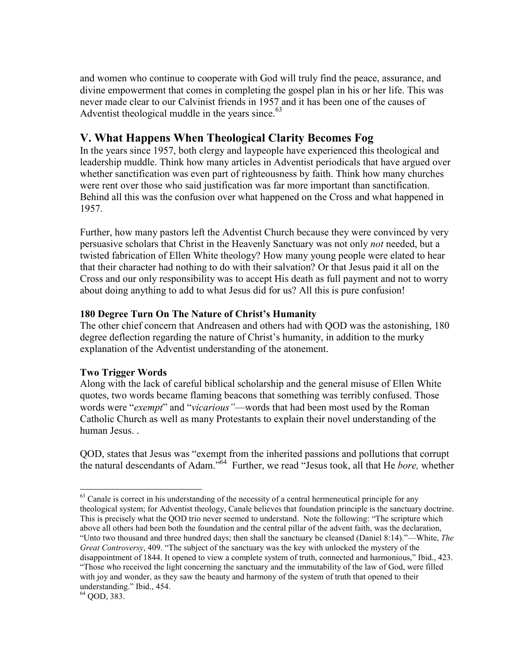and women who continue to cooperate with God will truly find the peace, assurance, and divine empowerment that comes in completing the gospel plan in his or her life. This was never made clear to our Calvinist friends in 1957 and it has been one of the causes of Adventist theological muddle in the years since. $63$ 

# V. What Happens When Theological Clarity Becomes Fog

In the years since 1957, both clergy and laypeople have experienced this theological and leadership muddle. Think how many articles in Adventist periodicals that have argued over whether sanctification was even part of righteousness by faith. Think how many churches were rent over those who said justification was far more important than sanctification. Behind all this was the confusion over what happened on the Cross and what happened in 1957.

Further, how many pastors left the Adventist Church because they were convinced by very persuasive scholars that Christ in the Heavenly Sanctuary was not only not needed, but a twisted fabrication of Ellen White theology? How many young people were elated to hear that their character had nothing to do with their salvation? Or that Jesus paid it all on the Cross and our only responsibility was to accept His death as full payment and not to worry about doing anything to add to what Jesus did for us? All this is pure confusion!

## 180 Degree Turn On The Nature of Christ's Humanity

The other chief concern that Andreasen and others had with QOD was the astonishing, 180 degree deflection regarding the nature of Christ's humanity, in addition to the murky explanation of the Adventist understanding of the atonement.

## Two Trigger Words

Along with the lack of careful biblical scholarship and the general misuse of Ellen White quotes, two words became flaming beacons that something was terribly confused. Those words were "exempt" and "vicarious"—words that had been most used by the Roman Catholic Church as well as many Protestants to explain their novel understanding of the human Jesus. .

QOD, states that Jesus was "exempt from the inherited passions and pollutions that corrupt the natural descendants of Adam."<sup>64</sup> Further, we read "Jesus took, all that He *bore*, whether

 $<sup>63</sup>$  Canale is correct in his understanding of the necessity of a central hermeneutical principle for any</sup> theological system; for Adventist theology, Canale believes that foundation principle is the sanctuary doctrine. This is precisely what the QOD trio never seemed to understand. Note the following: "The scripture which above all others had been both the foundation and the central pillar of the advent faith, was the declaration, "Unto two thousand and three hundred days; then shall the sanctuary be cleansed (Daniel 8:14)."—White, The Great Controversy, 409. "The subject of the sanctuary was the key with unlocked the mystery of the disappointment of 1844. It opened to view a complete system of truth, connected and harmonious," Ibid., 423. "Those who received the light concerning the sanctuary and the immutability of the law of God, were filled with joy and wonder, as they saw the beauty and harmony of the system of truth that opened to their understanding." Ibid., 454.

<sup>64</sup> QOD, 383.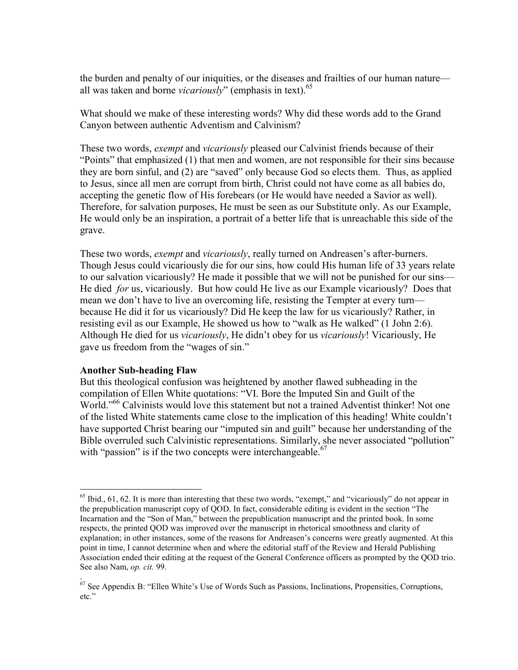the burden and penalty of our iniquities, or the diseases and frailties of our human nature all was taken and borne *vicariously*" (emphasis in text).<sup>65</sup>

What should we make of these interesting words? Why did these words add to the Grand Canyon between authentic Adventism and Calvinism?

These two words, exempt and vicariously pleased our Calvinist friends because of their "Points" that emphasized (1) that men and women, are not responsible for their sins because they are born sinful, and (2) are "saved" only because God so elects them. Thus, as applied to Jesus, since all men are corrupt from birth, Christ could not have come as all babies do, accepting the genetic flow of His forebears (or He would have needed a Savior as well). Therefore, for salvation purposes, He must be seen as our Substitute only. As our Example, He would only be an inspiration, a portrait of a better life that is unreachable this side of the grave.

These two words, *exempt* and *vicariously*, really turned on Andreasen's after-burners. Though Jesus could vicariously die for our sins, how could His human life of 33 years relate to our salvation vicariously? He made it possible that we will not be punished for our sins— He died *for* us, vicariously. But how could He live as our Example vicariously? Does that mean we don't have to live an overcoming life, resisting the Tempter at every turn because He did it for us vicariously? Did He keep the law for us vicariously? Rather, in resisting evil as our Example, He showed us how to "walk as He walked" (1 John 2:6). Although He died for us vicariously, He didn't obey for us vicariously! Vicariously, He gave us freedom from the "wages of sin."

#### Another Sub-heading Flaw

 $\overline{a}$ 

But this theological confusion was heightened by another flawed subheading in the compilation of Ellen White quotations: "VI. Bore the Imputed Sin and Guilt of the World."<sup>66</sup> Calvinists would love this statement but not a trained Adventist thinker! Not one of the listed White statements came close to the implication of this heading! White couldn't have supported Christ bearing our "imputed sin and guilt" because her understanding of the Bible overruled such Calvinistic representations. Similarly, she never associated "pollution" with "passion" is if the two concepts were interchangeable. $67$ 

 $65$  Ibid., 61, 62. It is more than interesting that these two words, "exempt," and "vicariously" do not appear in the prepublication manuscript copy of QOD. In fact, considerable editing is evident in the section "The Incarnation and the "Son of Man," between the prepublication manuscript and the printed book. In some respects, the printed QOD was improved over the manuscript in rhetorical smoothness and clarity of explanation; in other instances, some of the reasons for Andreasen's concerns were greatly augmented. At this point in time, I cannot determine when and where the editorial staff of the Review and Herald Publishing Association ended their editing at the request of the General Conference officers as prompted by the QOD trio. See also Nam, op. cit. 99.

<sup>.</sup>   $67$  See Appendix B: "Ellen White's Use of Words Such as Passions, Inclinations, Propensities, Corruptions, etc."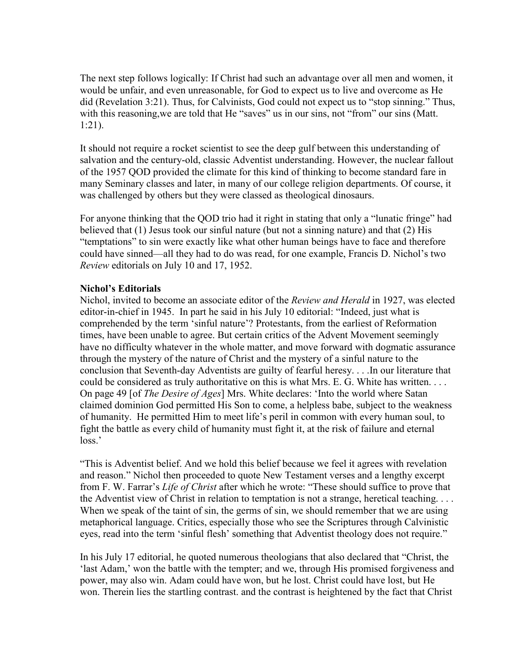The next step follows logically: If Christ had such an advantage over all men and women, it would be unfair, and even unreasonable, for God to expect us to live and overcome as He did (Revelation 3:21). Thus, for Calvinists, God could not expect us to "stop sinning." Thus, with this reasoning, we are told that He "saves" us in our sins, not "from" our sins (Matt. 1:21).

It should not require a rocket scientist to see the deep gulf between this understanding of salvation and the century-old, classic Adventist understanding. However, the nuclear fallout of the 1957 QOD provided the climate for this kind of thinking to become standard fare in many Seminary classes and later, in many of our college religion departments. Of course, it was challenged by others but they were classed as theological dinosaurs.

For anyone thinking that the QOD trio had it right in stating that only a "lunatic fringe" had believed that (1) Jesus took our sinful nature (but not a sinning nature) and that (2) His "temptations" to sin were exactly like what other human beings have to face and therefore could have sinned—all they had to do was read, for one example, Francis D. Nichol's two Review editorials on July 10 and 17, 1952.

## Nichol's Editorials

Nichol, invited to become an associate editor of the Review and Herald in 1927, was elected editor-in-chief in 1945. In part he said in his July 10 editorial: "Indeed, just what is comprehended by the term 'sinful nature'? Protestants, from the earliest of Reformation times, have been unable to agree. But certain critics of the Advent Movement seemingly have no difficulty whatever in the whole matter, and move forward with dogmatic assurance through the mystery of the nature of Christ and the mystery of a sinful nature to the conclusion that Seventh-day Adventists are guilty of fearful heresy. . . .In our literature that could be considered as truly authoritative on this is what Mrs. E. G. White has written. . . . On page 49 [of The Desire of Ages] Mrs. White declares: 'Into the world where Satan claimed dominion God permitted His Son to come, a helpless babe, subject to the weakness of humanity. He permitted Him to meet life's peril in common with every human soul, to fight the battle as every child of humanity must fight it, at the risk of failure and eternal loss<sup>'</sup>

"This is Adventist belief. And we hold this belief because we feel it agrees with revelation and reason." Nichol then proceeded to quote New Testament verses and a lengthy excerpt from F. W. Farrar's Life of Christ after which he wrote: "These should suffice to prove that the Adventist view of Christ in relation to temptation is not a strange, heretical teaching. . . . When we speak of the taint of sin, the germs of sin, we should remember that we are using metaphorical language. Critics, especially those who see the Scriptures through Calvinistic eyes, read into the term 'sinful flesh' something that Adventist theology does not require."

In his July 17 editorial, he quoted numerous theologians that also declared that "Christ, the 'last Adam,' won the battle with the tempter; and we, through His promised forgiveness and power, may also win. Adam could have won, but he lost. Christ could have lost, but He won. Therein lies the startling contrast. and the contrast is heightened by the fact that Christ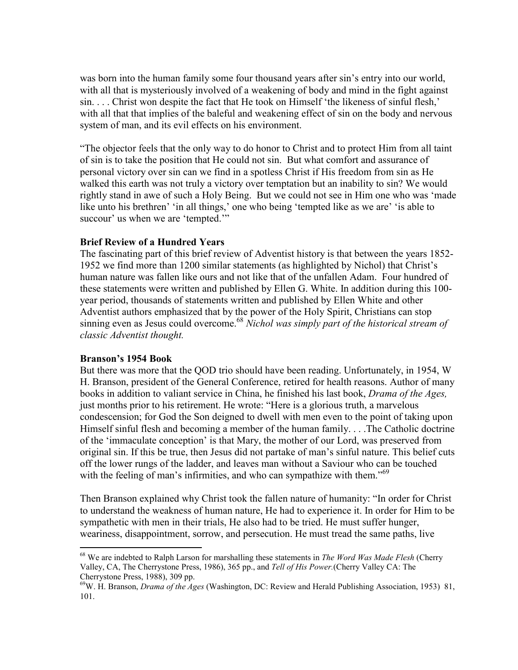was born into the human family some four thousand years after sin's entry into our world, with all that is mysteriously involved of a weakening of body and mind in the fight against sin. . . . Christ won despite the fact that He took on Himself 'the likeness of sinful flesh,' with all that that implies of the baleful and weakening effect of sin on the body and nervous system of man, and its evil effects on his environment.

"The objector feels that the only way to do honor to Christ and to protect Him from all taint of sin is to take the position that He could not sin. But what comfort and assurance of personal victory over sin can we find in a spotless Christ if His freedom from sin as He walked this earth was not truly a victory over temptation but an inability to sin? We would rightly stand in awe of such a Holy Being. But we could not see in Him one who was 'made like unto his brethren' 'in all things,' one who being 'tempted like as we are' 'is able to succour' us when we are 'tempted.'"

#### Brief Review of a Hundred Years

The fascinating part of this brief review of Adventist history is that between the years 1852- 1952 we find more than 1200 similar statements (as highlighted by Nichol) that Christ's human nature was fallen like ours and not like that of the unfallen Adam. Four hundred of these statements were written and published by Ellen G. White. In addition during this 100 year period, thousands of statements written and published by Ellen White and other Adventist authors emphasized that by the power of the Holy Spirit, Christians can stop sinning even as Jesus could overcome.<sup>68</sup> Nichol was simply part of the historical stream of classic Adventist thought.

#### Branson's 1954 Book

 $\overline{a}$ 

But there was more that the QOD trio should have been reading. Unfortunately, in 1954, W H. Branson, president of the General Conference, retired for health reasons. Author of many books in addition to valiant service in China, he finished his last book, Drama of the Ages, just months prior to his retirement. He wrote: "Here is a glorious truth, a marvelous condescension; for God the Son deigned to dwell with men even to the point of taking upon Himself sinful flesh and becoming a member of the human family. . . .The Catholic doctrine of the 'immaculate conception' is that Mary, the mother of our Lord, was preserved from original sin. If this be true, then Jesus did not partake of man's sinful nature. This belief cuts off the lower rungs of the ladder, and leaves man without a Saviour who can be touched with the feeling of man's infirmities, and who can sympathize with them."<sup>69</sup>

Then Branson explained why Christ took the fallen nature of humanity: "In order for Christ to understand the weakness of human nature, He had to experience it. In order for Him to be sympathetic with men in their trials, He also had to be tried. He must suffer hunger, weariness, disappointment, sorrow, and persecution. He must tread the same paths, live

<sup>&</sup>lt;sup>68</sup> We are indebted to Ralph Larson for marshalling these statements in *The Word Was Made Flesh* (Cherry Valley, CA, The Cherrystone Press, 1986), 365 pp., and Tell of His Power.(Cherry Valley CA: The Cherrystone Press, 1988), 309 pp.

<sup>69</sup>W. H. Branson, Drama of the Ages (Washington, DC: Review and Herald Publishing Association, 1953) 81, 101.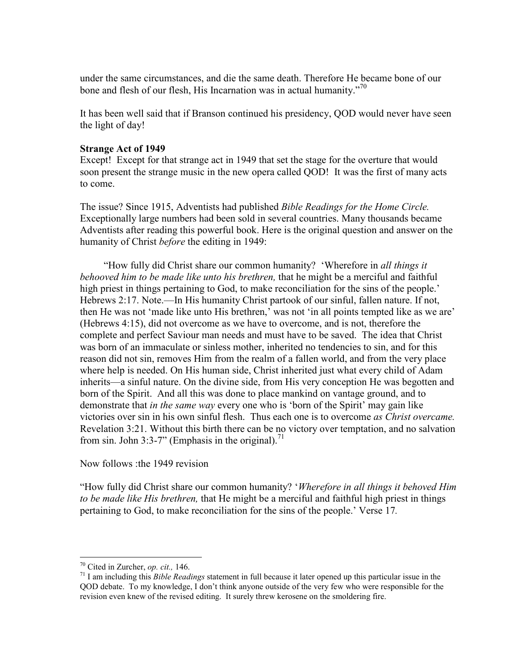under the same circumstances, and die the same death. Therefore He became bone of our bone and flesh of our flesh, His Incarnation was in actual humanity."<sup>70</sup>

It has been well said that if Branson continued his presidency, QOD would never have seen the light of day!

#### Strange Act of 1949

Except! Except for that strange act in 1949 that set the stage for the overture that would soon present the strange music in the new opera called QOD! It was the first of many acts to come.

The issue? Since 1915, Adventists had published Bible Readings for the Home Circle. Exceptionally large numbers had been sold in several countries. Many thousands became Adventists after reading this powerful book. Here is the original question and answer on the humanity of Christ before the editing in 1949:

"How fully did Christ share our common humanity? 'Wherefore in all things it behooved him to be made like unto his brethren, that he might be a merciful and faithful high priest in things pertaining to God, to make reconciliation for the sins of the people.' Hebrews 2:17. Note.—In His humanity Christ partook of our sinful, fallen nature. If not, then He was not 'made like unto His brethren,' was not 'in all points tempted like as we are' (Hebrews 4:15), did not overcome as we have to overcome, and is not, therefore the complete and perfect Saviour man needs and must have to be saved. The idea that Christ was born of an immaculate or sinless mother, inherited no tendencies to sin, and for this reason did not sin, removes Him from the realm of a fallen world, and from the very place where help is needed. On His human side, Christ inherited just what every child of Adam inherits—a sinful nature. On the divine side, from His very conception He was begotten and born of the Spirit. And all this was done to place mankind on vantage ground, and to demonstrate that in the same way every one who is 'born of the Spirit' may gain like victories over sin in his own sinful flesh. Thus each one is to overcome as Christ overcame. Revelation 3:21. Without this birth there can be no victory over temptation, and no salvation from sin. John 3:3-7" (Emphasis in the original).<sup>71</sup>

Now follows :the 1949 revision

"How fully did Christ share our common humanity? 'Wherefore in all things it behoved Him to be made like His brethren, that He might be a merciful and faithful high priest in things pertaining to God, to make reconciliation for the sins of the people.' Verse 17.

 $\overline{a}$  $70$  Cited in Zurcher, *op. cit.*, 146.

 $71$  I am including this *Bible Readings* statement in full because it later opened up this particular issue in the QOD debate. To my knowledge, I don't think anyone outside of the very few who were responsible for the revision even knew of the revised editing. It surely threw kerosene on the smoldering fire.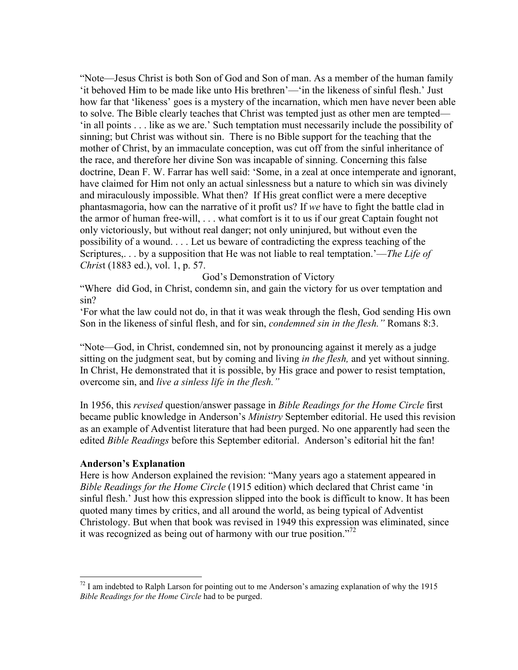"Note—Jesus Christ is both Son of God and Son of man. As a member of the human family 'it behoved Him to be made like unto His brethren'—'in the likeness of sinful flesh.' Just how far that 'likeness' goes is a mystery of the incarnation, which men have never been able to solve. The Bible clearly teaches that Christ was tempted just as other men are tempted— 'in all points . . . like as we are.' Such temptation must necessarily include the possibility of sinning; but Christ was without sin. There is no Bible support for the teaching that the mother of Christ, by an immaculate conception, was cut off from the sinful inheritance of the race, and therefore her divine Son was incapable of sinning. Concerning this false doctrine, Dean F. W. Farrar has well said: 'Some, in a zeal at once intemperate and ignorant, have claimed for Him not only an actual sinlessness but a nature to which sin was divinely and miraculously impossible. What then? If His great conflict were a mere deceptive phantasmagoria, how can the narrative of it profit us? If we have to fight the battle clad in the armor of human free-will, . . . what comfort is it to us if our great Captain fought not only victoriously, but without real danger; not only uninjured, but without even the possibility of a wound. . . . Let us beware of contradicting the express teaching of the Scriptures,... by a supposition that He was not liable to real temptation.'—*The Life of* Christ (1883 ed.), vol. 1, p. 57.

God's Demonstration of Victory

"Where did God, in Christ, condemn sin, and gain the victory for us over temptation and sin?

'For what the law could not do, in that it was weak through the flesh, God sending His own Son in the likeness of sinful flesh, and for sin, condemned sin in the flesh." Romans 8:3.

"Note—God, in Christ, condemned sin, not by pronouncing against it merely as a judge sitting on the judgment seat, but by coming and living *in the flesh*, and yet without sinning. In Christ, He demonstrated that it is possible, by His grace and power to resist temptation, overcome sin, and live a sinless life in the flesh."

In 1956, this *revised* question/answer passage in *Bible Readings for the Home Circle* first became public knowledge in Anderson's Ministry September editorial. He used this revision as an example of Adventist literature that had been purged. No one apparently had seen the edited Bible Readings before this September editorial. Anderson's editorial hit the fan!

#### Anderson's Explanation

 $\overline{a}$ 

Here is how Anderson explained the revision: "Many years ago a statement appeared in Bible Readings for the Home Circle (1915 edition) which declared that Christ came 'in sinful flesh.' Just how this expression slipped into the book is difficult to know. It has been quoted many times by critics, and all around the world, as being typical of Adventist Christology. But when that book was revised in 1949 this expression was eliminated, since it was recognized as being out of harmony with our true position."<sup>72</sup>

 $72$  I am indebted to Ralph Larson for pointing out to me Anderson's amazing explanation of why the 1915 Bible Readings for the Home Circle had to be purged.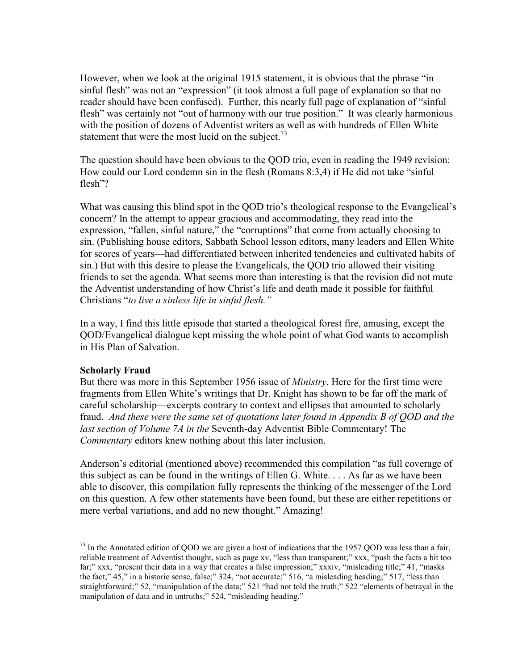However, when we look at the original 1915 statement, it is obvious that the phrase "in sinful flesh" was not an "expression" (it took almost a full page of explanation so that no reader should have been confused). Further, this nearly full page of explanation of "sinful flesh" was certainly not "out of harmony with our true position." It was clearly harmonious with the position of dozens of Adventist writers as well as with hundreds of Ellen White statement that were the most lucid on the subject.<sup>73</sup>

The question should have been obvious to the QOD trio, even in reading the 1949 revision: How could our Lord condemn sin in the flesh (Romans 8:3,4) if He did not take "sinful flesh"?

What was causing this blind spot in the QOD trio's theological response to the Evangelical's concern? In the attempt to appear gracious and accommodating, they read into the expression, "fallen, sinful nature," the "corruptions" that come from actually choosing to sin. (Publishing house editors, Sabbath School lesson editors, many leaders and Ellen White for scores of years—had differentiated between inherited tendencies and cultivated habits of sin.) But with this desire to please the Evangelicals, the QOD trio allowed their visiting friends to set the agenda. What seems more than interesting is that the revision did not mute the Adventist understanding of how Christ's life and death made it possible for faithful Christians "to live a sinless life in sinful flesh."

In a way, I find this little episode that started a theological forest fire, amusing, except the QOD/Evangelical dialogue kept missing the whole point of what God wants to accomplish in His Plan of Salvation.

#### Scholarly Fraud

 $\overline{a}$ 

But there was more in this September 1956 issue of Ministry. Here for the first time were fragments from Ellen White's writings that Dr. Knight has shown to be far off the mark of careful scholarship—excerpts contrary to context and ellipses that amounted to scholarly fraud. And these were the same set of quotations later found in Appendix B of QOD and the last section of Volume 7A in the Seventh-day Adventist Bible Commentary! The Commentary editors knew nothing about this later inclusion.

Anderson's editorial (mentioned above) recommended this compilation "as full coverage of this subject as can be found in the writings of Ellen G. White. . . . As far as we have been able to discover, this compilation fully represents the thinking of the messenger of the Lord on this question. A few other statements have been found, but these are either repetitions or mere verbal variations, and add no new thought." Amazing!

 $^{73}$  In the Annotated edition of QOD we are given a host of indications that the 1957 QOD was less than a fair, reliable treatment of Adventist thought, such as page xv, "less than transparent;" xxx, "push the facts a bit too far;" xxx, "present their data in a way that creates a false impression;" xxxiv, "misleading title;" 41, "masks the fact;" 45," in a historic sense, false;" 324, "not accurate;" 516, "a misleading heading;" 517, "less than straightforward;" 52, "manipulation of the data;" 521 "had not told the truth;" 522 "elements of betrayal in the manipulation of data and in untruths;" 524, "misleading heading."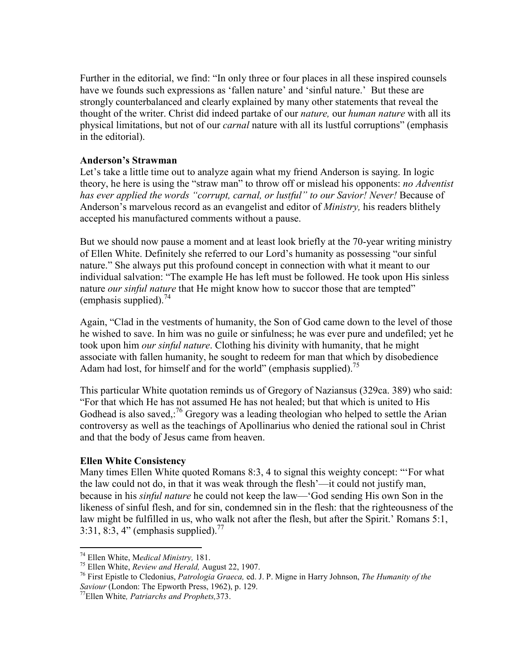Further in the editorial, we find: "In only three or four places in all these inspired counsels have we founds such expressions as 'fallen nature' and 'sinful nature.' But these are strongly counterbalanced and clearly explained by many other statements that reveal the thought of the writer. Christ did indeed partake of our nature, our human nature with all its physical limitations, but not of our carnal nature with all its lustful corruptions" (emphasis in the editorial).

#### Anderson's Strawman

Let's take a little time out to analyze again what my friend Anderson is saying. In logic theory, he here is using the "straw man" to throw off or mislead his opponents: no Adventist has ever applied the words "corrupt, carnal, or lustful" to our Savior! Never! Because of Anderson's marvelous record as an evangelist and editor of Ministry, his readers blithely accepted his manufactured comments without a pause.

But we should now pause a moment and at least look briefly at the 70-year writing ministry of Ellen White. Definitely she referred to our Lord's humanity as possessing "our sinful nature." She always put this profound concept in connection with what it meant to our individual salvation: "The example He has left must be followed. He took upon His sinless nature *our sinful nature* that He might know how to succor those that are tempted" (emphasis supplied). $74$ 

Again, "Clad in the vestments of humanity, the Son of God came down to the level of those he wished to save. In him was no guile or sinfulness; he was ever pure and undefiled; yet he took upon him our sinful nature. Clothing his divinity with humanity, that he might associate with fallen humanity, he sought to redeem for man that which by disobedience Adam had lost, for himself and for the world" (emphasis supplied).<sup>75</sup>

This particular White quotation reminds us of Gregory of Naziansus (329ca. 389) who said: "For that which He has not assumed He has not healed; but that which is united to His Godhead is also saved,: $76$  Gregory was a leading theologian who helped to settle the Arian controversy as well as the teachings of Apollinarius who denied the rational soul in Christ and that the body of Jesus came from heaven.

#### Ellen White Consistency

Many times Ellen White quoted Romans 8:3, 4 to signal this weighty concept: "'For what the law could not do, in that it was weak through the flesh'—it could not justify man, because in his sinful nature he could not keep the law—'God sending His own Son in the likeness of sinful flesh, and for sin, condemned sin in the flesh: that the righteousness of the law might be fulfilled in us, who walk not after the flesh, but after the Spirit.' Romans 5:1, 3:31, 8:3, 4" (emphasis supplied).<sup>77</sup>

 $\overline{a}$ <sup>74</sup> Ellen White, Medical Ministry, 181.

<sup>75</sup> Ellen White, Review and Herald, August 22, 1907.

<sup>&</sup>lt;sup>76</sup> First Epistle to Cledonius, *Patrologia Graeca*, ed. J. P. Migne in Harry Johnson, *The Humanity of the* Saviour (London: The Epworth Press, 1962), p. 129.

 $77$ Ellen White, *Patriarchs and Prophets*, 373.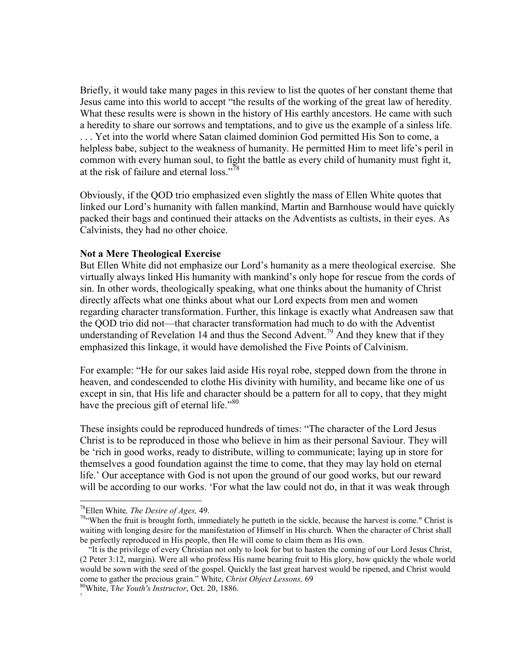Briefly, it would take many pages in this review to list the quotes of her constant theme that Jesus came into this world to accept "the results of the working of the great law of heredity. What these results were is shown in the history of His earthly ancestors. He came with such a heredity to share our sorrows and temptations, and to give us the example of a sinless life.

. . . Yet into the world where Satan claimed dominion God permitted His Son to come, a helpless babe, subject to the weakness of humanity. He permitted Him to meet life's peril in common with every human soul, to fight the battle as every child of humanity must fight it, at the risk of failure and eternal loss."<sup>78</sup>

Obviously, if the QOD trio emphasized even slightly the mass of Ellen White quotes that linked our Lord's humanity with fallen mankind, Martin and Barnhouse would have quickly packed their bags and continued their attacks on the Adventists as cultists, in their eyes. As Calvinists, they had no other choice.

#### Not a Mere Theological Exercise

But Ellen White did not emphasize our Lord's humanity as a mere theological exercise. She virtually always linked His humanity with mankind's only hope for rescue from the cords of sin. In other words, theologically speaking, what one thinks about the humanity of Christ directly affects what one thinks about what our Lord expects from men and women regarding character transformation. Further, this linkage is exactly what Andreasen saw that the QOD trio did not—that character transformation had much to do with the Adventist understanding of Revelation 14 and thus the Second Advent.<sup>79</sup> And they knew that if they emphasized this linkage, it would have demolished the Five Points of Calvinism.

For example: "He for our sakes laid aside His royal robe, stepped down from the throne in heaven, and condescended to clothe His divinity with humility, and became like one of us except in sin, that His life and character should be a pattern for all to copy, that they might have the precious gift of eternal life."<sup>80</sup>

These insights could be reproduced hundreds of times: "The character of the Lord Jesus Christ is to be reproduced in those who believe in him as their personal Saviour. They will be 'rich in good works, ready to distribute, willing to communicate; laying up in store for themselves a good foundation against the time to come, that they may lay hold on eternal life.' Our acceptance with God is not upon the ground of our good works, but our reward will be according to our works. 'For what the law could not do, in that it was weak through

<sup>&</sup>lt;sup>78</sup>Ellen White, *The Desire of Ages*, 49.

 $79$ "When the fruit is brought forth, immediately he putteth in the sickle, because the harvest is come." Christ is waiting with longing desire for the manifestation of Himself in His church. When the character of Christ shall be perfectly reproduced in His people, then He will come to claim them as His own.

 <sup>&</sup>quot;It is the privilege of every Christian not only to look for but to hasten the coming of our Lord Jesus Christ, (2 Peter 3:12, margin). Were all who profess His name bearing fruit to His glory, how quickly the whole world would be sown with the seed of the gospel. Quickly the last great harvest would be ripened, and Christ would come to gather the precious grain." White, Christ Object Lessons, 69

 $80$ White, The Youth's Instructor, Oct. 20, 1886. 7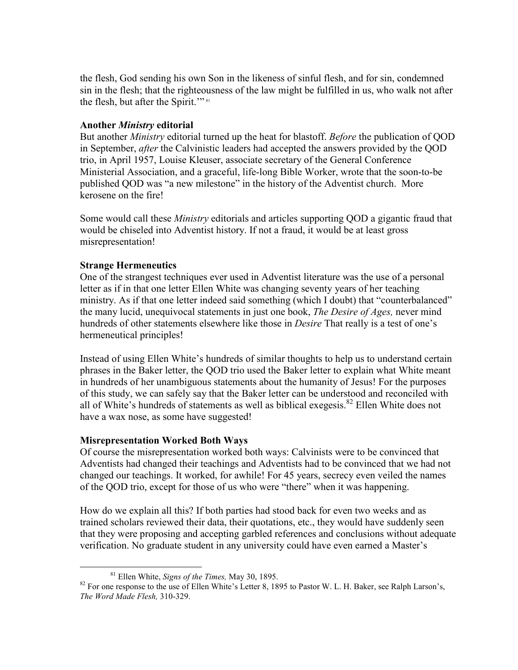the flesh, God sending his own Son in the likeness of sinful flesh, and for sin, condemned sin in the flesh; that the righteousness of the law might be fulfilled in us, who walk not after the flesh, but after the Spirit.'"<sup>81</sup>

#### Another Ministry editorial

But another *Ministry* editorial turned up the heat for blastoff. *Before* the publication of QOD in September, after the Calvinistic leaders had accepted the answers provided by the QOD trio, in April 1957, Louise Kleuser, associate secretary of the General Conference Ministerial Association, and a graceful, life-long Bible Worker, wrote that the soon-to-be published QOD was "a new milestone" in the history of the Adventist church. More kerosene on the fire!

Some would call these Ministry editorials and articles supporting QOD a gigantic fraud that would be chiseled into Adventist history. If not a fraud, it would be at least gross misrepresentation!

## Strange Hermeneutics

 $\overline{a}$ 

One of the strangest techniques ever used in Adventist literature was the use of a personal letter as if in that one letter Ellen White was changing seventy years of her teaching ministry. As if that one letter indeed said something (which I doubt) that "counterbalanced" the many lucid, unequivocal statements in just one book, *The Desire of Ages*, never mind hundreds of other statements elsewhere like those in *Desire* That really is a test of one's hermeneutical principles!

Instead of using Ellen White's hundreds of similar thoughts to help us to understand certain phrases in the Baker letter, the QOD trio used the Baker letter to explain what White meant in hundreds of her unambiguous statements about the humanity of Jesus! For the purposes of this study, we can safely say that the Baker letter can be understood and reconciled with all of White's hundreds of statements as well as biblical exegesis.<sup>82</sup> Ellen White does not have a wax nose, as some have suggested!

## Misrepresentation Worked Both Ways

Of course the misrepresentation worked both ways: Calvinists were to be convinced that Adventists had changed their teachings and Adventists had to be convinced that we had not changed our teachings. It worked, for awhile! For 45 years, secrecy even veiled the names of the QOD trio, except for those of us who were "there" when it was happening.

How do we explain all this? If both parties had stood back for even two weeks and as trained scholars reviewed their data, their quotations, etc., they would have suddenly seen that they were proposing and accepting garbled references and conclusions without adequate verification. No graduate student in any university could have even earned a Master's

 $81$  Ellen White, Signs of the Times, May 30, 1895.

<sup>&</sup>lt;sup>82</sup> For one response to the use of Ellen White's Letter 8, 1895 to Pastor W. L. H. Baker, see Ralph Larson's, The Word Made Flesh, 310-329.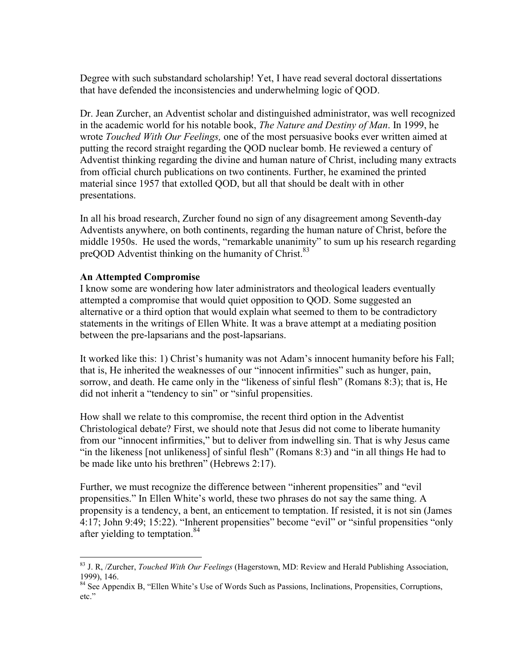Degree with such substandard scholarship! Yet, I have read several doctoral dissertations that have defended the inconsistencies and underwhelming logic of QOD.

Dr. Jean Zurcher, an Adventist scholar and distinguished administrator, was well recognized in the academic world for his notable book, The Nature and Destiny of Man. In 1999, he wrote Touched With Our Feelings, one of the most persuasive books ever written aimed at putting the record straight regarding the QOD nuclear bomb. He reviewed a century of Adventist thinking regarding the divine and human nature of Christ, including many extracts from official church publications on two continents. Further, he examined the printed material since 1957 that extolled QOD, but all that should be dealt with in other presentations.

In all his broad research, Zurcher found no sign of any disagreement among Seventh-day Adventists anywhere, on both continents, regarding the human nature of Christ, before the middle 1950s. He used the words, "remarkable unanimity" to sum up his research regarding preQOD Adventist thinking on the humanity of Christ.<sup>83</sup>

## An Attempted Compromise

I know some are wondering how later administrators and theological leaders eventually attempted a compromise that would quiet opposition to QOD. Some suggested an alternative or a third option that would explain what seemed to them to be contradictory statements in the writings of Ellen White. It was a brave attempt at a mediating position between the pre-lapsarians and the post-lapsarians.

It worked like this: 1) Christ's humanity was not Adam's innocent humanity before his Fall; that is, He inherited the weaknesses of our "innocent infirmities" such as hunger, pain, sorrow, and death. He came only in the "likeness of sinful flesh" (Romans 8:3); that is, He did not inherit a "tendency to sin" or "sinful propensities.

How shall we relate to this compromise, the recent third option in the Adventist Christological debate? First, we should note that Jesus did not come to liberate humanity from our "innocent infirmities," but to deliver from indwelling sin. That is why Jesus came "in the likeness [not unlikeness] of sinful flesh" (Romans 8:3) and "in all things He had to be made like unto his brethren" (Hebrews 2:17).

Further, we must recognize the difference between "inherent propensities" and "evil propensities." In Ellen White's world, these two phrases do not say the same thing. A propensity is a tendency, a bent, an enticement to temptation. If resisted, it is not sin (James 4:17; John 9:49; 15:22). "Inherent propensities" become "evil" or "sinful propensities "only after yielding to temptation.<sup>84</sup>

 $\overline{a}$  $83$  J. R, /Zurcher, *Touched With Our Feelings* (Hagerstown, MD: Review and Herald Publishing Association, 1999), 146.

<sup>&</sup>lt;sup>84</sup> See Appendix B, "Ellen White's Use of Words Such as Passions, Inclinations, Propensities, Corruptions, etc."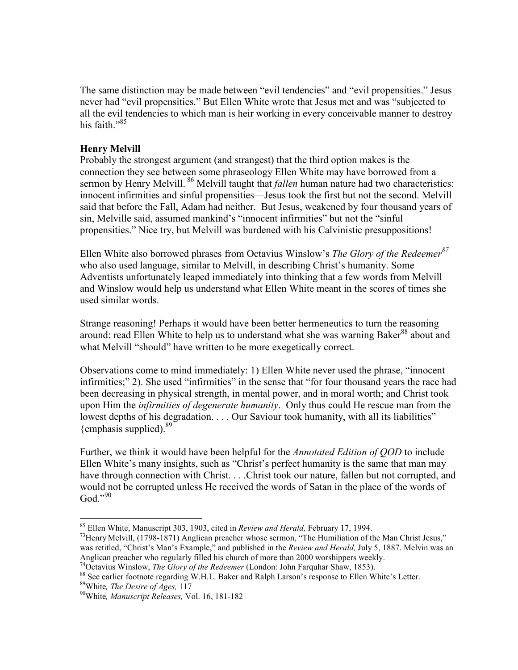The same distinction may be made between "evil tendencies" and "evil propensities." Jesus never had "evil propensities." But Ellen White wrote that Jesus met and was "subjected to all the evil tendencies to which man is heir working in every conceivable manner to destroy his faith $^{1.85}$ 

## Henry Melvill

Probably the strongest argument (and strangest) that the third option makes is the connection they see between some phraseology Ellen White may have borrowed from a sermon by Henry Melvill.<sup>86</sup> Melvill taught that *fallen* human nature had two characteristics: innocent infirmities and sinful propensities—Jesus took the first but not the second. Melvill said that before the Fall, Adam had neither. But Jesus, weakened by four thousand years of sin, Melville said, assumed mankind's "innocent infirmities" but not the "sinful propensities." Nice try, but Melvill was burdened with his Calvinistic presuppositions!

Ellen White also borrowed phrases from Octavius Winslow's The Glory of the Redeemer $87$ who also used language, similar to Melvill, in describing Christ's humanity. Some Adventists unfortunately leaped immediately into thinking that a few words from Melvill and Winslow would help us understand what Ellen White meant in the scores of times she used similar words.

Strange reasoning! Perhaps it would have been better hermeneutics to turn the reasoning around: read Ellen White to help us to understand what she was warning Baker<sup>88</sup> about and what Melvill "should" have written to be more exegetically correct.

Observations come to mind immediately: 1) Ellen White never used the phrase, "innocent infirmities;" 2). She used "infirmities" in the sense that "for four thousand years the race had been decreasing in physical strength, in mental power, and in moral worth; and Christ took upon Him the infirmities of degenerate humanity. Only thus could He rescue man from the lowest depths of his degradation. . . . Our Saviour took humanity, with all its liabilities" {emphasis supplied). $89$ 

Further, we think it would have been helpful for the Annotated Edition of QOD to include Ellen White's many insights, such as "Christ's perfect humanity is the same that man may have through connection with Christ. . . .Christ took our nature, fallen but not corrupted, and would not be corrupted unless He received the words of Satan in the place of the words of  $God. "90"$ 

<sup>&</sup>lt;sup>85</sup> Ellen White, Manuscript 303, 1903, cited in *Review and Herald*, February 17, 1994.

 $<sup>73</sup>$ Henry Melvill, (1798-1871) Anglican preacher whose sermon, "The Humiliation of the Man Christ Jesus,"</sup> was retitled, "Christ's Man's Example," and published in the *Review and Herald*, July 5, 1887. Melvin was an Anglican preacher who regularly filled his church of more than 2000 worshippers weekly.

 $^{74}$ Octavius Winslow, The Glory of the Redeemer (London: John Farquhar Shaw, 1853).

<sup>88</sup> See earlier footnote regarding W.H.L. Baker and Ralph Larson's response to Ellen White's Letter. <sup>89</sup>White, *The Desire of Ages*, 117

<sup>90</sup>White, Manuscript Releases, Vol. 16, 181-182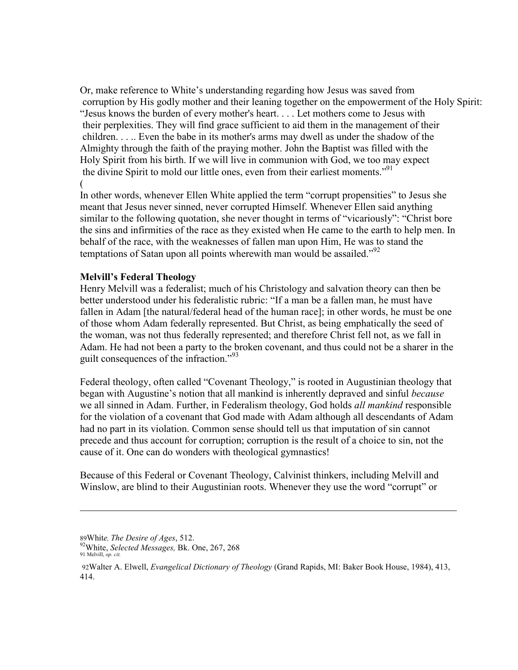Or, make reference to White's understanding regarding how Jesus was saved from corruption by His godly mother and their leaning together on the empowerment of the Holy Spirit: "Jesus knows the burden of every mother's heart. . . . Let mothers come to Jesus with their perplexities. They will find grace sufficient to aid them in the management of their children. . . .. Even the babe in its mother's arms may dwell as under the shadow of the Almighty through the faith of the praying mother. John the Baptist was filled with the Holy Spirit from his birth. If we will live in communion with God, we too may expect the divine Spirit to mold our little ones, even from their earliest moments."<sup>91</sup> (

In other words, whenever Ellen White applied the term "corrupt propensities" to Jesus she meant that Jesus never sinned, never corrupted Himself. Whenever Ellen said anything similar to the following quotation, she never thought in terms of "vicariously": "Christ bore the sins and infirmities of the race as they existed when He came to the earth to help men. In behalf of the race, with the weaknesses of fallen man upon Him, He was to stand the temptations of Satan upon all points wherewith man would be assailed."<sup>92</sup>

## Melvill's Federal Theology

Henry Melvill was a federalist; much of his Christology and salvation theory can then be better understood under his federalistic rubric: "If a man be a fallen man, he must have fallen in Adam [the natural/federal head of the human race]; in other words, he must be one of those whom Adam federally represented. But Christ, as being emphatically the seed of the woman, was not thus federally represented; and therefore Christ fell not, as we fall in Adam. He had not been a party to the broken covenant, and thus could not be a sharer in the guilt consequences of the infraction."<sup>93</sup>

Federal theology, often called "Covenant Theology," is rooted in Augustinian theology that began with Augustine's notion that all mankind is inherently depraved and sinful *because* we all sinned in Adam. Further, in Federalism theology, God holds all mankind responsible for the violation of a covenant that God made with Adam although all descendants of Adam had no part in its violation. Common sense should tell us that imputation of sin cannot precede and thus account for corruption; corruption is the result of a choice to sin, not the cause of it. One can do wonders with theological gymnastics!

Because of this Federal or Covenant Theology, Calvinist thinkers, including Melvill and Winslow, are blind to their Augustinian roots. Whenever they use the word "corrupt" or

<sup>89</sup>White, The Desire of Ages, 512.

<sup>&</sup>lt;sup>92</sup>White, Selected Messages, Bk. One, 267, 268 91 Melvill, op. cit.

<sup>92</sup>Walter A. Elwell, Evangelical Dictionary of Theology (Grand Rapids, MI: Baker Book House, 1984), 413, 414.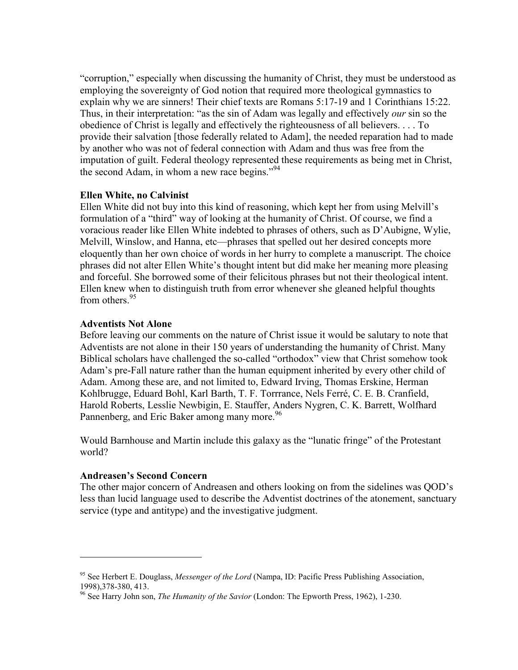"corruption," especially when discussing the humanity of Christ, they must be understood as employing the sovereignty of God notion that required more theological gymnastics to explain why we are sinners! Their chief texts are Romans 5:17-19 and 1 Corinthians 15:22. Thus, in their interpretation: "as the sin of Adam was legally and effectively our sin so the obedience of Christ is legally and effectively the righteousness of all believers. . . . To provide their salvation [those federally related to Adam], the needed reparation had to made by another who was not of federal connection with Adam and thus was free from the imputation of guilt. Federal theology represented these requirements as being met in Christ, the second Adam, in whom a new race begins."<sup>94</sup>

## Ellen White, no Calvinist

Ellen White did not buy into this kind of reasoning, which kept her from using Melvill's formulation of a "third" way of looking at the humanity of Christ. Of course, we find a voracious reader like Ellen White indebted to phrases of others, such as D'Aubigne, Wylie, Melvill, Winslow, and Hanna, etc—phrases that spelled out her desired concepts more eloquently than her own choice of words in her hurry to complete a manuscript. The choice phrases did not alter Ellen White's thought intent but did make her meaning more pleasing and forceful. She borrowed some of their felicitous phrases but not their theological intent. Ellen knew when to distinguish truth from error whenever she gleaned helpful thoughts from others.<sup>95</sup>

#### Adventists Not Alone

Before leaving our comments on the nature of Christ issue it would be salutary to note that Adventists are not alone in their 150 years of understanding the humanity of Christ. Many Biblical scholars have challenged the so-called "orthodox" view that Christ somehow took Adam's pre-Fall nature rather than the human equipment inherited by every other child of Adam. Among these are, and not limited to, Edward Irving, Thomas Erskine, Herman Kohlbrugge, Eduard Bohl, Karl Barth, T. F. Torrrance, Nels Ferré, C. E. B. Cranfield, Harold Roberts, Lesslie Newbigin, E. Stauffer, Anders Nygren, C. K. Barrett, Wolfhard Pannenberg, and Eric Baker among many more.<sup>96</sup>

Would Barnhouse and Martin include this galaxy as the "lunatic fringe" of the Protestant world?

## Andreasen's Second Concern

 $\overline{a}$ 

The other major concern of Andreasen and others looking on from the sidelines was QOD's less than lucid language used to describe the Adventist doctrines of the atonement, sanctuary service (type and antitype) and the investigative judgment.

<sup>&</sup>lt;sup>95</sup> See Herbert E. Douglass, Messenger of the Lord (Nampa, ID: Pacific Press Publishing Association, 1998),378-380, 413.

<sup>&</sup>lt;sup>96</sup> See Harry John son, *The Humanity of the Savior* (London: The Epworth Press, 1962), 1-230.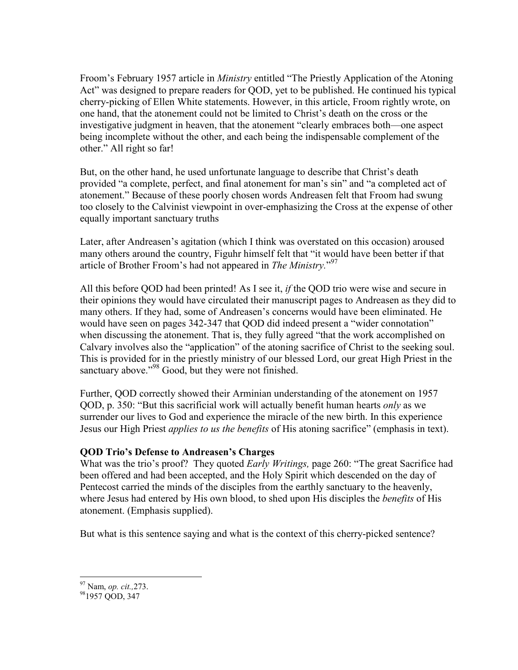Froom's February 1957 article in Ministry entitled "The Priestly Application of the Atoning Act" was designed to prepare readers for QOD, yet to be published. He continued his typical cherry-picking of Ellen White statements. However, in this article, Froom rightly wrote, on one hand, that the atonement could not be limited to Christ's death on the cross or the investigative judgment in heaven, that the atonement "clearly embraces both—one aspect being incomplete without the other, and each being the indispensable complement of the other." All right so far!

But, on the other hand, he used unfortunate language to describe that Christ's death provided "a complete, perfect, and final atonement for man's sin" and "a completed act of atonement." Because of these poorly chosen words Andreasen felt that Froom had swung too closely to the Calvinist viewpoint in over-emphasizing the Cross at the expense of other equally important sanctuary truths

Later, after Andreasen's agitation (which I think was overstated on this occasion) aroused many others around the country, Figuhr himself felt that "it would have been better if that article of Brother Froom's had not appeared in The Ministry."97

All this before QOD had been printed! As I see it, if the QOD trio were wise and secure in their opinions they would have circulated their manuscript pages to Andreasen as they did to many others. If they had, some of Andreasen's concerns would have been eliminated. He would have seen on pages 342-347 that QOD did indeed present a "wider connotation" when discussing the atonement. That is, they fully agreed "that the work accomplished on Calvary involves also the "application" of the atoning sacrifice of Christ to the seeking soul. This is provided for in the priestly ministry of our blessed Lord, our great High Priest in the sanctuary above."<sup>98</sup> Good, but they were not finished.

Further, QOD correctly showed their Arminian understanding of the atonement on 1957 QOD, p. 350: "But this sacrificial work will actually benefit human hearts only as we surrender our lives to God and experience the miracle of the new birth. In this experience Jesus our High Priest *applies to us the benefits* of His atoning sacrifice" (emphasis in text).

## QOD Trio's Defense to Andreasen's Charges

What was the trio's proof? They quoted *Early Writings*, page 260: "The great Sacrifice had been offered and had been accepted, and the Holy Spirit which descended on the day of Pentecost carried the minds of the disciples from the earthly sanctuary to the heavenly, where Jesus had entered by His own blood, to shed upon His disciples the *benefits* of His atonement. (Emphasis supplied).

But what is this sentence saying and what is the context of this cherry-picked sentence?

 $97$  Nam, *op. cit.*, 273.

<sup>98</sup>1957 QOD, 347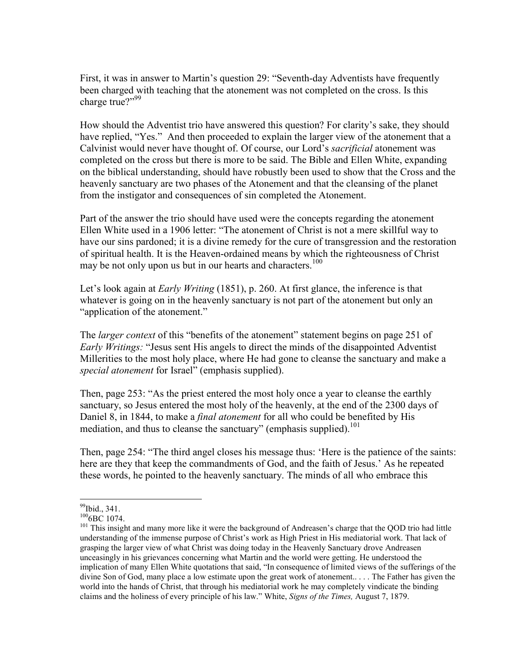First, it was in answer to Martin's question 29: "Seventh-day Adventists have frequently been charged with teaching that the atonement was not completed on the cross. Is this charge true?"<sup>99</sup>

How should the Adventist trio have answered this question? For clarity's sake, they should have replied, "Yes." And then proceeded to explain the larger view of the atonement that a Calvinist would never have thought of. Of course, our Lord's sacrificial atonement was completed on the cross but there is more to be said. The Bible and Ellen White, expanding on the biblical understanding, should have robustly been used to show that the Cross and the heavenly sanctuary are two phases of the Atonement and that the cleansing of the planet from the instigator and consequences of sin completed the Atonement.

Part of the answer the trio should have used were the concepts regarding the atonement Ellen White used in a 1906 letter: "The atonement of Christ is not a mere skillful way to have our sins pardoned; it is a divine remedy for the cure of transgression and the restoration of spiritual health. It is the Heaven-ordained means by which the righteousness of Christ may be not only upon us but in our hearts and characters.<sup>100</sup>

Let's look again at *Early Writing* (1851), p. 260. At first glance, the inference is that whatever is going on in the heavenly sanctuary is not part of the atonement but only an "application of the atonement."

The *larger context* of this "benefits of the atonement" statement begins on page 251 of Early Writings: "Jesus sent His angels to direct the minds of the disappointed Adventist Millerities to the most holy place, where He had gone to cleanse the sanctuary and make a special atonement for Israel" (emphasis supplied).

Then, page 253: "As the priest entered the most holy once a year to cleanse the earthly sanctuary, so Jesus entered the most holy of the heavenly, at the end of the 2300 days of Daniel 8, in 1844, to make a final atonement for all who could be benefited by His mediation, and thus to cleanse the sanctuary" (emphasis supplied). $^{101}$ 

Then, page 254: "The third angel closes his message thus: 'Here is the patience of the saints: here are they that keep the commandments of God, and the faith of Jesus.' As he repeated these words, he pointed to the heavenly sanctuary. The minds of all who embrace this

 $\overline{a}$ <sup>99</sup>Ibid., 341.

 $1006$ BC 1074.

<sup>&</sup>lt;sup>101</sup> This insight and many more like it were the background of Andreasen's charge that the QOD trio had little understanding of the immense purpose of Christ's work as High Priest in His mediatorial work. That lack of grasping the larger view of what Christ was doing today in the Heavenly Sanctuary drove Andreasen unceasingly in his grievances concerning what Martin and the world were getting. He understood the implication of many Ellen White quotations that said, "In consequence of limited views of the sufferings of the divine Son of God, many place a low estimate upon the great work of atonement.. . . . The Father has given the world into the hands of Christ, that through his mediatorial work he may completely vindicate the binding claims and the holiness of every principle of his law." White, Signs of the Times, August 7, 1879.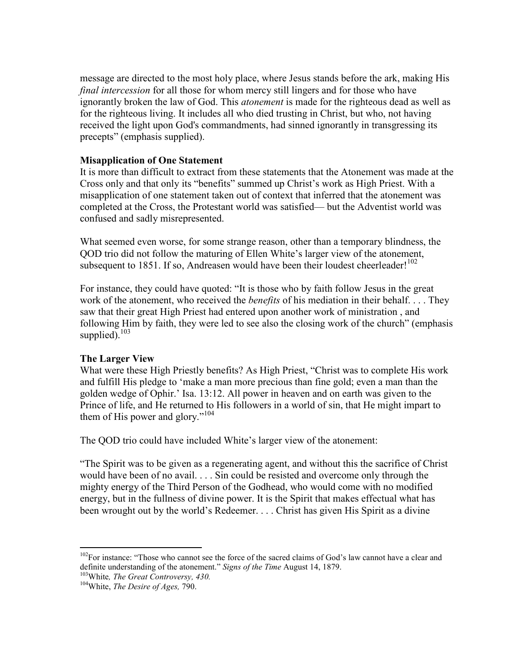message are directed to the most holy place, where Jesus stands before the ark, making His final intercession for all those for whom mercy still lingers and for those who have ignorantly broken the law of God. This atonement is made for the righteous dead as well as for the righteous living. It includes all who died trusting in Christ, but who, not having received the light upon God's commandments, had sinned ignorantly in transgressing its precepts" (emphasis supplied).

### Misapplication of One Statement

It is more than difficult to extract from these statements that the Atonement was made at the Cross only and that only its "benefits" summed up Christ's work as High Priest. With a misapplication of one statement taken out of context that inferred that the atonement was completed at the Cross, the Protestant world was satisfied— but the Adventist world was confused and sadly misrepresented.

What seemed even worse, for some strange reason, other than a temporary blindness, the QOD trio did not follow the maturing of Ellen White's larger view of the atonement, subsequent to 1851. If so, Andreasen would have been their loudest cheerleader! $102$ 

For instance, they could have quoted: "It is those who by faith follow Jesus in the great work of the atonement, who received the *benefits* of his mediation in their behalf. . . . They saw that their great High Priest had entered upon another work of ministration , and following Him by faith, they were led to see also the closing work of the church" (emphasis supplied).<sup>103</sup>

## The Larger View

What were these High Priestly benefits? As High Priest, "Christ was to complete His work and fulfill His pledge to 'make a man more precious than fine gold; even a man than the golden wedge of Ophir.' Isa. 13:12. All power in heaven and on earth was given to the Prince of life, and He returned to His followers in a world of sin, that He might impart to them of His power and glory."<sup>104</sup>

The QOD trio could have included White's larger view of the atonement:

"The Spirit was to be given as a regenerating agent, and without this the sacrifice of Christ would have been of no avail. . . . Sin could be resisted and overcome only through the mighty energy of the Third Person of the Godhead, who would come with no modified energy, but in the fullness of divine power. It is the Spirit that makes effectual what has been wrought out by the world's Redeemer. . . . Christ has given His Spirit as a divine

 $102$  For instance: "Those who cannot see the force of the sacred claims of God's law cannot have a clear and definite understanding of the atonement." Signs of the Time August 14, 1879.

 $103$ White, The Great Controversy, 430.

<sup>&</sup>lt;sup>104</sup>White, *The Desire of Ages*, 790.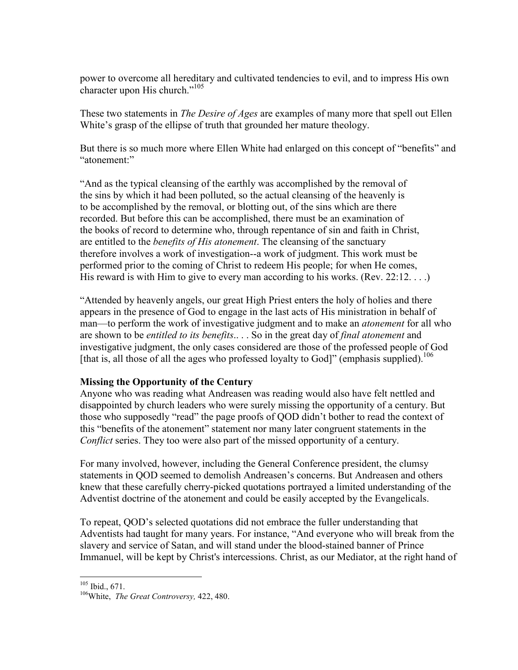power to overcome all hereditary and cultivated tendencies to evil, and to impress His own character upon His church."<sup>105</sup>

These two statements in *The Desire of Ages* are examples of many more that spell out Ellen White's grasp of the ellipse of truth that grounded her mature theology.

But there is so much more where Ellen White had enlarged on this concept of "benefits" and "atonement:"

"And as the typical cleansing of the earthly was accomplished by the removal of the sins by which it had been polluted, so the actual cleansing of the heavenly is to be accomplished by the removal, or blotting out, of the sins which are there recorded. But before this can be accomplished, there must be an examination of the books of record to determine who, through repentance of sin and faith in Christ, are entitled to the benefits of His atonement. The cleansing of the sanctuary therefore involves a work of investigation--a work of judgment. This work must be performed prior to the coming of Christ to redeem His people; for when He comes, His reward is with Him to give to every man according to his works. (Rev.  $22:12...$ )

"Attended by heavenly angels, our great High Priest enters the holy of holies and there appears in the presence of God to engage in the last acts of His ministration in behalf of man—to perform the work of investigative judgment and to make an atonement for all who are shown to be entitled to its benefits.. . . So in the great day of final atonement and investigative judgment, the only cases considered are those of the professed people of God [that is, all those of all the ages who professed loyalty to God]" (emphasis supplied).<sup>106</sup>

## Missing the Opportunity of the Century

Anyone who was reading what Andreasen was reading would also have felt nettled and disappointed by church leaders who were surely missing the opportunity of a century. But those who supposedly "read" the page proofs of QOD didn't bother to read the context of this "benefits of the atonement" statement nor many later congruent statements in the Conflict series. They too were also part of the missed opportunity of a century.

For many involved, however, including the General Conference president, the clumsy statements in QOD seemed to demolish Andreasen's concerns. But Andreasen and others knew that these carefully cherry-picked quotations portrayed a limited understanding of the Adventist doctrine of the atonement and could be easily accepted by the Evangelicals.

To repeat, QOD's selected quotations did not embrace the fuller understanding that Adventists had taught for many years. For instance, "And everyone who will break from the slavery and service of Satan, and will stand under the blood-stained banner of Prince Immanuel, will be kept by Christ's intercessions. Christ, as our Mediator, at the right hand of

 $105$  Ibid., 671.

<sup>106</sup>White, The Great Controversy, 422, 480.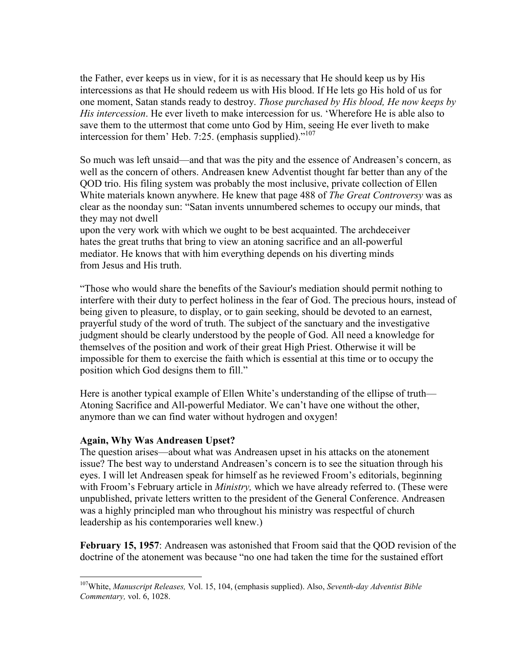the Father, ever keeps us in view, for it is as necessary that He should keep us by His intercessions as that He should redeem us with His blood. If He lets go His hold of us for one moment, Satan stands ready to destroy. Those purchased by His blood, He now keeps by His intercession. He ever liveth to make intercession for us. 'Wherefore He is able also to save them to the uttermost that come unto God by Him, seeing He ever liveth to make intercession for them' Heb. 7:25. (emphasis supplied). $107$ 

So much was left unsaid—and that was the pity and the essence of Andreasen's concern, as well as the concern of others. Andreasen knew Adventist thought far better than any of the QOD trio. His filing system was probably the most inclusive, private collection of Ellen White materials known anywhere. He knew that page 488 of The Great Controversy was as clear as the noonday sun: "Satan invents unnumbered schemes to occupy our minds, that they may not dwell

upon the very work with which we ought to be best acquainted. The archdeceiver hates the great truths that bring to view an atoning sacrifice and an all-powerful mediator. He knows that with him everything depends on his diverting minds from Jesus and His truth.

"Those who would share the benefits of the Saviour's mediation should permit nothing to interfere with their duty to perfect holiness in the fear of God. The precious hours, instead of being given to pleasure, to display, or to gain seeking, should be devoted to an earnest, prayerful study of the word of truth. The subject of the sanctuary and the investigative judgment should be clearly understood by the people of God. All need a knowledge for themselves of the position and work of their great High Priest. Otherwise it will be impossible for them to exercise the faith which is essential at this time or to occupy the position which God designs them to fill."

Here is another typical example of Ellen White's understanding of the ellipse of truth— Atoning Sacrifice and All-powerful Mediator. We can't have one without the other, anymore than we can find water without hydrogen and oxygen!

#### Again, Why Was Andreasen Upset?

 $\overline{a}$ 

The question arises—about what was Andreasen upset in his attacks on the atonement issue? The best way to understand Andreasen's concern is to see the situation through his eyes. I will let Andreasen speak for himself as he reviewed Froom's editorials, beginning with Froom's February article in *Ministry*, which we have already referred to. (These were unpublished, private letters written to the president of the General Conference. Andreasen was a highly principled man who throughout his ministry was respectful of church leadership as his contemporaries well knew.)

 February 15, 1957: Andreasen was astonished that Froom said that the QOD revision of the doctrine of the atonement was because "no one had taken the time for the sustained effort

<sup>&</sup>lt;sup>107</sup>White, Manuscript Releases, Vol. 15, 104, (emphasis supplied). Also, Seventh-day Adventist Bible Commentary, vol. 6, 1028.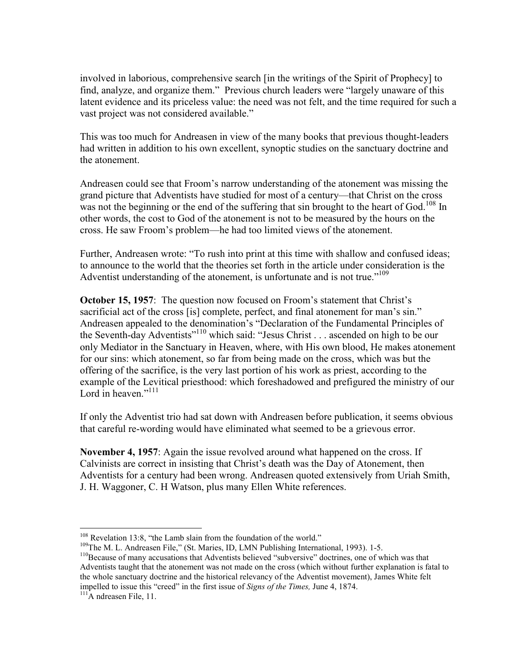involved in laborious, comprehensive search [in the writings of the Spirit of Prophecy] to find, analyze, and organize them." Previous church leaders were "largely unaware of this latent evidence and its priceless value: the need was not felt, and the time required for such a vast project was not considered available."

This was too much for Andreasen in view of the many books that previous thought-leaders had written in addition to his own excellent, synoptic studies on the sanctuary doctrine and the atonement.

Andreasen could see that Froom's narrow understanding of the atonement was missing the grand picture that Adventists have studied for most of a century—that Christ on the cross was not the beginning or the end of the suffering that sin brought to the heart of God.<sup>108</sup> In other words, the cost to God of the atonement is not to be measured by the hours on the cross. He saw Froom's problem—he had too limited views of the atonement.

Further, Andreasen wrote: "To rush into print at this time with shallow and confused ideas; to announce to the world that the theories set forth in the article under consideration is the Adventist understanding of the atonement, is unfortunate and is not true."<sup>109</sup>

October 15, 1957: The question now focused on Froom's statement that Christ's sacrificial act of the cross [is] complete, perfect, and final atonement for man's sin." Andreasen appealed to the denomination's "Declaration of the Fundamental Principles of the Seventh-day Adventists"<sup>110</sup> which said: "Jesus Christ . . . ascended on high to be our only Mediator in the Sanctuary in Heaven, where, with His own blood, He makes atonement for our sins: which atonement, so far from being made on the cross, which was but the offering of the sacrifice, is the very last portion of his work as priest, according to the example of the Levitical priesthood: which foreshadowed and prefigured the ministry of our Lord in heaven."<sup>111</sup>

If only the Adventist trio had sat down with Andreasen before publication, it seems obvious that careful re-wording would have eliminated what seemed to be a grievous error.

November 4, 1957: Again the issue revolved around what happened on the cross. If Calvinists are correct in insisting that Christ's death was the Day of Atonement, then Adventists for a century had been wrong. Andreasen quoted extensively from Uriah Smith, J. H. Waggoner, C. H Watson, plus many Ellen White references.

<sup>109</sup>The M. L. Andreasen File," (St. Maries, ID, LMN Publishing International, 1993). 1-5.

 $\overline{a}$ <sup>108</sup> Revelation 13:8, "the Lamb slain from the foundation of the world."

<sup>&</sup>lt;sup>110</sup>Because of many accusations that Adventists believed "subversive" doctrines, one of which was that Adventists taught that the atonement was not made on the cross (which without further explanation is fatal to the whole sanctuary doctrine and the historical relevancy of the Adventist movement), James White felt impelled to issue this "creed" in the first issue of Signs of the Times, June 4, 1874.

 $111<sup>2</sup>$ A ndreasen File, 11.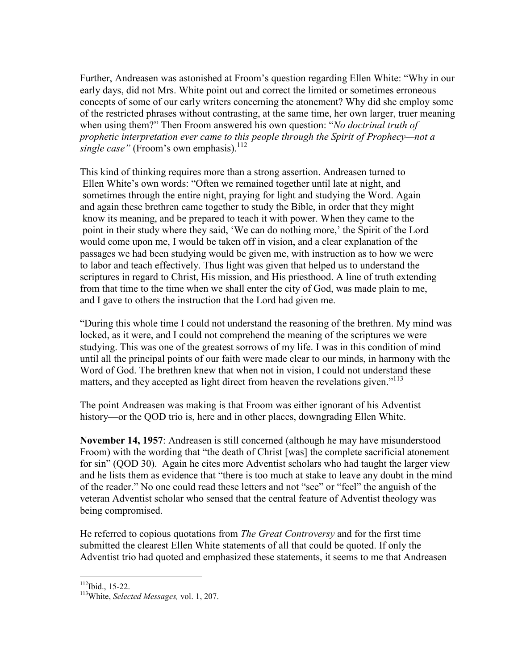Further, Andreasen was astonished at Froom's question regarding Ellen White: "Why in our early days, did not Mrs. White point out and correct the limited or sometimes erroneous concepts of some of our early writers concerning the atonement? Why did she employ some of the restricted phrases without contrasting, at the same time, her own larger, truer meaning when using them?" Then Froom answered his own question: "No doctrinal truth of prophetic interpretation ever came to this people through the Spirit of Prophecy—not a single case" (Froom's own emphasis). $112$ 

This kind of thinking requires more than a strong assertion. Andreasen turned to Ellen White's own words: "Often we remained together until late at night, and sometimes through the entire night, praying for light and studying the Word. Again and again these brethren came together to study the Bible, in order that they might know its meaning, and be prepared to teach it with power. When they came to the point in their study where they said, 'We can do nothing more,' the Spirit of the Lord would come upon me, I would be taken off in vision, and a clear explanation of the passages we had been studying would be given me, with instruction as to how we were to labor and teach effectively. Thus light was given that helped us to understand the scriptures in regard to Christ, His mission, and His priesthood. A line of truth extending from that time to the time when we shall enter the city of God, was made plain to me, and I gave to others the instruction that the Lord had given me.

"During this whole time I could not understand the reasoning of the brethren. My mind was locked, as it were, and I could not comprehend the meaning of the scriptures we were studying. This was one of the greatest sorrows of my life. I was in this condition of mind until all the principal points of our faith were made clear to our minds, in harmony with the Word of God. The brethren knew that when not in vision, I could not understand these matters, and they accepted as light direct from heaven the revelations given."<sup>113</sup>

The point Andreasen was making is that Froom was either ignorant of his Adventist history—or the QOD trio is, here and in other places, downgrading Ellen White.

November 14, 1957: Andreasen is still concerned (although he may have misunderstood Froom) with the wording that "the death of Christ [was] the complete sacrificial atonement for sin" (QOD 30). Again he cites more Adventist scholars who had taught the larger view and he lists them as evidence that "there is too much at stake to leave any doubt in the mind of the reader." No one could read these letters and not "see" or "feel" the anguish of the veteran Adventist scholar who sensed that the central feature of Adventist theology was being compromised.

He referred to copious quotations from The Great Controversy and for the first time submitted the clearest Ellen White statements of all that could be quoted. If only the Adventist trio had quoted and emphasized these statements, it seems to me that Andreasen

 $112$ Ibid., 15-22.

<sup>&</sup>lt;sup>113</sup>White, Selected Messages, vol. 1, 207.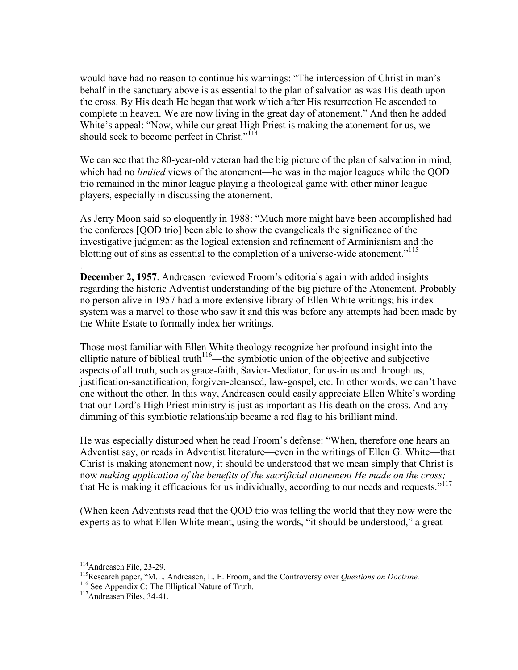would have had no reason to continue his warnings: "The intercession of Christ in man's behalf in the sanctuary above is as essential to the plan of salvation as was His death upon the cross. By His death He began that work which after His resurrection He ascended to complete in heaven. We are now living in the great day of atonement." And then he added White's appeal: "Now, while our great High Priest is making the atonement for us, we should seek to become perfect in Christ."<sup>114</sup>

We can see that the 80-year-old veteran had the big picture of the plan of salvation in mind, which had no *limited* views of the atonement—he was in the major leagues while the QOD trio remained in the minor league playing a theological game with other minor league players, especially in discussing the atonement.

As Jerry Moon said so eloquently in 1988: "Much more might have been accomplished had the conferees [QOD trio] been able to show the evangelicals the significance of the investigative judgment as the logical extension and refinement of Arminianism and the blotting out of sins as essential to the completion of a universe-wide atonement."<sup>115</sup>

December 2, 1957. Andreasen reviewed Froom's editorials again with added insights regarding the historic Adventist understanding of the big picture of the Atonement. Probably no person alive in 1957 had a more extensive library of Ellen White writings; his index system was a marvel to those who saw it and this was before any attempts had been made by the White Estate to formally index her writings.

Those most familiar with Ellen White theology recognize her profound insight into the elliptic nature of biblical truth<sup>116</sup>—the symbiotic union of the objective and subjective aspects of all truth, such as grace-faith, Savior-Mediator, for us-in us and through us, justification-sanctification, forgiven-cleansed, law-gospel, etc. In other words, we can't have one without the other. In this way, Andreasen could easily appreciate Ellen White's wording that our Lord's High Priest ministry is just as important as His death on the cross. And any dimming of this symbiotic relationship became a red flag to his brilliant mind.

He was especially disturbed when he read Froom's defense: "When, therefore one hears an Adventist say, or reads in Adventist literature—even in the writings of Ellen G. White—that Christ is making atonement now, it should be understood that we mean simply that Christ is now making application of the benefits of the sacrificial atonement He made on the cross; that He is making it efficacious for us individually, according to our needs and requests."<sup>117</sup>

(When keen Adventists read that the QOD trio was telling the world that they now were the experts as to what Ellen White meant, using the words, "it should be understood," a great

.

 $115$ Research paper, "M.L. Andreasen, L. E. Froom, and the Controversy over *Questions on Doctrine*.

 $\overline{a}$ <sup>114</sup>Andreasen File, 23-29.

<sup>&</sup>lt;sup>116</sup> See Appendix C: The Elliptical Nature of Truth.

<sup>&</sup>lt;sup>117</sup>Andreasen Files, 34-41.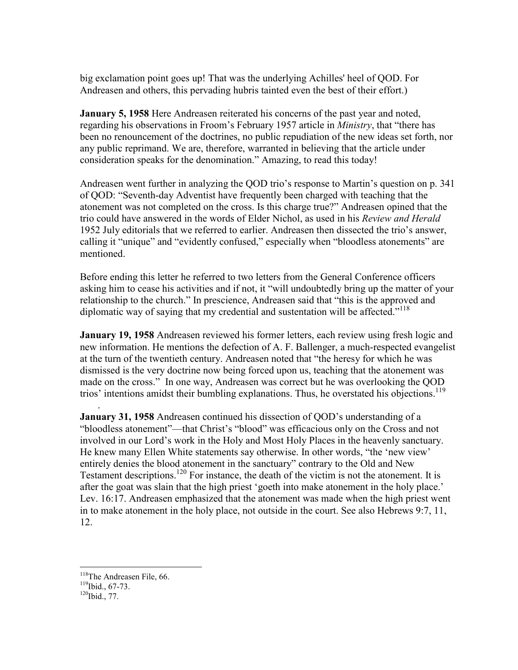big exclamation point goes up! That was the underlying Achilles' heel of QOD. For Andreasen and others, this pervading hubris tainted even the best of their effort.)

January 5, 1958 Here Andreasen reiterated his concerns of the past year and noted, regarding his observations in Froom's February 1957 article in Ministry, that "there has been no renouncement of the doctrines, no public repudiation of the new ideas set forth, nor any public reprimand. We are, therefore, warranted in believing that the article under consideration speaks for the denomination." Amazing, to read this today!

Andreasen went further in analyzing the QOD trio's response to Martin's question on p. 341 of QOD: "Seventh-day Adventist have frequently been charged with teaching that the atonement was not completed on the cross. Is this charge true?" Andreasen opined that the trio could have answered in the words of Elder Nichol, as used in his Review and Herald 1952 July editorials that we referred to earlier. Andreasen then dissected the trio's answer, calling it "unique" and "evidently confused," especially when "bloodless atonements" are mentioned.

Before ending this letter he referred to two letters from the General Conference officers asking him to cease his activities and if not, it "will undoubtedly bring up the matter of your relationship to the church." In prescience, Andreasen said that "this is the approved and diplomatic way of saying that my credential and sustentation will be affected."<sup>118</sup>

January 19, 1958 Andreasen reviewed his former letters, each review using fresh logic and new information. He mentions the defection of A. F. Ballenger, a much-respected evangelist at the turn of the twentieth century. Andreasen noted that "the heresy for which he was dismissed is the very doctrine now being forced upon us, teaching that the atonement was made on the cross." In one way, Andreasen was correct but he was overlooking the QOD trios' intentions amidst their bumbling explanations. Thus, he overstated his objections.<sup>119</sup>

. January 31, 1958 Andreasen continued his dissection of QOD's understanding of a "bloodless atonement"—that Christ's "blood" was efficacious only on the Cross and not involved in our Lord's work in the Holy and Most Holy Places in the heavenly sanctuary. He knew many Ellen White statements say otherwise. In other words, "the 'new view' entirely denies the blood atonement in the sanctuary" contrary to the Old and New Testament descriptions.<sup>120</sup> For instance, the death of the victim is not the atonement. It is after the goat was slain that the high priest 'goeth into make atonement in the holy place.' Lev. 16:17. Andreasen emphasized that the atonement was made when the high priest went in to make atonement in the holy place, not outside in the court. See also Hebrews 9:7, 11, 12.

<sup>&</sup>lt;sup>118</sup>The Andreasen File, 66.

<sup>119</sup>Ibid., 67-73.

 $120$ Ibid., 77.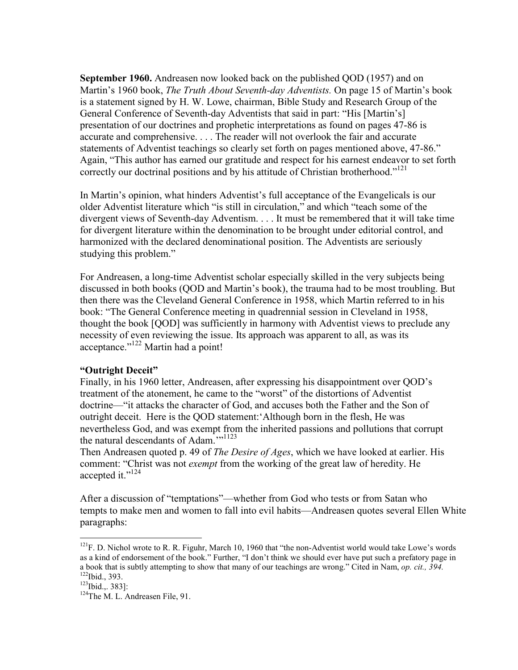September 1960. Andreasen now looked back on the published QOD (1957) and on Martin's 1960 book, The Truth About Seventh-day Adventists. On page 15 of Martin's book is a statement signed by H. W. Lowe, chairman, Bible Study and Research Group of the General Conference of Seventh-day Adventists that said in part: "His [Martin's] presentation of our doctrines and prophetic interpretations as found on pages 47-86 is accurate and comprehensive. . . . The reader will not overlook the fair and accurate statements of Adventist teachings so clearly set forth on pages mentioned above, 47-86." Again, "This author has earned our gratitude and respect for his earnest endeavor to set forth correctly our doctrinal positions and by his attitude of Christian brotherhood."<sup>121</sup>

In Martin's opinion, what hinders Adventist's full acceptance of the Evangelicals is our older Adventist literature which "is still in circulation," and which "teach some of the divergent views of Seventh-day Adventism. . . . It must be remembered that it will take time for divergent literature within the denomination to be brought under editorial control, and harmonized with the declared denominational position. The Adventists are seriously studying this problem."

For Andreasen, a long-time Adventist scholar especially skilled in the very subjects being discussed in both books (QOD and Martin's book), the trauma had to be most troubling. But then there was the Cleveland General Conference in 1958, which Martin referred to in his book: "The General Conference meeting in quadrennial session in Cleveland in 1958, thought the book [QOD] was sufficiently in harmony with Adventist views to preclude any necessity of even reviewing the issue. Its approach was apparent to all, as was its acceptance."<sup>122</sup> Martin had a point!

#### "Outright Deceit"

Finally, in his 1960 letter, Andreasen, after expressing his disappointment over QOD's treatment of the atonement, he came to the "worst" of the distortions of Adventist doctrine—"it attacks the character of God, and accuses both the Father and the Son of outright deceit. Here is the QOD statement:'Although born in the flesh, He was nevertheless God, and was exempt from the inherited passions and pollutions that corrupt the natural descendants of Adam.""<sup>1123</sup>

Then Andreasen quoted p. 49 of *The Desire of Ages*, which we have looked at earlier. His comment: "Christ was not exempt from the working of the great law of heredity. He accepted it."<sup>124</sup>

After a discussion of "temptations"—whether from God who tests or from Satan who tempts to make men and women to fall into evil habits—Andreasen quotes several Ellen White paragraphs:

 $121F$ . D. Nichol wrote to R. R. Figuhr, March 10, 1960 that "the non-Adventist world would take Lowe's words as a kind of endorsement of the book." Further, "I don't think we should ever have put such a prefatory page in a book that is subtly attempting to show that many of our teachings are wrong." Cited in Nam, op. cit., 394. <sup>122</sup>Ibid., 393.

<sup>123</sup>Ibid.,. 383]:

<sup>&</sup>lt;sup>124</sup>The M. L. Andreasen File, 91.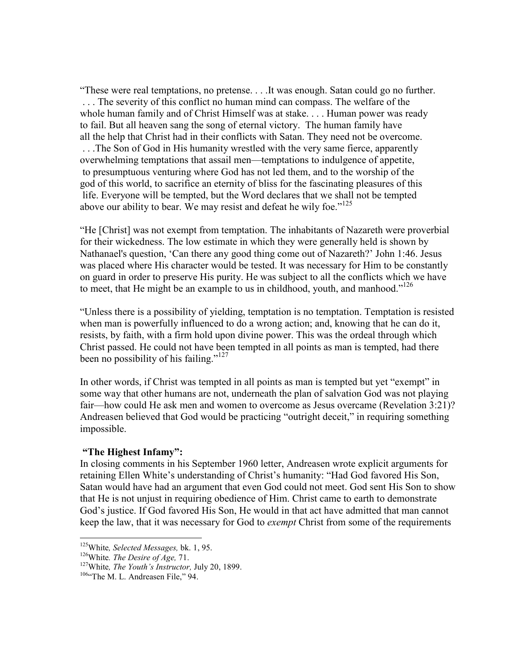"These were real temptations, no pretense. . . .It was enough. Satan could go no further. . . . The severity of this conflict no human mind can compass. The welfare of the whole human family and of Christ Himself was at stake. . . . Human power was ready to fail. But all heaven sang the song of eternal victory. The human family have all the help that Christ had in their conflicts with Satan. They need not be overcome. . . .The Son of God in His humanity wrestled with the very same fierce, apparently overwhelming temptations that assail men—temptations to indulgence of appetite, to presumptuous venturing where God has not led them, and to the worship of the god of this world, to sacrifice an eternity of bliss for the fascinating pleasures of this life. Everyone will be tempted, but the Word declares that we shall not be tempted above our ability to bear. We may resist and defeat he wily foe." $125$ 

"He [Christ] was not exempt from temptation. The inhabitants of Nazareth were proverbial for their wickedness. The low estimate in which they were generally held is shown by Nathanael's question, 'Can there any good thing come out of Nazareth?' John 1:46. Jesus was placed where His character would be tested. It was necessary for Him to be constantly on guard in order to preserve His purity. He was subject to all the conflicts which we have to meet, that He might be an example to us in childhood, youth, and manhood."<sup>126</sup>

"Unless there is a possibility of yielding, temptation is no temptation. Temptation is resisted when man is powerfully influenced to do a wrong action; and, knowing that he can do it, resists, by faith, with a firm hold upon divine power. This was the ordeal through which Christ passed. He could not have been tempted in all points as man is tempted, had there been no possibility of his failing."<sup>127</sup>

In other words, if Christ was tempted in all points as man is tempted but yet "exempt" in some way that other humans are not, underneath the plan of salvation God was not playing fair—how could He ask men and women to overcome as Jesus overcame (Revelation 3:21)? Andreasen believed that God would be practicing "outright deceit," in requiring something impossible.

#### "The Highest Infamy":

In closing comments in his September 1960 letter, Andreasen wrote explicit arguments for retaining Ellen White's understanding of Christ's humanity: "Had God favored His Son, Satan would have had an argument that even God could not meet. God sent His Son to show that He is not unjust in requiring obedience of Him. Christ came to earth to demonstrate God's justice. If God favored His Son, He would in that act have admitted that man cannot keep the law, that it was necessary for God to exempt Christ from some of the requirements

<sup>&</sup>lt;sup>125</sup>White, Selected Messages, bk. 1, 95.

 $126$ White. The Desire of Age, 71.

 $127$ White, The Youth's Instructor, July 20, 1899.

<sup>106&</sup>lt;sup>c</sup>The M. L. Andreasen File," 94.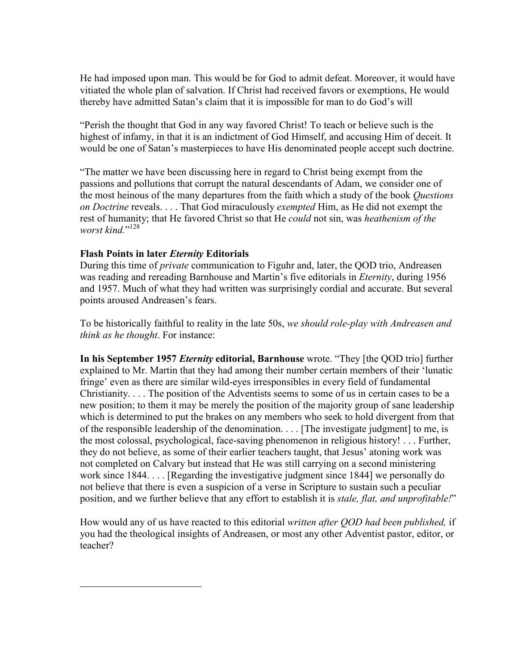He had imposed upon man. This would be for God to admit defeat. Moreover, it would have vitiated the whole plan of salvation. If Christ had received favors or exemptions, He would thereby have admitted Satan's claim that it is impossible for man to do God's will

"Perish the thought that God in any way favored Christ! To teach or believe such is the highest of infamy, in that it is an indictment of God Himself, and accusing Him of deceit. It would be one of Satan's masterpieces to have His denominated people accept such doctrine.

"The matter we have been discussing here in regard to Christ being exempt from the passions and pollutions that corrupt the natural descendants of Adam, we consider one of the most heinous of the many departures from the faith which a study of the book Questions on Doctrine reveals. . . . That God miraculously exempted Him, as He did not exempt the rest of humanity; that He favored Christ so that He could not sin, was heathenism of the worst kind." 128

## Flash Points in later Eternity Editorials

 $\overline{a}$ 

During this time of private communication to Figuhr and, later, the QOD trio, Andreasen was reading and rereading Barnhouse and Martin's five editorials in Eternity, during 1956 and 1957. Much of what they had written was surprisingly cordial and accurate. But several points aroused Andreasen's fears.

To be historically faithful to reality in the late 50s, we should role-play with Andreasen and think as he thought. For instance:

In his September 1957 *Eternity* editorial, Barnhouse wrote. "They [the QOD trio] further explained to Mr. Martin that they had among their number certain members of their 'lunatic fringe' even as there are similar wild-eyes irresponsibles in every field of fundamental Christianity. . . . The position of the Adventists seems to some of us in certain cases to be a new position; to them it may be merely the position of the majority group of sane leadership which is determined to put the brakes on any members who seek to hold divergent from that of the responsible leadership of the denomination. . . . [The investigate judgment] to me, is the most colossal, psychological, face-saving phenomenon in religious history! . . . Further, they do not believe, as some of their earlier teachers taught, that Jesus' atoning work was not completed on Calvary but instead that He was still carrying on a second ministering work since 1844. . . . [Regarding the investigative judgment since 1844] we personally do not believe that there is even a suspicion of a verse in Scripture to sustain such a peculiar position, and we further believe that any effort to establish it is *stale, flat, and unprofitable!*"

How would any of us have reacted to this editorial written after OOD had been published, if you had the theological insights of Andreasen, or most any other Adventist pastor, editor, or teacher?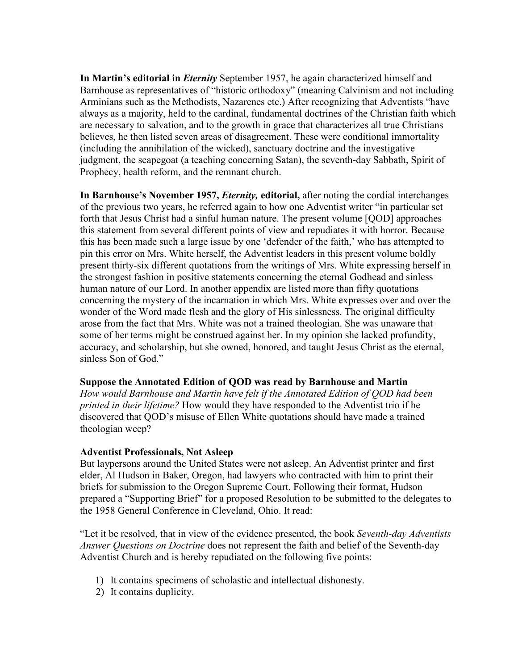In Martin's editorial in *Eternity* September 1957, he again characterized himself and Barnhouse as representatives of "historic orthodoxy" (meaning Calvinism and not including Arminians such as the Methodists, Nazarenes etc.) After recognizing that Adventists "have always as a majority, held to the cardinal, fundamental doctrines of the Christian faith which are necessary to salvation, and to the growth in grace that characterizes all true Christians believes, he then listed seven areas of disagreement. These were conditional immortality (including the annihilation of the wicked), sanctuary doctrine and the investigative judgment, the scapegoat (a teaching concerning Satan), the seventh-day Sabbath, Spirit of Prophecy, health reform, and the remnant church.

In Barnhouse's November 1957, *Eternity*, editorial, after noting the cordial interchanges of the previous two years, he referred again to how one Adventist writer "in particular set forth that Jesus Christ had a sinful human nature. The present volume [QOD] approaches this statement from several different points of view and repudiates it with horror. Because this has been made such a large issue by one 'defender of the faith,' who has attempted to pin this error on Mrs. White herself, the Adventist leaders in this present volume boldly present thirty-six different quotations from the writings of Mrs. White expressing herself in the strongest fashion in positive statements concerning the eternal Godhead and sinless human nature of our Lord. In another appendix are listed more than fifty quotations concerning the mystery of the incarnation in which Mrs. White expresses over and over the wonder of the Word made flesh and the glory of His sinlessness. The original difficulty arose from the fact that Mrs. White was not a trained theologian. She was unaware that some of her terms might be construed against her. In my opinion she lacked profundity, accuracy, and scholarship, but she owned, honored, and taught Jesus Christ as the eternal, sinless Son of God."

## Suppose the Annotated Edition of QOD was read by Barnhouse and Martin

How would Barnhouse and Martin have felt if the Annotated Edition of QOD had been printed in their lifetime? How would they have responded to the Adventist trio if he discovered that QOD's misuse of Ellen White quotations should have made a trained theologian weep?

## Adventist Professionals, Not Asleep

But laypersons around the United States were not asleep. An Adventist printer and first elder, Al Hudson in Baker, Oregon, had lawyers who contracted with him to print their briefs for submission to the Oregon Supreme Court. Following their format, Hudson prepared a "Supporting Brief" for a proposed Resolution to be submitted to the delegates to the 1958 General Conference in Cleveland, Ohio. It read:

"Let it be resolved, that in view of the evidence presented, the book Seventh-day Adventists Answer Questions on Doctrine does not represent the faith and belief of the Seventh-day Adventist Church and is hereby repudiated on the following five points:

- 1) It contains specimens of scholastic and intellectual dishonesty.
- 2) It contains duplicity.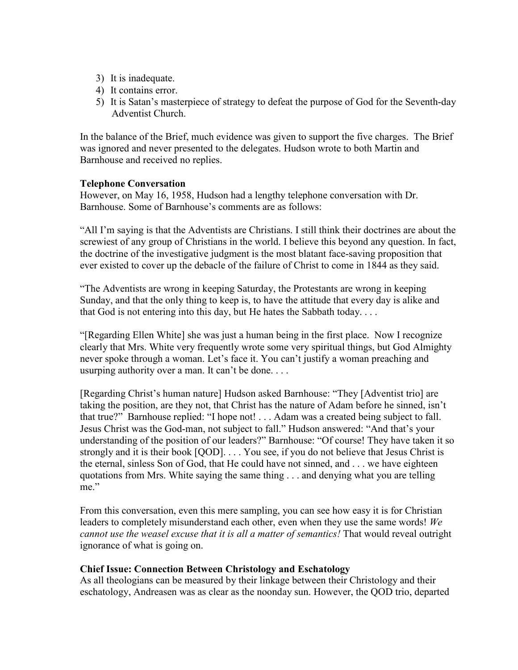- 3) It is inadequate.
- 4) It contains error.
- 5) It is Satan's masterpiece of strategy to defeat the purpose of God for the Seventh-day Adventist Church.

In the balance of the Brief, much evidence was given to support the five charges. The Brief was ignored and never presented to the delegates. Hudson wrote to both Martin and Barnhouse and received no replies.

## Telephone Conversation

However, on May 16, 1958, Hudson had a lengthy telephone conversation with Dr. Barnhouse. Some of Barnhouse's comments are as follows:

"All I'm saying is that the Adventists are Christians. I still think their doctrines are about the screwiest of any group of Christians in the world. I believe this beyond any question. In fact, the doctrine of the investigative judgment is the most blatant face-saving proposition that ever existed to cover up the debacle of the failure of Christ to come in 1844 as they said.

"The Adventists are wrong in keeping Saturday, the Protestants are wrong in keeping Sunday, and that the only thing to keep is, to have the attitude that every day is alike and that God is not entering into this day, but He hates the Sabbath today. . . .

"[Regarding Ellen White] she was just a human being in the first place. Now I recognize clearly that Mrs. White very frequently wrote some very spiritual things, but God Almighty never spoke through a woman. Let's face it. You can't justify a woman preaching and usurping authority over a man. It can't be done. . . .

[Regarding Christ's human nature] Hudson asked Barnhouse: "They [Adventist trio] are taking the position, are they not, that Christ has the nature of Adam before he sinned, isn't that true?" Barnhouse replied: "I hope not! . . . Adam was a created being subject to fall. Jesus Christ was the God-man, not subject to fall." Hudson answered: "And that's your understanding of the position of our leaders?" Barnhouse: "Of course! They have taken it so strongly and it is their book [QOD]. . . . You see, if you do not believe that Jesus Christ is the eternal, sinless Son of God, that He could have not sinned, and . . . we have eighteen quotations from Mrs. White saying the same thing . . . and denying what you are telling me."

From this conversation, even this mere sampling, you can see how easy it is for Christian leaders to completely misunderstand each other, even when they use the same words! We cannot use the weasel excuse that it is all a matter of semantics! That would reveal outright ignorance of what is going on.

## Chief Issue: Connection Between Christology and Eschatology

As all theologians can be measured by their linkage between their Christology and their eschatology, Andreasen was as clear as the noonday sun. However, the QOD trio, departed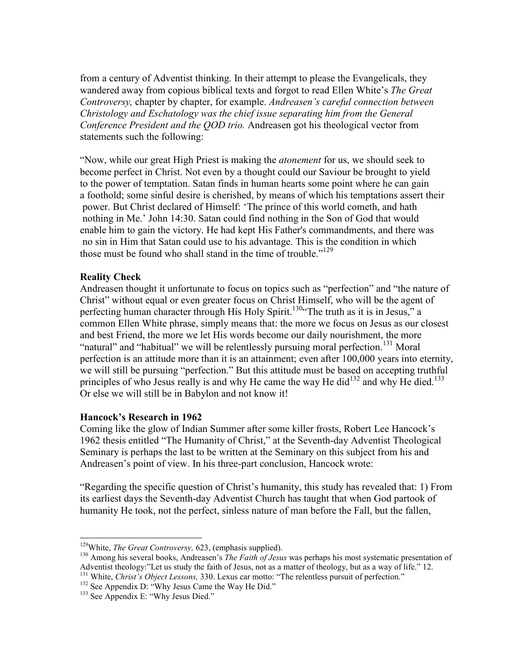from a century of Adventist thinking. In their attempt to please the Evangelicals, they wandered away from copious biblical texts and forgot to read Ellen White's The Great Controversy, chapter by chapter, for example. Andreasen's careful connection between Christology and Eschatology was the chief issue separating him from the General Conference President and the QOD trio. Andreasen got his theological vector from statements such the following:

"Now, while our great High Priest is making the atonement for us, we should seek to become perfect in Christ. Not even by a thought could our Saviour be brought to yield to the power of temptation. Satan finds in human hearts some point where he can gain a foothold; some sinful desire is cherished, by means of which his temptations assert their power. But Christ declared of Himself: 'The prince of this world cometh, and hath nothing in Me.' John 14:30. Satan could find nothing in the Son of God that would enable him to gain the victory. He had kept His Father's commandments, and there was no sin in Him that Satan could use to his advantage. This is the condition in which those must be found who shall stand in the time of trouble."<sup>129</sup>

## Reality Check

Andreasen thought it unfortunate to focus on topics such as "perfection" and "the nature of Christ" without equal or even greater focus on Christ Himself, who will be the agent of perfecting human character through His Holy Spirit.<sup>130</sup> The truth as it is in Jesus," a common Ellen White phrase, simply means that: the more we focus on Jesus as our closest and best Friend, the more we let His words become our daily nourishment, the more "natural" and "habitual" we will be relentlessly pursuing moral perfection.<sup>131</sup> Moral perfection is an attitude more than it is an attainment; even after 100,000 years into eternity, we will still be pursuing "perfection." But this attitude must be based on accepting truthful principles of who Jesus really is and why He came the way He did<sup>132</sup> and why He died.<sup>133</sup> Or else we will still be in Babylon and not know it!

#### Hancock's Research in 1962

Coming like the glow of Indian Summer after some killer frosts, Robert Lee Hancock's 1962 thesis entitled "The Humanity of Christ," at the Seventh-day Adventist Theological Seminary is perhaps the last to be written at the Seminary on this subject from his and Andreasen's point of view. In his three-part conclusion, Hancock wrote:

"Regarding the specific question of Christ's humanity, this study has revealed that: 1) From its earliest days the Seventh-day Adventist Church has taught that when God partook of humanity He took, not the perfect, sinless nature of man before the Fall, but the fallen,

- $130$  Among his several books, Andreasen's *The Faith of Jesus* was perhaps his most systematic presentation of Adventist theology:"Let us study the faith of Jesus, not as a matter of theology, but as a way of life." 12.
- <sup>131</sup> White, Christ's Object Lessons, 330. Lexus car motto: "The relentless pursuit of perfection."

 $129$ White, *The Great Controversy*, 623, (emphasis supplied).

<sup>&</sup>lt;sup>132</sup> See Appendix D: "Why Jesus Came the Way He Did."

 $133$  See Appendix E: "Why Jesus Died."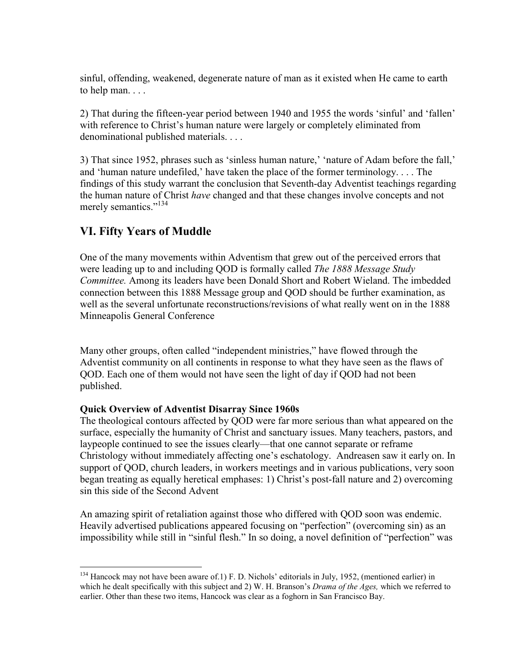sinful, offending, weakened, degenerate nature of man as it existed when He came to earth to help man. . . .

2) That during the fifteen-year period between 1940 and 1955 the words 'sinful' and 'fallen' with reference to Christ's human nature were largely or completely eliminated from denominational published materials. . . .

3) That since 1952, phrases such as 'sinless human nature,' 'nature of Adam before the fall,' and 'human nature undefiled,' have taken the place of the former terminology. . . . The findings of this study warrant the conclusion that Seventh-day Adventist teachings regarding the human nature of Christ have changed and that these changes involve concepts and not merely semantics."<sup>134</sup>

# VI. Fifty Years of Muddle

One of the many movements within Adventism that grew out of the perceived errors that were leading up to and including QOD is formally called The 1888 Message Study Committee. Among its leaders have been Donald Short and Robert Wieland. The imbedded connection between this 1888 Message group and QOD should be further examination, as well as the several unfortunate reconstructions/revisions of what really went on in the 1888 Minneapolis General Conference

Many other groups, often called "independent ministries," have flowed through the Adventist community on all continents in response to what they have seen as the flaws of QOD. Each one of them would not have seen the light of day if QOD had not been published.

## Quick Overview of Adventist Disarray Since 1960s

The theological contours affected by QOD were far more serious than what appeared on the surface, especially the humanity of Christ and sanctuary issues. Many teachers, pastors, and laypeople continued to see the issues clearly—that one cannot separate or reframe Christology without immediately affecting one's eschatology. Andreasen saw it early on. In support of QOD, church leaders, in workers meetings and in various publications, very soon began treating as equally heretical emphases: 1) Christ's post-fall nature and 2) overcoming sin this side of the Second Advent

An amazing spirit of retaliation against those who differed with QOD soon was endemic. Heavily advertised publications appeared focusing on "perfection" (overcoming sin) as an impossibility while still in "sinful flesh." In so doing, a novel definition of "perfection" was

 $\overline{a}$  $134$  Hancock may not have been aware of.1) F. D. Nichols' editorials in July, 1952, (mentioned earlier) in which he dealt specifically with this subject and 2) W. H. Branson's *Drama of the Ages*, which we referred to earlier. Other than these two items, Hancock was clear as a foghorn in San Francisco Bay.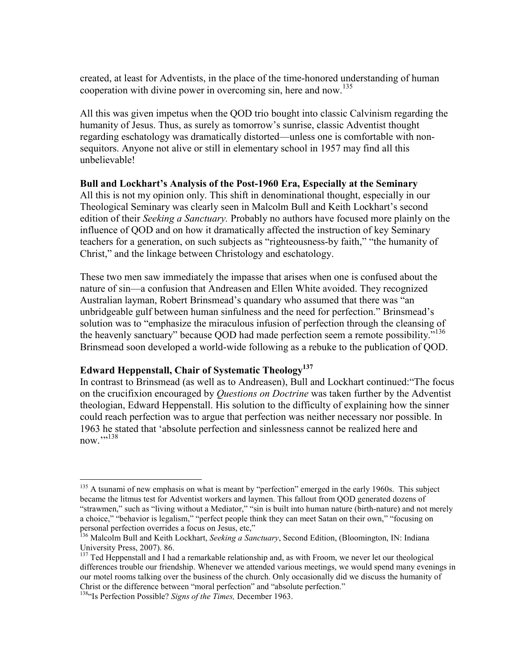created, at least for Adventists, in the place of the time-honored understanding of human cooperation with divine power in overcoming sin, here and now.<sup>135</sup>

All this was given impetus when the QOD trio bought into classic Calvinism regarding the humanity of Jesus. Thus, as surely as tomorrow's sunrise, classic Adventist thought regarding eschatology was dramatically distorted—unless one is comfortable with nonsequitors. Anyone not alive or still in elementary school in 1957 may find all this unbelievable!

## Bull and Lockhart's Analysis of the Post-1960 Era, Especially at the Seminary

All this is not my opinion only. This shift in denominational thought, especially in our Theological Seminary was clearly seen in Malcolm Bull and Keith Lockhart's second edition of their Seeking a Sanctuary. Probably no authors have focused more plainly on the influence of QOD and on how it dramatically affected the instruction of key Seminary teachers for a generation, on such subjects as "righteousness-by faith," "the humanity of Christ," and the linkage between Christology and eschatology.

These two men saw immediately the impasse that arises when one is confused about the nature of sin—a confusion that Andreasen and Ellen White avoided. They recognized Australian layman, Robert Brinsmead's quandary who assumed that there was "an unbridgeable gulf between human sinfulness and the need for perfection." Brinsmead's solution was to "emphasize the miraculous infusion of perfection through the cleansing of the heavenly sanctuary" because QOD had made perfection seem a remote possibility."<sup>136</sup> Brinsmead soon developed a world-wide following as a rebuke to the publication of QOD.

## Edward Heppenstall, Chair of Systematic Theology<sup>137</sup>

In contrast to Brinsmead (as well as to Andreasen), Bull and Lockhart continued:"The focus on the crucifixion encouraged by *Questions on Doctrine* was taken further by the Adventist theologian, Edward Heppenstall. His solution to the difficulty of explaining how the sinner could reach perfection was to argue that perfection was neither necessary nor possible. In 1963 he stated that 'absolute perfection and sinlessness cannot be realized here and now $"$ :138

<sup>&</sup>lt;sup>135</sup> A tsunami of new emphasis on what is meant by "perfection" emerged in the early 1960s. This subject became the litmus test for Adventist workers and laymen. This fallout from QOD generated dozens of "strawmen," such as "living without a Mediator," "sin is built into human nature (birth-nature) and not merely a choice," "behavior is legalism," "perfect people think they can meet Satan on their own," "focusing on personal perfection overrides a focus on Jesus, etc,"

<sup>&</sup>lt;sup>136</sup> Malcolm Bull and Keith Lockhart, Seeking a Sanctuary, Second Edition, (Bloomington, IN: Indiana University Press, 2007). 86.

<sup>&</sup>lt;sup>137</sup> Ted Heppenstall and I had a remarkable relationship and, as with Froom, we never let our theological differences trouble our friendship. Whenever we attended various meetings, we would spend many evenings in our motel rooms talking over the business of the church. Only occasionally did we discuss the humanity of Christ or the difference between "moral perfection" and "absolute perfection."

<sup>&</sup>lt;sup>138</sup>"Is Perfection Possible? Signs of the Times, December 1963.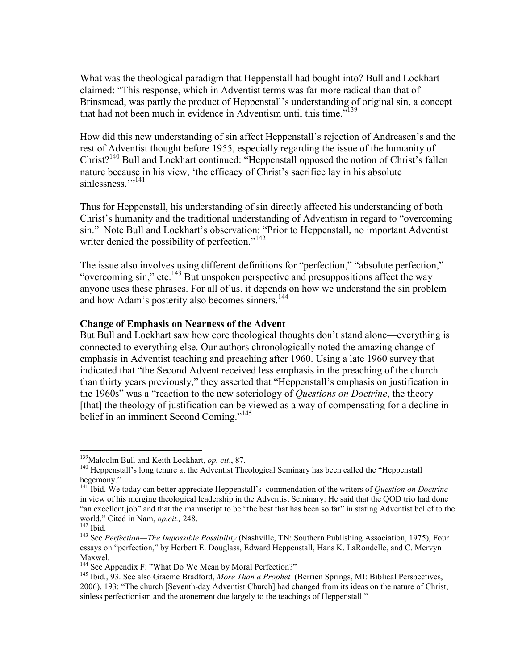What was the theological paradigm that Heppenstall had bought into? Bull and Lockhart claimed: "This response, which in Adventist terms was far more radical than that of Brinsmead, was partly the product of Heppenstall's understanding of original sin, a concept that had not been much in evidence in Adventism until this time."<sup>139</sup>

How did this new understanding of sin affect Heppenstall's rejection of Andreasen's and the rest of Adventist thought before 1955, especially regarding the issue of the humanity of Christ?<sup>140</sup> Bull and Lockhart continued: "Heppenstall opposed the notion of Christ's fallen nature because in his view, 'the efficacy of Christ's sacrifice lay in his absolute sinlessness<sup>"1,141</sup>

Thus for Heppenstall, his understanding of sin directly affected his understanding of both Christ's humanity and the traditional understanding of Adventism in regard to "overcoming sin." Note Bull and Lockhart's observation: "Prior to Heppenstall, no important Adventist writer denied the possibility of perfection."<sup>142</sup>

The issue also involves using different definitions for "perfection," "absolute perfection," "overcoming sin," etc.<sup>143</sup> But unspoken perspective and presuppositions affect the way anyone uses these phrases. For all of us. it depends on how we understand the sin problem and how Adam's posterity also becomes sinners.<sup>144</sup>

#### Change of Emphasis on Nearness of the Advent

But Bull and Lockhart saw how core theological thoughts don't stand alone—everything is connected to everything else. Our authors chronologically noted the amazing change of emphasis in Adventist teaching and preaching after 1960. Using a late 1960 survey that indicated that "the Second Advent received less emphasis in the preaching of the church than thirty years previously," they asserted that "Heppenstall's emphasis on justification in the 1960s" was a "reaction to the new soteriology of Questions on Doctrine, the theory [that] the theology of justification can be viewed as a way of compensating for a decline in belief in an imminent Second Coming."<sup>145</sup>

 $139$ Malcolm Bull and Keith Lockhart, op. cit., 87.

<sup>&</sup>lt;sup>140</sup> Heppenstall's long tenure at the Adventist Theological Seminary has been called the "Heppenstall" hegemony."

<sup>&</sup>lt;sup>141</sup> Ibid. We today can better appreciate Heppenstall's commendation of the writers of *Question on Doctrine* in view of his merging theological leadership in the Adventist Seminary: He said that the QOD trio had done "an excellent job" and that the manuscript to be "the best that has been so far" in stating Adventist belief to the world." Cited in Nam, op.cit., 248.

<sup>142</sup> Ibid.

<sup>&</sup>lt;sup>143</sup> See *Perfection—The Impossible Possibility* (Nashville, TN: Southern Publishing Association, 1975), Four essays on "perfection," by Herbert E. Douglass, Edward Heppenstall, Hans K. LaRondelle, and C. Mervyn Maxwel.

<sup>&</sup>lt;sup>144</sup> See Appendix F: "What Do We Mean by Moral Perfection?"

<sup>&</sup>lt;sup>145</sup> Ibid., 93. See also Graeme Bradford, More Than a Prophet (Berrien Springs, MI: Biblical Perspectives, 2006), 193: "The church [Seventh-day Adventist Church] had changed from its ideas on the nature of Christ, sinless perfectionism and the atonement due largely to the teachings of Heppenstall."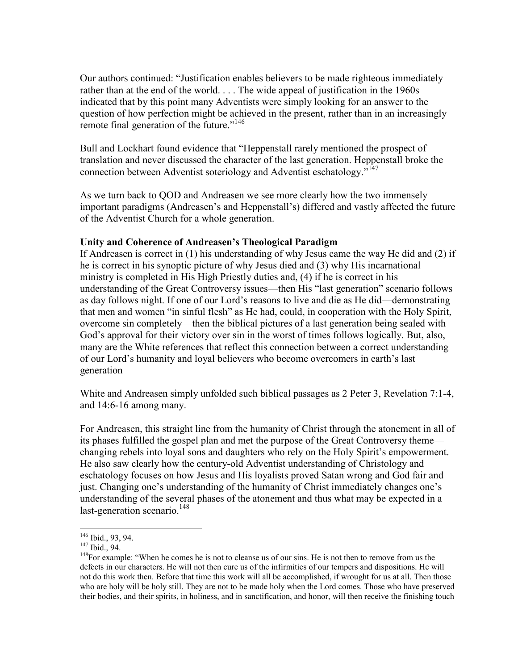Our authors continued: "Justification enables believers to be made righteous immediately rather than at the end of the world. . . . The wide appeal of justification in the 1960s indicated that by this point many Adventists were simply looking for an answer to the question of how perfection might be achieved in the present, rather than in an increasingly remote final generation of the future."<sup>146</sup>

Bull and Lockhart found evidence that "Heppenstall rarely mentioned the prospect of translation and never discussed the character of the last generation. Heppenstall broke the connection between Adventist soteriology and Adventist eschatology."<sup>147</sup>

As we turn back to QOD and Andreasen we see more clearly how the two immensely important paradigms (Andreasen's and Heppenstall's) differed and vastly affected the future of the Adventist Church for a whole generation.

## Unity and Coherence of Andreasen's Theological Paradigm

If Andreasen is correct in (1) his understanding of why Jesus came the way He did and (2) if he is correct in his synoptic picture of why Jesus died and (3) why His incarnational ministry is completed in His High Priestly duties and, (4) if he is correct in his understanding of the Great Controversy issues—then His "last generation" scenario follows as day follows night. If one of our Lord's reasons to live and die as He did—demonstrating that men and women "in sinful flesh" as He had, could, in cooperation with the Holy Spirit, overcome sin completely—then the biblical pictures of a last generation being sealed with God's approval for their victory over sin in the worst of times follows logically. But, also, many are the White references that reflect this connection between a correct understanding of our Lord's humanity and loyal believers who become overcomers in earth's last generation

White and Andreasen simply unfolded such biblical passages as 2 Peter 3, Revelation 7:1-4, and 14:6-16 among many.

For Andreasen, this straight line from the humanity of Christ through the atonement in all of its phases fulfilled the gospel plan and met the purpose of the Great Controversy theme changing rebels into loyal sons and daughters who rely on the Holy Spirit's empowerment. He also saw clearly how the century-old Adventist understanding of Christology and eschatology focuses on how Jesus and His loyalists proved Satan wrong and God fair and just. Changing one's understanding of the humanity of Christ immediately changes one's understanding of the several phases of the atonement and thus what may be expected in a last-generation scenario.<sup>148</sup>

 $\overline{a}$  $146$  Ibid., 93, 94.

<sup>147</sup> Ibid., 94.

<sup>&</sup>lt;sup>148</sup>For example: "When he comes he is not to cleanse us of our sins. He is not then to remove from us the defects in our characters. He will not then cure us of the infirmities of our tempers and dispositions. He will not do this work then. Before that time this work will all be accomplished, if wrought for us at all. Then those who are holy will be holy still. They are not to be made holy when the Lord comes. Those who have preserved their bodies, and their spirits, in holiness, and in sanctification, and honor, will then receive the finishing touch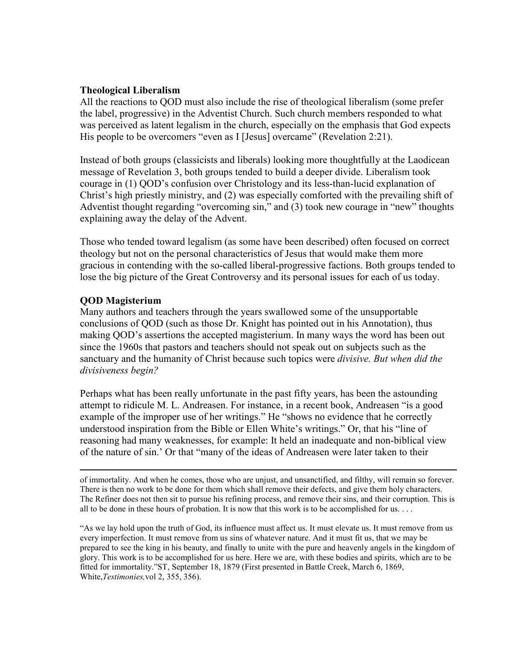#### Theological Liberalism

All the reactions to QOD must also include the rise of theological liberalism (some prefer the label, progressive) in the Adventist Church. Such church members responded to what was perceived as latent legalism in the church, especially on the emphasis that God expects His people to be overcomers "even as I [Jesus] overcame" (Revelation 2:21).

Instead of both groups (classicists and liberals) looking more thoughtfully at the Laodicean message of Revelation 3, both groups tended to build a deeper divide. Liberalism took courage in (1) QOD's confusion over Christology and its less-than-lucid explanation of Christ's high priestly ministry, and (2) was especially comforted with the prevailing shift of Adventist thought regarding "overcoming sin," and (3) took new courage in "new" thoughts explaining away the delay of the Advent.

Those who tended toward legalism (as some have been described) often focused on correct theology but not on the personal characteristics of Jesus that would make them more gracious in contending with the so-called liberal-progressive factions. Both groups tended to lose the big picture of the Great Controversy and its personal issues for each of us today.

## QOD Magisterium

Many authors and teachers through the years swallowed some of the unsupportable conclusions of QOD (such as those Dr. Knight has pointed out in his Annotation), thus making QOD's assertions the accepted magisterium. In many ways the word has been out since the 1960s that pastors and teachers should not speak out on subjects such as the sanctuary and the humanity of Christ because such topics were divisive. But when did the divisiveness begin?

Perhaps what has been really unfortunate in the past fifty years, has been the astounding attempt to ridicule M. L. Andreasen. For instance, in a recent book, Andreasen "is a good example of the improper use of her writings." He "shows no evidence that he correctly understood inspiration from the Bible or Ellen White's writings." Or, that his "line of reasoning had many weaknesses, for example: It held an inadequate and non-biblical view of the nature of sin.' Or that "many of the ideas of Andreasen were later taken to their

 $\overline{a}$ of immortality. And when he comes, those who are unjust, and unsanctified, and filthy, will remain so forever. There is then no work to be done for them which shall remove their defects, and give them holy characters. The Refiner does not then sit to pursue his refining process, and remove their sins, and their corruption. This is all to be done in these hours of probation. It is now that this work is to be accomplished for us. . . .

"As we lay hold upon the truth of God, its influence must affect us. It must elevate us. It must remove from us every imperfection. It must remove from us sins of whatever nature. And it must fit us, that we may be prepared to see the king in his beauty, and finally to unite with the pure and heavenly angels in the kingdom of glory. This work is to be accomplished for us here. Here we are, with these bodies and spirits, which are to be fitted for immortality."ST, September 18, 1879 (First presented in Battle Creek, March 6, 1869, White,Testimonies,vol 2, 355, 356).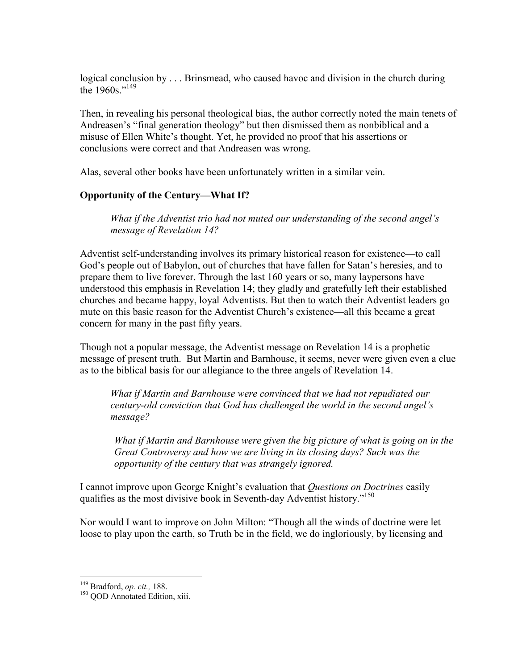logical conclusion by . . . Brinsmead, who caused havoc and division in the church during the 1960s $^{149}$ 

Then, in revealing his personal theological bias, the author correctly noted the main tenets of Andreasen's "final generation theology" but then dismissed them as nonbiblical and a misuse of Ellen White's thought. Yet, he provided no proof that his assertions or conclusions were correct and that Andreasen was wrong.

Alas, several other books have been unfortunately written in a similar vein.

## Opportunity of the Century—What If?

What if the Adventist trio had not muted our understanding of the second angel's message of Revelation 14?

Adventist self-understanding involves its primary historical reason for existence—to call God's people out of Babylon, out of churches that have fallen for Satan's heresies, and to prepare them to live forever. Through the last 160 years or so, many laypersons have understood this emphasis in Revelation 14; they gladly and gratefully left their established churches and became happy, loyal Adventists. But then to watch their Adventist leaders go mute on this basic reason for the Adventist Church's existence—all this became a great concern for many in the past fifty years.

Though not a popular message, the Adventist message on Revelation 14 is a prophetic message of present truth. But Martin and Barnhouse, it seems, never were given even a clue as to the biblical basis for our allegiance to the three angels of Revelation 14.

What if Martin and Barnhouse were convinced that we had not repudiated our century-old conviction that God has challenged the world in the second angel's message?

What if Martin and Barnhouse were given the big picture of what is going on in the Great Controversy and how we are living in its closing days? Such was the opportunity of the century that was strangely ignored.

I cannot improve upon George Knight's evaluation that Questions on Doctrines easily qualifies as the most divisive book in Seventh-day Adventist history."<sup>150</sup>

Nor would I want to improve on John Milton: "Though all the winds of doctrine were let loose to play upon the earth, so Truth be in the field, we do ingloriously, by licensing and

 $149$  Bradford, op. cit., 188.

<sup>&</sup>lt;sup>150</sup> OOD Annotated Edition, xiii.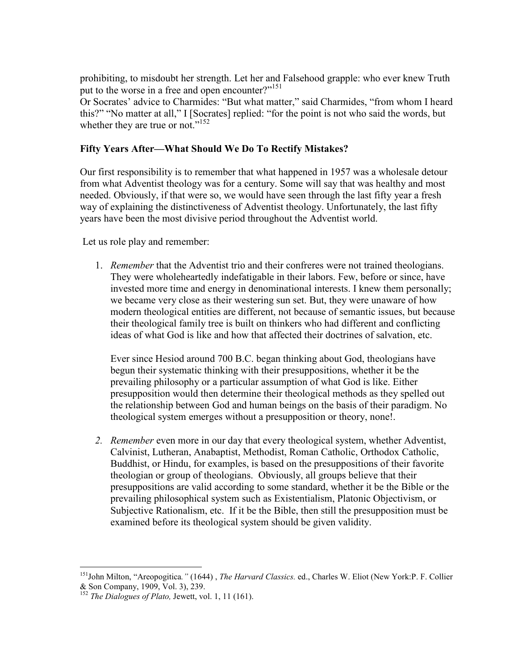prohibiting, to misdoubt her strength. Let her and Falsehood grapple: who ever knew Truth put to the worse in a free and open encounter?"<sup>151</sup>

Or Socrates' advice to Charmides: "But what matter," said Charmides, "from whom I heard this?" "No matter at all," I [Socrates] replied: "for the point is not who said the words, but whether they are true or not."<sup>152</sup>

## Fifty Years After—What Should We Do To Rectify Mistakes?

Our first responsibility is to remember that what happened in 1957 was a wholesale detour from what Adventist theology was for a century. Some will say that was healthy and most needed. Obviously, if that were so, we would have seen through the last fifty year a fresh way of explaining the distinctiveness of Adventist theology. Unfortunately, the last fifty years have been the most divisive period throughout the Adventist world.

Let us role play and remember:

1. Remember that the Adventist trio and their confreres were not trained theologians. They were wholeheartedly indefatigable in their labors. Few, before or since, have invested more time and energy in denominational interests. I knew them personally; we became very close as their westering sun set. But, they were unaware of how modern theological entities are different, not because of semantic issues, but because their theological family tree is built on thinkers who had different and conflicting ideas of what God is like and how that affected their doctrines of salvation, etc.

Ever since Hesiod around 700 B.C. began thinking about God, theologians have begun their systematic thinking with their presuppositions, whether it be the prevailing philosophy or a particular assumption of what God is like. Either presupposition would then determine their theological methods as they spelled out the relationship between God and human beings on the basis of their paradigm. No theological system emerges without a presupposition or theory, none!.

2. Remember even more in our day that every theological system, whether Adventist, Calvinist, Lutheran, Anabaptist, Methodist, Roman Catholic, Orthodox Catholic, Buddhist, or Hindu, for examples, is based on the presuppositions of their favorite theologian or group of theologians. Obviously, all groups believe that their presuppositions are valid according to some standard, whether it be the Bible or the prevailing philosophical system such as Existentialism, Platonic Objectivism, or Subjective Rationalism, etc. If it be the Bible, then still the presupposition must be examined before its theological system should be given validity.

<sup>&</sup>lt;sup>151</sup>John Milton, "Areopogitica." (1644), The Harvard Classics. ed., Charles W. Eliot (New York:P. F. Collier & Son Company, 1909, Vol. 3), 239.

 $152$  The Dialogues of Plato, Jewett, vol. 1, 11 (161).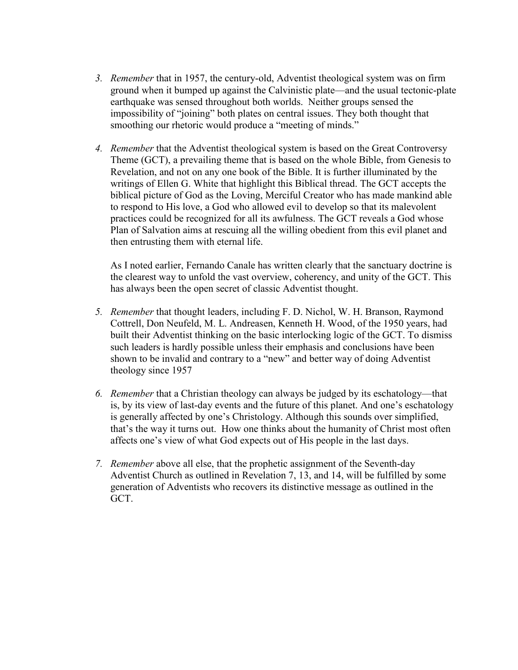- 3. Remember that in 1957, the century-old, Adventist theological system was on firm ground when it bumped up against the Calvinistic plate—and the usual tectonic-plate earthquake was sensed throughout both worlds. Neither groups sensed the impossibility of "joining" both plates on central issues. They both thought that smoothing our rhetoric would produce a "meeting of minds."
- 4. Remember that the Adventist theological system is based on the Great Controversy Theme (GCT), a prevailing theme that is based on the whole Bible, from Genesis to Revelation, and not on any one book of the Bible. It is further illuminated by the writings of Ellen G. White that highlight this Biblical thread. The GCT accepts the biblical picture of God as the Loving, Merciful Creator who has made mankind able to respond to His love, a God who allowed evil to develop so that its malevolent practices could be recognized for all its awfulness. The GCT reveals a God whose Plan of Salvation aims at rescuing all the willing obedient from this evil planet and then entrusting them with eternal life.

As I noted earlier, Fernando Canale has written clearly that the sanctuary doctrine is the clearest way to unfold the vast overview, coherency, and unity of the GCT. This has always been the open secret of classic Adventist thought.

- 5. Remember that thought leaders, including F. D. Nichol, W. H. Branson, Raymond Cottrell, Don Neufeld, M. L. Andreasen, Kenneth H. Wood, of the 1950 years, had built their Adventist thinking on the basic interlocking logic of the GCT. To dismiss such leaders is hardly possible unless their emphasis and conclusions have been shown to be invalid and contrary to a "new" and better way of doing Adventist theology since 1957
- 6. Remember that a Christian theology can always be judged by its eschatology—that is, by its view of last-day events and the future of this planet. And one's eschatology is generally affected by one's Christology. Although this sounds over simplified, that's the way it turns out. How one thinks about the humanity of Christ most often affects one's view of what God expects out of His people in the last days.
- 7. Remember above all else, that the prophetic assignment of the Seventh-day Adventist Church as outlined in Revelation 7, 13, and 14, will be fulfilled by some generation of Adventists who recovers its distinctive message as outlined in the GCT.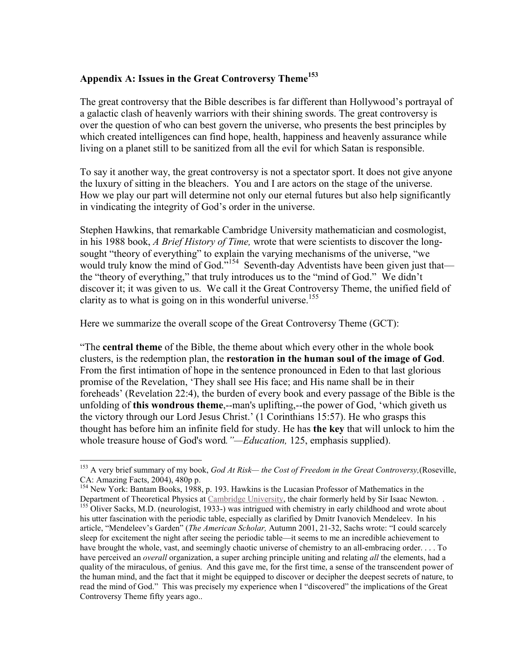## Appendix A: Issues in the Great Controversy Theme<sup>153</sup>

The great controversy that the Bible describes is far different than Hollywood's portrayal of a galactic clash of heavenly warriors with their shining swords. The great controversy is over the question of who can best govern the universe, who presents the best principles by which created intelligences can find hope, health, happiness and heavenly assurance while living on a planet still to be sanitized from all the evil for which Satan is responsible.

To say it another way, the great controversy is not a spectator sport. It does not give anyone the luxury of sitting in the bleachers. You and I are actors on the stage of the universe. How we play our part will determine not only our eternal futures but also help significantly in vindicating the integrity of God's order in the universe.

Stephen Hawkins, that remarkable Cambridge University mathematician and cosmologist, in his 1988 book, A Brief History of Time, wrote that were scientists to discover the longsought "theory of everything" to explain the varying mechanisms of the universe, "we would truly know the mind of God.<sup>7154</sup> Seventh-day Adventists have been given just that the "theory of everything," that truly introduces us to the "mind of God." We didn't discover it; it was given to us. We call it the Great Controversy Theme, the unified field of clarity as to what is going on in this wonderful universe.<sup>155</sup>

Here we summarize the overall scope of the Great Controversy Theme (GCT):

 $\overline{a}$ 

"The central theme of the Bible, the theme about which every other in the whole book clusters, is the redemption plan, the restoration in the human soul of the image of God. From the first intimation of hope in the sentence pronounced in Eden to that last glorious promise of the Revelation, 'They shall see His face; and His name shall be in their foreheads' (Revelation 22:4), the burden of every book and every passage of the Bible is the unfolding of this wondrous theme,--man's uplifting,--the power of God, 'which giveth us the victory through our Lord Jesus Christ.' (1 Corinthians 15:57). He who grasps this thought has before him an infinite field for study. He has the key that will unlock to him the whole treasure house of God's word. "—*Education*, 125, emphasis supplied).

 $153$  A very brief summary of my book, God At Risk— the Cost of Freedom in the Great Controversy, (Roseville, CA: Amazing Facts, 2004), 480p p.

<sup>154</sup> New York: Bantam Books, 1988, p. 193. Hawkins is the Lucasian Professor of Mathematics in the Department of Theoretical Physics at Cambridge University, the chair formerly held by Sir Isaac Newton. . <sup>155</sup> Oliver Sacks, M.D. (neurologist, 1933-) was intrigued with chemistry in early childhood and wrote about his utter fascination with the periodic table, especially as clarified by Dmitr Ivanovich Mendeleev. In his article, "Mendeleev's Garden" (The American Scholar, Autumn 2001, 21-32, Sachs wrote: "I could scarcely sleep for excitement the night after seeing the periodic table—it seems to me an incredible achievement to have brought the whole, vast, and seemingly chaotic universe of chemistry to an all-embracing order. . . . To have perceived an *overall* organization, a super arching principle uniting and relating *all* the elements, had a quality of the miraculous, of genius. And this gave me, for the first time, a sense of the transcendent power of the human mind, and the fact that it might be equipped to discover or decipher the deepest secrets of nature, to read the mind of God." This was precisely my experience when I "discovered" the implications of the Great Controversy Theme fifty years ago..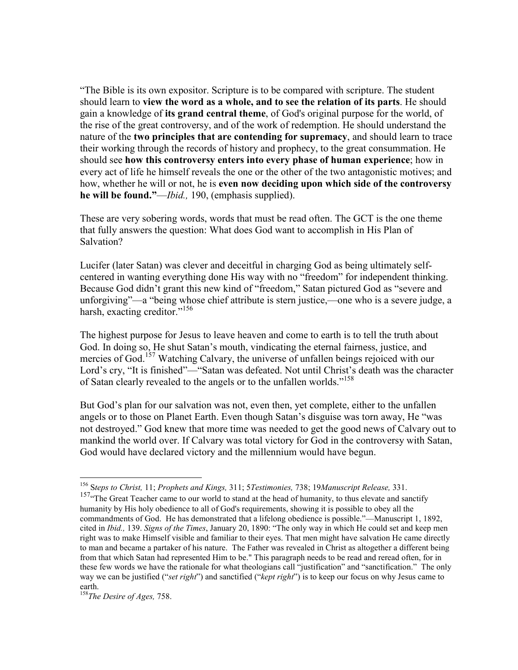"The Bible is its own expositor. Scripture is to be compared with scripture. The student should learn to view the word as a whole, and to see the relation of its parts. He should gain a knowledge of its grand central theme, of God's original purpose for the world, of the rise of the great controversy, and of the work of redemption. He should understand the nature of the two principles that are contending for supremacy, and should learn to trace their working through the records of history and prophecy, to the great consummation. He should see how this controversy enters into every phase of human experience; how in every act of life he himself reveals the one or the other of the two antagonistic motives; and how, whether he will or not, he is even now deciding upon which side of the controversy he will be found."—*Ibid.*, 190, (emphasis supplied).

These are very sobering words, words that must be read often. The GCT is the one theme that fully answers the question: What does God want to accomplish in His Plan of Salvation?

Lucifer (later Satan) was clever and deceitful in charging God as being ultimately selfcentered in wanting everything done His way with no "freedom" for independent thinking. Because God didn't grant this new kind of "freedom," Satan pictured God as "severe and unforgiving"—a "being whose chief attribute is stern justice,—one who is a severe judge, a harsh, exacting creditor."<sup>156</sup>

The highest purpose for Jesus to leave heaven and come to earth is to tell the truth about God. In doing so, He shut Satan's mouth, vindicating the eternal fairness, justice, and mercies of God.<sup>157</sup> Watching Calvary, the universe of unfallen beings rejoiced with our Lord's cry, "It is finished"—"Satan was defeated. Not until Christ's death was the character of Satan clearly revealed to the angels or to the unfallen worlds."<sup>158</sup>

But God's plan for our salvation was not, even then, yet complete, either to the unfallen angels or to those on Planet Earth. Even though Satan's disguise was torn away, He "was not destroyed." God knew that more time was needed to get the good news of Calvary out to mankind the world over. If Calvary was total victory for God in the controversy with Satan, God would have declared victory and the millennium would have begun.

<sup>&</sup>lt;sup>156</sup> Steps to Christ, 11; Prophets and Kings, 311; 5Testimonies, 738; 19Manuscript Release, 331.

<sup>&</sup>lt;sup>157</sup>"The Great Teacher came to our world to stand at the head of humanity, to thus elevate and sanctify humanity by His holy obedience to all of God's requirements, showing it is possible to obey all the commandments of God. He has demonstrated that a lifelong obedience is possible."—Manuscript 1, 1892, cited in Ibid., 139. Signs of the Times, January 20, 1890: "The only way in which He could set and keep men right was to make Himself visible and familiar to their eyes. That men might have salvation He came directly to man and became a partaker of his nature. The Father was revealed in Christ as altogether a different being from that which Satan had represented Him to be." This paragraph needs to be read and reread often, for in these few words we have the rationale for what theologians call "justification" and "sanctification." The only way we can be justified ("set right") and sanctified ("kept right") is to keep our focus on why Jesus came to earth.

<sup>&</sup>lt;sup>158</sup>The Desire of Ages, 758.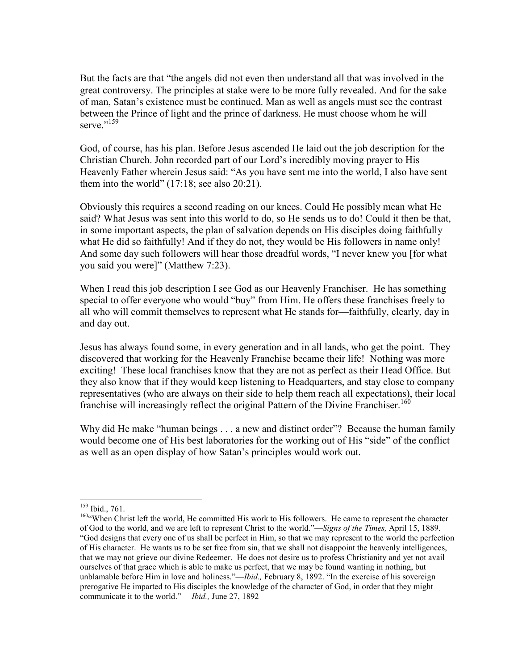But the facts are that "the angels did not even then understand all that was involved in the great controversy. The principles at stake were to be more fully revealed. And for the sake of man, Satan's existence must be continued. Man as well as angels must see the contrast between the Prince of light and the prince of darkness. He must choose whom he will serve $^{159}$ 

God, of course, has his plan. Before Jesus ascended He laid out the job description for the Christian Church. John recorded part of our Lord's incredibly moving prayer to His Heavenly Father wherein Jesus said: "As you have sent me into the world, I also have sent them into the world"  $(17:18)$ ; see also  $20:21$ ).

Obviously this requires a second reading on our knees. Could He possibly mean what He said? What Jesus was sent into this world to do, so He sends us to do! Could it then be that, in some important aspects, the plan of salvation depends on His disciples doing faithfully what He did so faithfully! And if they do not, they would be His followers in name only! And some day such followers will hear those dreadful words, "I never knew you [for what you said you were]" (Matthew 7:23).

When I read this job description I see God as our Heavenly Franchiser. He has something special to offer everyone who would "buy" from Him. He offers these franchises freely to all who will commit themselves to represent what He stands for—faithfully, clearly, day in and day out.

Jesus has always found some, in every generation and in all lands, who get the point. They discovered that working for the Heavenly Franchise became their life! Nothing was more exciting! These local franchises know that they are not as perfect as their Head Office. But they also know that if they would keep listening to Headquarters, and stay close to company representatives (who are always on their side to help them reach all expectations), their local franchise will increasingly reflect the original Pattern of the Divine Franchiser.<sup>160</sup>

Why did He make "human beings . . . a new and distinct order"? Because the human family would become one of His best laboratories for the working out of His "side" of the conflict as well as an open display of how Satan's principles would work out.

 $159$  Ibid., 761.

<sup>160.</sup> When Christ left the world, He committed His work to His followers. He came to represent the character of God to the world, and we are left to represent Christ to the world."—Signs of the Times, April 15, 1889. "God designs that every one of us shall be perfect in Him, so that we may represent to the world the perfection of His character. He wants us to be set free from sin, that we shall not disappoint the heavenly intelligences, that we may not grieve our divine Redeemer. He does not desire us to profess Christianity and yet not avail ourselves of that grace which is able to make us perfect, that we may be found wanting in nothing, but unblamable before Him in love and holiness."—Ibid., February 8, 1892. "In the exercise of his sovereign prerogative He imparted to His disciples the knowledge of the character of God, in order that they might communicate it to the world."— Ibid., June 27, 1892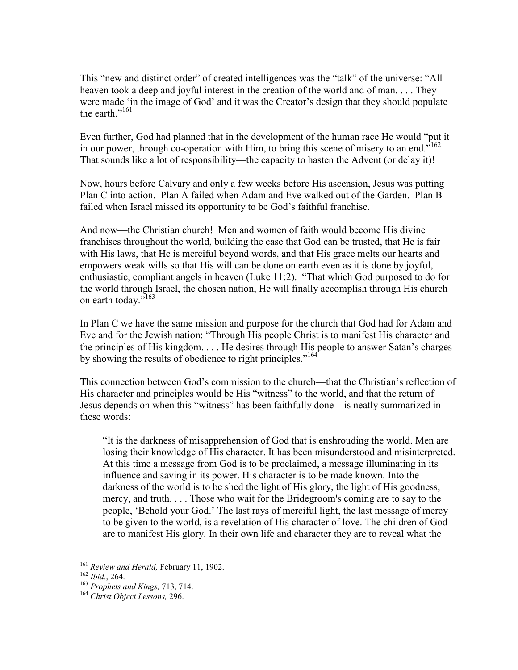This "new and distinct order" of created intelligences was the "talk" of the universe: "All heaven took a deep and joyful interest in the creation of the world and of man. . . . They were made 'in the image of God' and it was the Creator's design that they should populate the earth."<sup>161</sup>

Even further, God had planned that in the development of the human race He would "put it in our power, through co-operation with Him, to bring this scene of misery to an end.<sup> $162$ </sup> That sounds like a lot of responsibility—the capacity to hasten the Advent (or delay it)!

Now, hours before Calvary and only a few weeks before His ascension, Jesus was putting Plan C into action. Plan A failed when Adam and Eve walked out of the Garden. Plan B failed when Israel missed its opportunity to be God's faithful franchise.

And now—the Christian church! Men and women of faith would become His divine franchises throughout the world, building the case that God can be trusted, that He is fair with His laws, that He is merciful beyond words, and that His grace melts our hearts and empowers weak wills so that His will can be done on earth even as it is done by joyful, enthusiastic, compliant angels in heaven (Luke 11:2). "That which God purposed to do for the world through Israel, the chosen nation, He will finally accomplish through His church on earth today."<sup>163</sup>

In Plan C we have the same mission and purpose for the church that God had for Adam and Eve and for the Jewish nation: "Through His people Christ is to manifest His character and the principles of His kingdom. . . . He desires through His people to answer Satan's charges by showing the results of obedience to right principles."<sup>164</sup>

This connection between God's commission to the church—that the Christian's reflection of His character and principles would be His "witness" to the world, and that the return of Jesus depends on when this "witness" has been faithfully done—is neatly summarized in these words:

"It is the darkness of misapprehension of God that is enshrouding the world. Men are losing their knowledge of His character. It has been misunderstood and misinterpreted. At this time a message from God is to be proclaimed, a message illuminating in its influence and saving in its power. His character is to be made known. Into the darkness of the world is to be shed the light of His glory, the light of His goodness, mercy, and truth. . . . Those who wait for the Bridegroom's coming are to say to the people, 'Behold your God.' The last rays of merciful light, the last message of mercy to be given to the world, is a revelation of His character of love. The children of God are to manifest His glory. In their own life and character they are to reveal what the

 $\overline{a}$ <sup>161</sup> Review and Herald, February 11, 1902.

<sup>162</sup> Ibid., 264.

<sup>&</sup>lt;sup>163</sup> Prophets and Kings, 713, 714.

<sup>&</sup>lt;sup>164</sup> Christ Object Lessons, 296.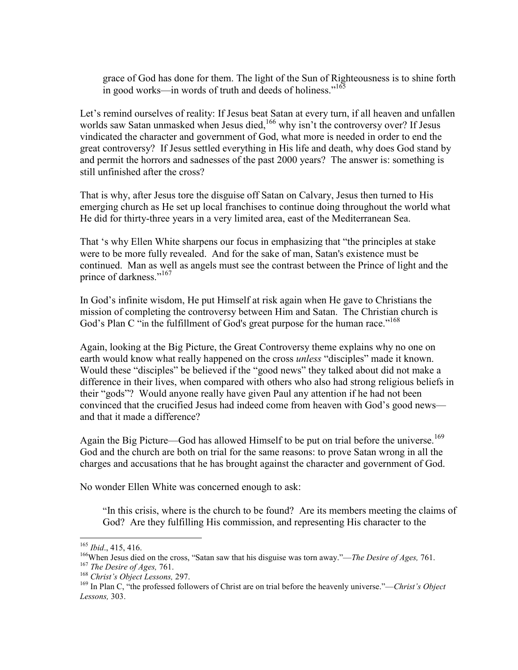grace of God has done for them. The light of the Sun of Righteousness is to shine forth in good works—in words of truth and deeds of holiness."<sup>165</sup>

Let's remind ourselves of reality: If Jesus beat Satan at every turn, if all heaven and unfallen worlds saw Satan unmasked when Jesus died,<sup>166</sup> why isn't the controversy over? If Jesus vindicated the character and government of God, what more is needed in order to end the great controversy? If Jesus settled everything in His life and death, why does God stand by and permit the horrors and sadnesses of the past 2000 years? The answer is: something is still unfinished after the cross?

That is why, after Jesus tore the disguise off Satan on Calvary, Jesus then turned to His emerging church as He set up local franchises to continue doing throughout the world what He did for thirty-three years in a very limited area, east of the Mediterranean Sea.

That 's why Ellen White sharpens our focus in emphasizing that "the principles at stake were to be more fully revealed. And for the sake of man, Satan's existence must be continued. Man as well as angels must see the contrast between the Prince of light and the prince of darkness."<sup>167</sup>

In God's infinite wisdom, He put Himself at risk again when He gave to Christians the mission of completing the controversy between Him and Satan. The Christian church is God's Plan C "in the fulfillment of God's great purpose for the human race."<sup>168</sup>

Again, looking at the Big Picture, the Great Controversy theme explains why no one on earth would know what really happened on the cross unless "disciples" made it known. Would these "disciples" be believed if the "good news" they talked about did not make a difference in their lives, when compared with others who also had strong religious beliefs in their "gods"? Would anyone really have given Paul any attention if he had not been convinced that the crucified Jesus had indeed come from heaven with God's good news and that it made a difference?

Again the Big Picture—God has allowed Himself to be put on trial before the universe.<sup>169</sup> God and the church are both on trial for the same reasons: to prove Satan wrong in all the charges and accusations that he has brought against the character and government of God.

No wonder Ellen White was concerned enough to ask:

"In this crisis, where is the church to be found? Are its members meeting the claims of God? Are they fulfilling His commission, and representing His character to the

 $\overline{a}$ 

<sup>168</sup> Christ's Object Lessons, 297.

 $165$  *Ibid.*, 415, 416.

<sup>&</sup>lt;sup>166</sup>When Jesus died on the cross, "Satan saw that his disguise was torn away."—*The Desire of Ages*, 761.  $167$  The Desire of Ages, 761.

<sup>&</sup>lt;sup>169</sup> In Plan C, "the professed followers of Christ are on trial before the heavenly universe."—Christ's Object Lessons, 303.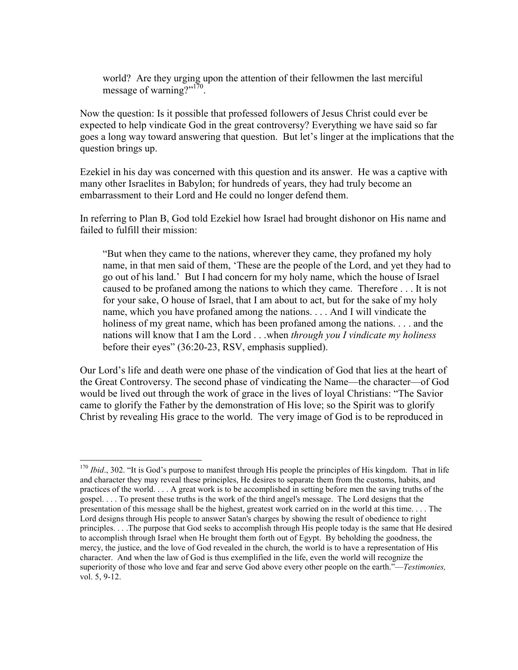world? Are they urging upon the attention of their fellowmen the last merciful message of warning?"<sup>170</sup>.

Now the question: Is it possible that professed followers of Jesus Christ could ever be expected to help vindicate God in the great controversy? Everything we have said so far goes a long way toward answering that question. But let's linger at the implications that the question brings up.

Ezekiel in his day was concerned with this question and its answer. He was a captive with many other Israelites in Babylon; for hundreds of years, they had truly become an embarrassment to their Lord and He could no longer defend them.

In referring to Plan B, God told Ezekiel how Israel had brought dishonor on His name and failed to fulfill their mission:

"But when they came to the nations, wherever they came, they profaned my holy name, in that men said of them, 'These are the people of the Lord, and yet they had to go out of his land.' But I had concern for my holy name, which the house of Israel caused to be profaned among the nations to which they came. Therefore . . . It is not for your sake, O house of Israel, that I am about to act, but for the sake of my holy name, which you have profaned among the nations. . . . And I will vindicate the holiness of my great name, which has been profaned among the nations. . . . and the nations will know that I am the Lord . . .when through you I vindicate my holiness before their eyes" (36:20-23, RSV, emphasis supplied).

Our Lord's life and death were one phase of the vindication of God that lies at the heart of the Great Controversy. The second phase of vindicating the Name—the character—of God would be lived out through the work of grace in the lives of loyal Christians: "The Savior came to glorify the Father by the demonstration of His love; so the Spirit was to glorify Christ by revealing His grace to the world. The very image of God is to be reproduced in

 $170$  *Ibid.*, 302. "It is God's purpose to manifest through His people the principles of His kingdom. That in life and character they may reveal these principles, He desires to separate them from the customs, habits, and practices of the world. . . . A great work is to be accomplished in setting before men the saving truths of the gospel. . . . To present these truths is the work of the third angel's message. The Lord designs that the presentation of this message shall be the highest, greatest work carried on in the world at this time. . . . The Lord designs through His people to answer Satan's charges by showing the result of obedience to right principles. . . .The purpose that God seeks to accomplish through His people today is the same that He desired to accomplish through Israel when He brought them forth out of Egypt. By beholding the goodness, the mercy, the justice, and the love of God revealed in the church, the world is to have a representation of His character. And when the law of God is thus exemplified in the life, even the world will recognize the superiority of those who love and fear and serve God above every other people on the earth."—*Testimonies*, vol. 5, 9-12.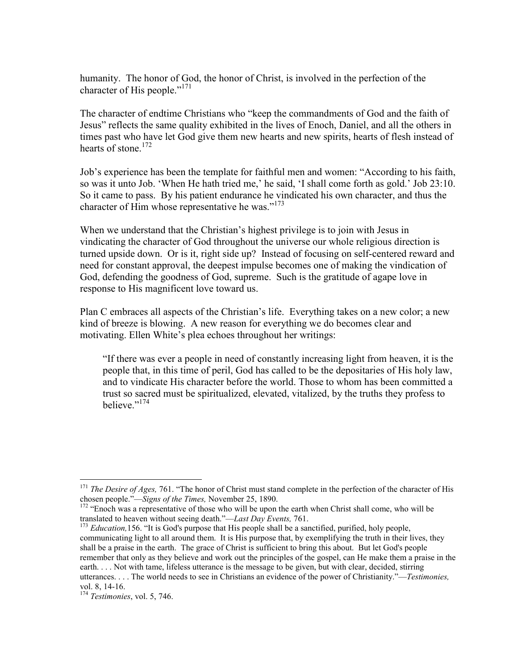humanity. The honor of God, the honor of Christ, is involved in the perfection of the character of His people."<sup>171</sup>

The character of endtime Christians who "keep the commandments of God and the faith of Jesus" reflects the same quality exhibited in the lives of Enoch, Daniel, and all the others in times past who have let God give them new hearts and new spirits, hearts of flesh instead of hearts of stone. $172$ 

Job's experience has been the template for faithful men and women: "According to his faith, so was it unto Job. 'When He hath tried me,' he said, 'I shall come forth as gold.' Job 23:10. So it came to pass. By his patient endurance he vindicated his own character, and thus the character of Him whose representative he was."<sup>173</sup>

When we understand that the Christian's highest privilege is to join with Jesus in vindicating the character of God throughout the universe our whole religious direction is turned upside down. Or is it, right side up? Instead of focusing on self-centered reward and need for constant approval, the deepest impulse becomes one of making the vindication of God, defending the goodness of God, supreme. Such is the gratitude of agape love in response to His magnificent love toward us.

Plan C embraces all aspects of the Christian's life. Everything takes on a new color; a new kind of breeze is blowing. A new reason for everything we do becomes clear and motivating. Ellen White's plea echoes throughout her writings:

"If there was ever a people in need of constantly increasing light from heaven, it is the people that, in this time of peril, God has called to be the depositaries of His holy law, and to vindicate His character before the world. Those to whom has been committed a trust so sacred must be spiritualized, elevated, vitalized, by the truths they profess to believe."<sup>174</sup>

<sup>&</sup>lt;sup>171</sup> The Desire of Ages, 761. "The honor of Christ must stand complete in the perfection of the character of His chosen people."—Signs of the Times, November 25, 1890.

<sup>&</sup>lt;sup>172</sup> "Enoch was a representative of those who will be upon the earth when Christ shall come, who will be translated to heaven without seeing death."—Last Day Events, 761.

<sup>&</sup>lt;sup>173</sup> Education, 156. "It is God's purpose that His people shall be a sanctified, purified, holy people, communicating light to all around them. It is His purpose that, by exemplifying the truth in their lives, they shall be a praise in the earth. The grace of Christ is sufficient to bring this about. But let God's people remember that only as they believe and work out the principles of the gospel, can He make them a praise in the earth. . . . Not with tame, lifeless utterance is the message to be given, but with clear, decided, stirring utterances. . . . The world needs to see in Christians an evidence of the power of Christianity."—Testimonies, vol. 8, 14-16.

 $174$  Testimonies, vol. 5, 746.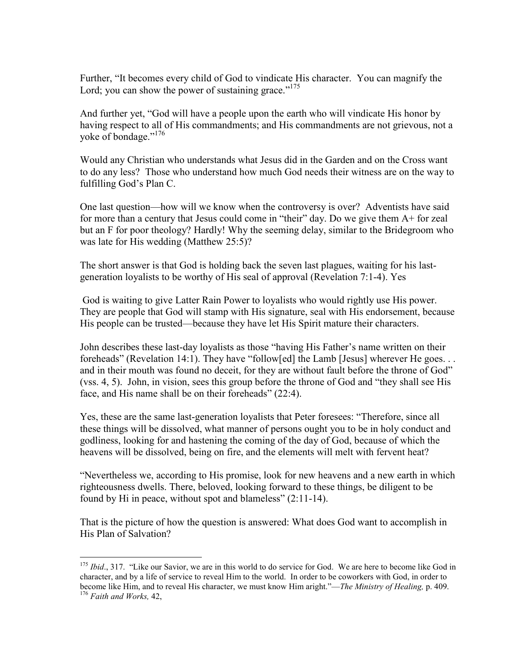Further, "It becomes every child of God to vindicate His character. You can magnify the Lord; you can show the power of sustaining grace." $175$ 

And further yet, "God will have a people upon the earth who will vindicate His honor by having respect to all of His commandments; and His commandments are not grievous, not a yoke of bondage."<sup>176</sup>

Would any Christian who understands what Jesus did in the Garden and on the Cross want to do any less? Those who understand how much God needs their witness are on the way to fulfilling God's Plan C.

One last question—how will we know when the controversy is over? Adventists have said for more than a century that Jesus could come in "their" day. Do we give them A+ for zeal but an F for poor theology? Hardly! Why the seeming delay, similar to the Bridegroom who was late for His wedding (Matthew 25:5)?

The short answer is that God is holding back the seven last plagues, waiting for his lastgeneration loyalists to be worthy of His seal of approval (Revelation 7:1-4). Yes

 God is waiting to give Latter Rain Power to loyalists who would rightly use His power. They are people that God will stamp with His signature, seal with His endorsement, because His people can be trusted—because they have let His Spirit mature their characters.

John describes these last-day loyalists as those "having His Father's name written on their foreheads" (Revelation 14:1). They have "follow[ed] the Lamb [Jesus] wherever He goes. . . and in their mouth was found no deceit, for they are without fault before the throne of God" (vss. 4, 5). John, in vision, sees this group before the throne of God and "they shall see His face, and His name shall be on their foreheads" (22:4).

Yes, these are the same last-generation loyalists that Peter foresees: "Therefore, since all these things will be dissolved, what manner of persons ought you to be in holy conduct and godliness, looking for and hastening the coming of the day of God, because of which the heavens will be dissolved, being on fire, and the elements will melt with fervent heat?

"Nevertheless we, according to His promise, look for new heavens and a new earth in which righteousness dwells. There, beloved, looking forward to these things, be diligent to be found by Hi in peace, without spot and blameless" (2:11-14).

That is the picture of how the question is answered: What does God want to accomplish in His Plan of Salvation?

<sup>&</sup>lt;sup>175</sup> Ibid., 317. "Like our Savior, we are in this world to do service for God. We are here to become like God in character, and by a life of service to reveal Him to the world. In order to be coworkers with God, in order to become like Him, and to reveal His character, we must know Him aright."—The Ministry of Healing, p. 409.  $176$  Faith and Works, 42,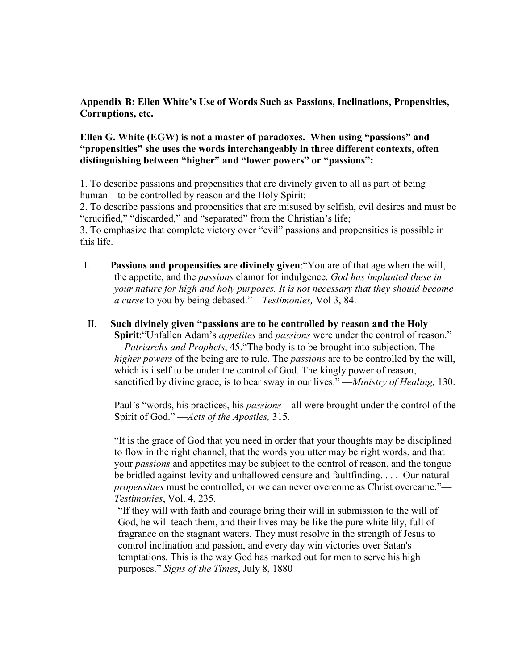Appendix B: Ellen White's Use of Words Such as Passions, Inclinations, Propensities, Corruptions, etc.

## Ellen G. White (EGW) is not a master of paradoxes. When using "passions" and "propensities" she uses the words interchangeably in three different contexts, often distinguishing between "higher" and "lower powers" or "passions":

1. To describe passions and propensities that are divinely given to all as part of being human—to be controlled by reason and the Holy Spirit;

2. To describe passions and propensities that are misused by selfish, evil desires and must be "crucified," "discarded," and "separated" from the Christian's life;

3. To emphasize that complete victory over "evil" passions and propensities is possible in this life.

I. Passions and propensities are divinely given:"You are of that age when the will, the appetite, and the passions clamor for indulgence. God has implanted these in your nature for high and holy purposes. It is not necessary that they should become a curse to you by being debased."—Testimonies, Vol 3, 84.

## II. Such divinely given "passions are to be controlled by reason and the Holy

Spirit: "Unfallen Adam's *appetites* and *passions* were under the control of reason." —Patriarchs and Prophets, 45."The body is to be brought into subjection. The higher powers of the being are to rule. The *passions* are to be controlled by the will, which is itself to be under the control of God. The kingly power of reason, sanctified by divine grace, is to bear sway in our lives." — *Ministry of Healing*, 130.

Paul's "words, his practices, his *passions*—all were brought under the control of the Spirit of God." —Acts of the Apostles, 315.

"It is the grace of God that you need in order that your thoughts may be disciplined to flow in the right channel, that the words you utter may be right words, and that your passions and appetites may be subject to the control of reason, and the tongue be bridled against levity and unhallowed censure and faultfinding. . . . Our natural propensities must be controlled, or we can never overcome as Christ overcame."— Testimonies, Vol. 4, 235.

"If they will with faith and courage bring their will in submission to the will of God, he will teach them, and their lives may be like the pure white lily, full of fragrance on the stagnant waters. They must resolve in the strength of Jesus to control inclination and passion, and every day win victories over Satan's temptations. This is the way God has marked out for men to serve his high purposes." Signs of the Times, July 8, 1880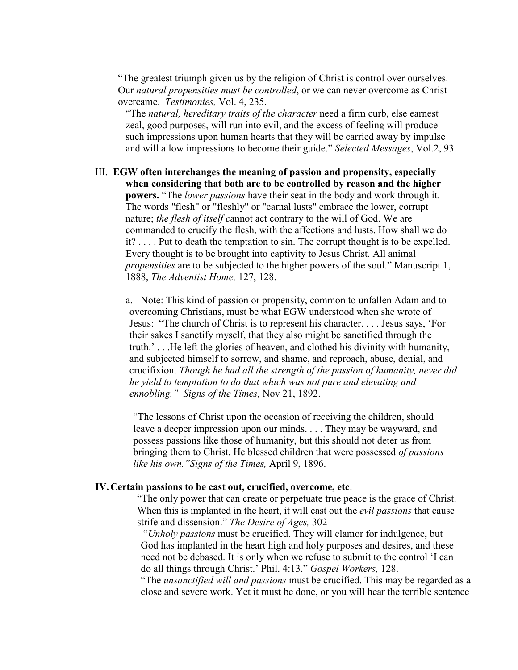"The greatest triumph given us by the religion of Christ is control over ourselves. Our natural propensities must be controlled, or we can never overcome as Christ overcame. Testimonies, Vol. 4, 235.

"The natural, hereditary traits of the character need a firm curb, else earnest zeal, good purposes, will run into evil, and the excess of feeling will produce such impressions upon human hearts that they will be carried away by impulse and will allow impressions to become their guide." Selected Messages, Vol.2, 93.

III. EGW often interchanges the meaning of passion and propensity, especially when considering that both are to be controlled by reason and the higher **powers.** "The *lower passions* have their seat in the body and work through it. The words "flesh" or "fleshly" or "carnal lusts" embrace the lower, corrupt nature; the flesh of itself cannot act contrary to the will of God. We are commanded to crucify the flesh, with the affections and lusts. How shall we do it? . . . . Put to death the temptation to sin. The corrupt thought is to be expelled. Every thought is to be brought into captivity to Jesus Christ. All animal propensities are to be subjected to the higher powers of the soul." Manuscript 1, 1888, The Adventist Home, 127, 128.

a. Note: This kind of passion or propensity, common to unfallen Adam and to overcoming Christians, must be what EGW understood when she wrote of Jesus: "The church of Christ is to represent his character. . . . Jesus says, 'For their sakes I sanctify myself, that they also might be sanctified through the truth.' . . .He left the glories of heaven, and clothed his divinity with humanity, and subjected himself to sorrow, and shame, and reproach, abuse, denial, and crucifixion. Though he had all the strength of the passion of humanity, never did he yield to temptation to do that which was not pure and elevating and ennobling." Signs of the Times, Nov 21, 1892.

"The lessons of Christ upon the occasion of receiving the children, should leave a deeper impression upon our minds. . . . They may be wayward, and possess passions like those of humanity, but this should not deter us from bringing them to Christ. He blessed children that were possessed *of passions* like his own."Signs of the Times, April 9, 1896.

#### IV.Certain passions to be cast out, crucified, overcome, etc:

"The only power that can create or perpetuate true peace is the grace of Christ. When this is implanted in the heart, it will cast out the *evil passions* that cause strife and dissension." The Desire of Ages, 302

 "Unholy passions must be crucified. They will clamor for indulgence, but God has implanted in the heart high and holy purposes and desires, and these need not be debased. It is only when we refuse to submit to the control 'I can do all things through Christ.' Phil. 4:13." Gospel Workers, 128.

"The unsanctified will and passions must be crucified. This may be regarded as a close and severe work. Yet it must be done, or you will hear the terrible sentence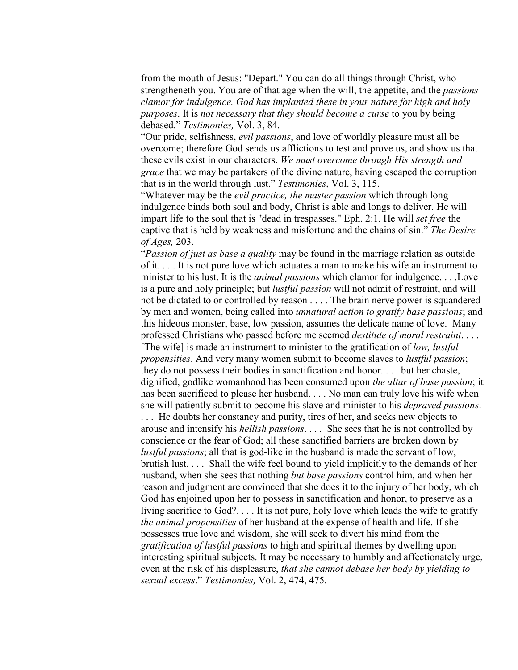from the mouth of Jesus: "Depart." You can do all things through Christ, who strengtheneth you. You are of that age when the will, the appetite, and the passions clamor for indulgence. God has implanted these in your nature for high and holy purposes. It is not necessary that they should become a curse to you by being debased." Testimonies, Vol. 3, 84.

"Our pride, selfishness, evil passions, and love of worldly pleasure must all be overcome; therefore God sends us afflictions to test and prove us, and show us that these evils exist in our characters. We must overcome through His strength and grace that we may be partakers of the divine nature, having escaped the corruption that is in the world through lust." Testimonies, Vol. 3, 115.

"Whatever may be the *evil practice, the master passion* which through long indulgence binds both soul and body, Christ is able and longs to deliver. He will impart life to the soul that is "dead in trespasses." Eph. 2:1. He will set free the captive that is held by weakness and misfortune and the chains of sin." The Desire of Ages, 203.

"Passion of just as base a quality may be found in the marriage relation as outside of it. . . . It is not pure love which actuates a man to make his wife an instrument to minister to his lust. It is the *animal passions* which clamor for indulgence. . . .Love is a pure and holy principle; but lustful passion will not admit of restraint, and will not be dictated to or controlled by reason . . . . The brain nerve power is squandered by men and women, being called into unnatural action to gratify base passions; and this hideous monster, base, low passion, assumes the delicate name of love. Many professed Christians who passed before me seemed *destitute of moral restraint*.... [The wife] is made an instrument to minister to the gratification of low, lustful propensities. And very many women submit to become slaves to lustful passion; they do not possess their bodies in sanctification and honor. . . . but her chaste, dignified, godlike womanhood has been consumed upon *the altar of base passion*; it has been sacrificed to please her husband. . . . No man can truly love his wife when she will patiently submit to become his slave and minister to his depraved passions. . . . He doubts her constancy and purity, tires of her, and seeks new objects to arouse and intensify his hellish passions. . . . She sees that he is not controlled by conscience or the fear of God; all these sanctified barriers are broken down by lustful passions; all that is god-like in the husband is made the servant of low, brutish lust. . . . Shall the wife feel bound to yield implicitly to the demands of her husband, when she sees that nothing but base passions control him, and when her reason and judgment are convinced that she does it to the injury of her body, which God has enjoined upon her to possess in sanctification and honor, to preserve as a living sacrifice to God?. . . . It is not pure, holy love which leads the wife to gratify the animal propensities of her husband at the expense of health and life. If she possesses true love and wisdom, she will seek to divert his mind from the gratification of lustful passions to high and spiritual themes by dwelling upon interesting spiritual subjects. It may be necessary to humbly and affectionately urge, even at the risk of his displeasure, that she cannot debase her body by yielding to sexual excess." Testimonies, Vol. 2, 474, 475.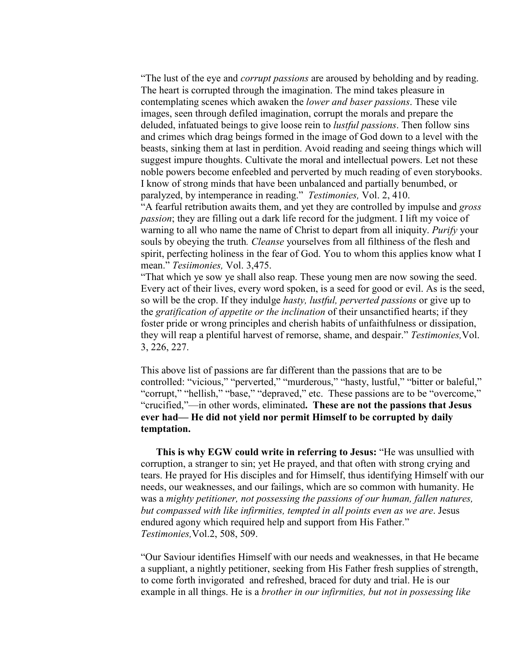"The lust of the eye and *corrupt passions* are aroused by beholding and by reading. The heart is corrupted through the imagination. The mind takes pleasure in contemplating scenes which awaken the *lower and baser passions*. These vile images, seen through defiled imagination, corrupt the morals and prepare the deluded, infatuated beings to give loose rein to *lustful passions*. Then follow sins and crimes which drag beings formed in the image of God down to a level with the beasts, sinking them at last in perdition. Avoid reading and seeing things which will suggest impure thoughts. Cultivate the moral and intellectual powers. Let not these noble powers become enfeebled and perverted by much reading of even storybooks. I know of strong minds that have been unbalanced and partially benumbed, or paralyzed, by intemperance in reading." Testimonies, Vol. 2, 410.

"A fearful retribution awaits them, and yet they are controlled by impulse and gross passion; they are filling out a dark life record for the judgment. I lift my voice of warning to all who name the name of Christ to depart from all iniquity. Purify your souls by obeying the truth. *Cleanse* yourselves from all filthiness of the flesh and spirit, perfecting holiness in the fear of God. You to whom this applies know what I mean." Tesiimonies, Vol. 3,475.

"That which ye sow ye shall also reap. These young men are now sowing the seed. Every act of their lives, every word spoken, is a seed for good or evil. As is the seed, so will be the crop. If they indulge hasty, lustful, perverted passions or give up to the gratification of appetite or the inclination of their unsanctified hearts; if they foster pride or wrong principles and cherish habits of unfaithfulness or dissipation, they will reap a plentiful harvest of remorse, shame, and despair." Testimonies,Vol. 3, 226, 227.

This above list of passions are far different than the passions that are to be controlled: "vicious," "perverted," "murderous," "hasty, lustful," "bitter or baleful," "corrupt," "hellish," "base," "depraved," etc. These passions are to be "overcome," "crucified,"—in other words, eliminated. These are not the passions that Jesus ever had— He did not yield nor permit Himself to be corrupted by daily temptation.

 This is why EGW could write in referring to Jesus: "He was unsullied with corruption, a stranger to sin; yet He prayed, and that often with strong crying and tears. He prayed for His disciples and for Himself, thus identifying Himself with our needs, our weaknesses, and our failings, which are so common with humanity. He was a mighty petitioner, not possessing the passions of our human, fallen natures, but compassed with like infirmities, tempted in all points even as we are. Jesus endured agony which required help and support from His Father." Testimonies,Vol.2, 508, 509.

"Our Saviour identifies Himself with our needs and weaknesses, in that He became a suppliant, a nightly petitioner, seeking from His Father fresh supplies of strength, to come forth invigorated and refreshed, braced for duty and trial. He is our example in all things. He is a *brother in our infirmities, but not in possessing like*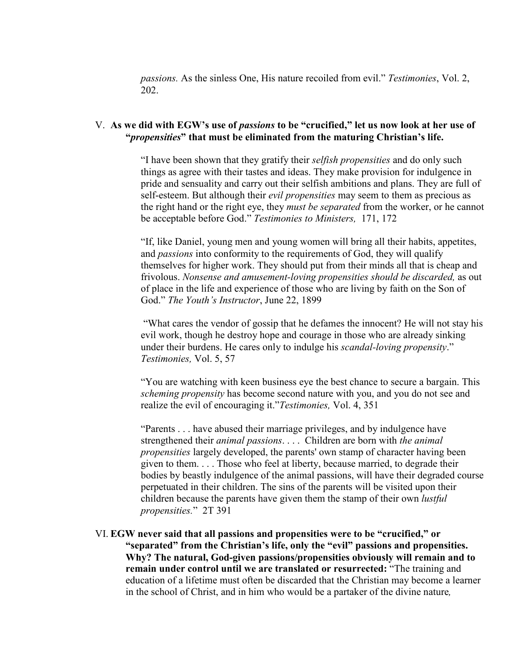passions. As the sinless One, His nature recoiled from evil." Testimonies, Vol. 2, 202.

# V. As we did with EGW's use of passions to be "crucified," let us now look at her use of "propensities" that must be eliminated from the maturing Christian's life.

"I have been shown that they gratify their selfish propensities and do only such things as agree with their tastes and ideas. They make provision for indulgence in pride and sensuality and carry out their selfish ambitions and plans. They are full of self-esteem. But although their *evil propensities* may seem to them as precious as the right hand or the right eye, they *must be separated* from the worker, or he cannot be acceptable before God." Testimonies to Ministers, 171, 172

"If, like Daniel, young men and young women will bring all their habits, appetites, and passions into conformity to the requirements of God, they will qualify themselves for higher work. They should put from their minds all that is cheap and frivolous. Nonsense and amusement-loving propensities should be discarded, as out of place in the life and experience of those who are living by faith on the Son of God." The Youth's Instructor, June 22, 1899

 "What cares the vendor of gossip that he defames the innocent? He will not stay his evil work, though he destroy hope and courage in those who are already sinking under their burdens. He cares only to indulge his *scandal-loving propensity*." Testimonies, Vol. 5, 57

"You are watching with keen business eye the best chance to secure a bargain. This scheming propensity has become second nature with you, and you do not see and realize the evil of encouraging it."Testimonies, Vol. 4, 351

"Parents . . . have abused their marriage privileges, and by indulgence have strengthened their *animal passions.* . . . Children are born with *the animal* propensities largely developed, the parents' own stamp of character having been given to them. . . . Those who feel at liberty, because married, to degrade their bodies by beastly indulgence of the animal passions, will have their degraded course perpetuated in their children. The sins of the parents will be visited upon their children because the parents have given them the stamp of their own lustful propensities." 2T 391

VI. EGW never said that all passions and propensities were to be "crucified," or "separated" from the Christian's life, only the "evil" passions and propensities. Why? The natural, God-given passions/propensities obviously will remain and to remain under control until we are translated or resurrected: "The training and education of a lifetime must often be discarded that the Christian may become a learner in the school of Christ, and in him who would be a partaker of the divine nature,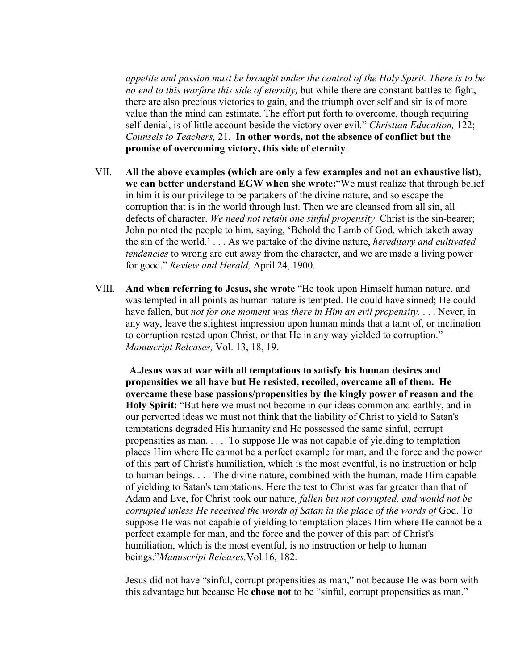appetite and passion must be brought under the control of the Holy Spirit. There is to be no end to this warfare this side of eternity, but while there are constant battles to fight, there are also precious victories to gain, and the triumph over self and sin is of more value than the mind can estimate. The effort put forth to overcome, though requiring self-denial, is of little account beside the victory over evil." Christian Education, 122; Counsels to Teachers, 21. In other words, not the absence of conflict but the promise of overcoming victory, this side of eternity.

- VII. All the above examples (which are only a few examples and not an exhaustive list), we can better understand EGW when she wrote: "We must realize that through belief in him it is our privilege to be partakers of the divine nature, and so escape the corruption that is in the world through lust. Then we are cleansed from all sin, all defects of character. We need not retain one sinful propensity. Christ is the sin-bearer; John pointed the people to him, saying, 'Behold the Lamb of God, which taketh away the sin of the world.'... As we partake of the divine nature, *hereditary and cultivated* tendencies to wrong are cut away from the character, and we are made a living power for good." Review and Herald, April 24, 1900.
- VIII. And when referring to Jesus, she wrote "He took upon Himself human nature, and was tempted in all points as human nature is tempted. He could have sinned; He could have fallen, but not for one moment was there in Him an evil propensity. . . . Never, in any way, leave the slightest impression upon human minds that a taint of, or inclination to corruption rested upon Christ, or that He in any way yielded to corruption." Manuscript Releases, Vol. 13, 18, 19.

A.Jesus was at war with all temptations to satisfy his human desires and propensities we all have but He resisted, recoiled, overcame all of them. He overcame these base passions/propensities by the kingly power of reason and the Holy Spirit: "But here we must not become in our ideas common and earthly, and in our perverted ideas we must not think that the liability of Christ to yield to Satan's temptations degraded His humanity and He possessed the same sinful, corrupt propensities as man. . . . To suppose He was not capable of yielding to temptation places Him where He cannot be a perfect example for man, and the force and the power of this part of Christ's humiliation, which is the most eventful, is no instruction or help to human beings. . . . The divine nature, combined with the human, made Him capable of yielding to Satan's temptations. Here the test to Christ was far greater than that of Adam and Eve, for Christ took our nature, fallen but not corrupted, and would not be corrupted unless He received the words of Satan in the place of the words of God. To suppose He was not capable of yielding to temptation places Him where He cannot be a perfect example for man, and the force and the power of this part of Christ's humiliation, which is the most eventful, is no instruction or help to human beings."Manuscript Releases, Vol.16, 182.

Jesus did not have "sinful, corrupt propensities as man," not because He was born with this advantage but because He chose not to be "sinful, corrupt propensities as man."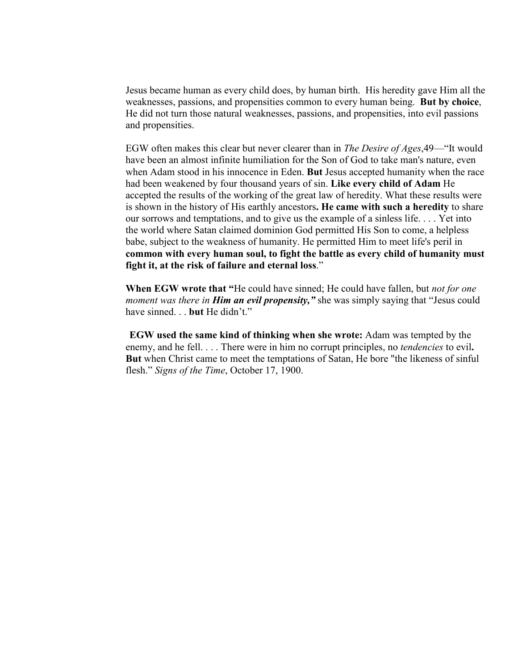Jesus became human as every child does, by human birth. His heredity gave Him all the weaknesses, passions, and propensities common to every human being. But by choice, He did not turn those natural weaknesses, passions, and propensities, into evil passions and propensities.

EGW often makes this clear but never clearer than in The Desire of Ages,49—"It would have been an almost infinite humiliation for the Son of God to take man's nature, even when Adam stood in his innocence in Eden. But Jesus accepted humanity when the race had been weakened by four thousand years of sin. Like every child of Adam He accepted the results of the working of the great law of heredity. What these results were is shown in the history of His earthly ancestors. He came with such a heredity to share our sorrows and temptations, and to give us the example of a sinless life. . . . Yet into the world where Satan claimed dominion God permitted His Son to come, a helpless babe, subject to the weakness of humanity. He permitted Him to meet life's peril in common with every human soul, to fight the battle as every child of humanity must fight it, at the risk of failure and eternal loss."

When EGW wrote that "He could have sinned; He could have fallen, but *not for one* moment was there in **Him an evil propensity,**" she was simply saying that "Jesus could have sinned. . . **but** He didn't."

EGW used the same kind of thinking when she wrote: Adam was tempted by the enemy, and he fell. . . . There were in him no corrupt principles, no *tendencies* to evil. But when Christ came to meet the temptations of Satan, He bore "the likeness of sinful flesh." Signs of the Time, October 17, 1900.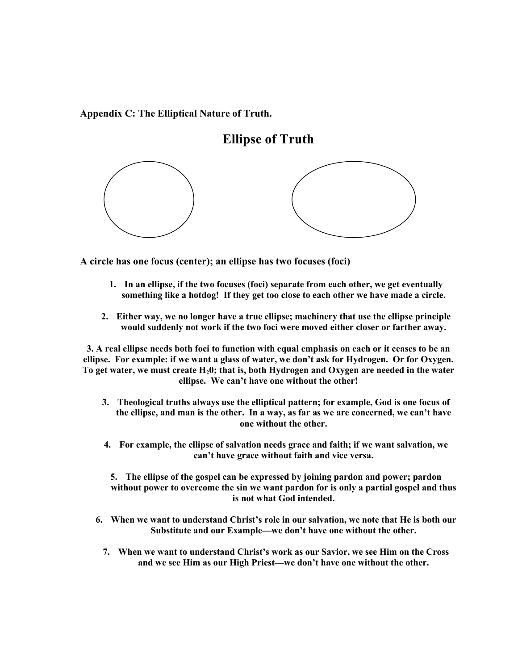Appendix C: The Elliptical Nature of Truth.

# Ellipse of Truth



A circle has one focus (center); an ellipse has two focuses (foci)

- 1. In an ellipse, if the two focuses (foci) separate from each other, we get eventually something like a hotdog! If they get too close to each other we have made a circle.
- 2. Either way, we no longer have a true ellipse; machinery that use the ellipse principle would suddenly not work if the two foci were moved either closer or farther away.

3. A real ellipse needs both foci to function with equal emphasis on each or it ceases to be an ellipse. For example: if we want a glass of water, we don't ask for Hydrogen. Or for Oxygen. To get water, we must create  $H_20$ ; that is, both Hydrogen and Oxygen are needed in the water ellipse. We can't have one without the other!

- 3. Theological truths always use the elliptical pattern; for example, God is one focus of the ellipse, and man is the other. In a way, as far as we are concerned, we can't have one without the other.
- 4. For example, the ellipse of salvation needs grace and faith; if we want salvation, we can't have grace without faith and vice versa.

5. The ellipse of the gospel can be expressed by joining pardon and power; pardon without power to overcome the sin we want pardon for is only a partial gospel and thus is not what God intended.

- 6. When we want to understand Christ's role in our salvation, we note that He is both our Substitute and our Example—we don't have one without the other.
	- 7. When we want to understand Christ's work as our Savior, we see Him on the Cross and we see Him as our High Priest—we don't have one without the other.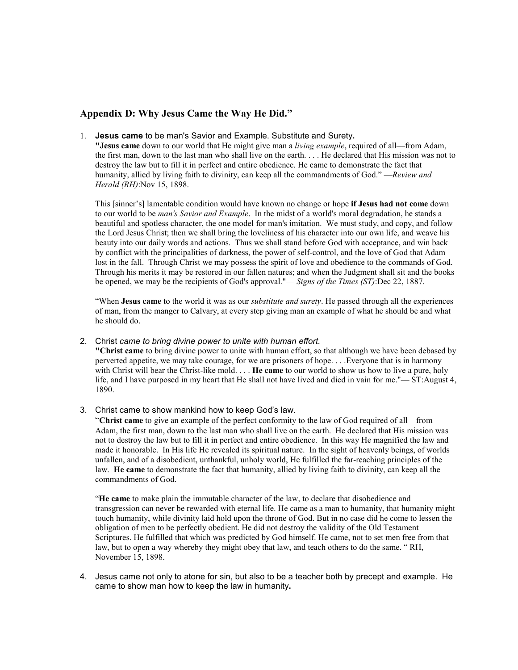## Appendix D: Why Jesus Came the Way He Did."

#### 1. Jesus came to be man's Savior and Example. Substitute and Surety.

**"Jesus came** down to our world that He might give man a *living example*, required of all—from Adam, the first man, down to the last man who shall live on the earth. . . . He declared that His mission was not to destroy the law but to fill it in perfect and entire obedience. He came to demonstrate the fact that humanity, allied by living faith to divinity, can keep all the commandments of God." —Review and Herald (RH):Nov 15, 1898.

This [sinner's] lamentable condition would have known no change or hope if Jesus had not come down to our world to be man's Savior and Example. In the midst of a world's moral degradation, he stands a beautiful and spotless character, the one model for man's imitation. We must study, and copy, and follow the Lord Jesus Christ; then we shall bring the loveliness of his character into our own life, and weave his beauty into our daily words and actions. Thus we shall stand before God with acceptance, and win back by conflict with the principalities of darkness, the power of self-control, and the love of God that Adam lost in the fall. Through Christ we may possess the spirit of love and obedience to the commands of God. Through his merits it may be restored in our fallen natures; and when the Judgment shall sit and the books be opened, we may be the recipients of God's approval."— Signs of the Times (ST):Dec 22, 1887.

"When **Jesus came** to the world it was as our *substitute and surety*. He passed through all the experiences of man, from the manger to Calvary, at every step giving man an example of what he should be and what he should do.

#### 2. Christ came to bring divine power to unite with human effort.

"Christ came to bring divine power to unite with human effort, so that although we have been debased by perverted appetite, we may take courage, for we are prisoners of hope. . . .Everyone that is in harmony with Christ will bear the Christ-like mold. . . . He came to our world to show us how to live a pure, holy life, and I have purposed in my heart that He shall not have lived and died in vain for me."— ST:August 4, 1890.

#### 3. Christ came to show mankind how to keep God's law.

"Christ came to give an example of the perfect conformity to the law of God required of all—from Adam, the first man, down to the last man who shall live on the earth. He declared that His mission was not to destroy the law but to fill it in perfect and entire obedience. In this way He magnified the law and made it honorable. In His life He revealed its spiritual nature. In the sight of heavenly beings, of worlds unfallen, and of a disobedient, unthankful, unholy world, He fulfilled the far-reaching principles of the law. He came to demonstrate the fact that humanity, allied by living faith to divinity, can keep all the commandments of God.

"He came to make plain the immutable character of the law, to declare that disobedience and transgression can never be rewarded with eternal life. He came as a man to humanity, that humanity might touch humanity, while divinity laid hold upon the throne of God. But in no case did he come to lessen the obligation of men to be perfectly obedient. He did not destroy the validity of the Old Testament Scriptures. He fulfilled that which was predicted by God himself. He came, not to set men free from that law, but to open a way whereby they might obey that law, and teach others to do the same. " RH, November 15, 1898.

4. Jesus came not only to atone for sin, but also to be a teacher both by precept and example. He came to show man how to keep the law in humanity.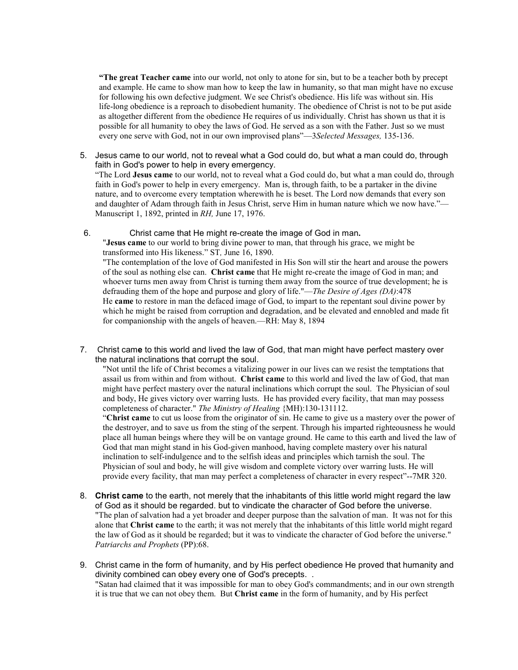**"The great Teacher came** into our world, not only to atone for sin, but to be a teacher both by precept and example. He came to show man how to keep the law in humanity, so that man might have no excuse for following his own defective judgment. We see Christ's obedience. His life was without sin. His life-long obedience is a reproach to disobedient humanity. The obedience of Christ is not to be put aside as altogether different from the obedience He requires of us individually. Christ has shown us that it is possible for all humanity to obey the laws of God. He served as a son with the Father. Just so we must every one serve with God, not in our own improvised plans"—3Selected Messages, 135-136.

- 5. Jesus came to our world, not to reveal what a God could do, but what a man could do, through faith in God's power to help in every emergency. "The Lord Jesus came to our world, not to reveal what a God could do, but what a man could do, through faith in God's power to help in every emergency. Man is, through faith, to be a partaker in the divine nature, and to overcome every temptation wherewith he is beset. The Lord now demands that every son and daughter of Adam through faith in Jesus Christ, serve Him in human nature which we now have."— Manuscript 1, 1892, printed in RH, June 17, 1976.
- 6. Christ came that He might re-create the image of God in man. "Jesus came to our world to bring divine power to man, that through his grace, we might be transformed into His likeness." ST, June 16, 1890. "The contemplation of the love of God manifested in His Son will stir the heart and arouse the powers of the soul as nothing else can. Christ came that He might re-create the image of God in man; and whoever turns men away from Christ is turning them away from the source of true development; he is defrauding them of the hope and purpose and glory of life."—The Desire of Ages (DA):478 He came to restore in man the defaced image of God, to impart to the repentant soul divine power by which he might be raised from corruption and degradation, and be elevated and ennobled and made fit for companionship with the angels of heaven.—RH: May 8, 1894
- 7. Christ came to this world and lived the law of God, that man might have perfect mastery over the natural inclinations that corrupt the soul.

"Not until the life of Christ becomes a vitalizing power in our lives can we resist the temptations that assail us from within and from without. Christ came to this world and lived the law of God, that man might have perfect mastery over the natural inclinations which corrupt the soul. The Physician of soul and body, He gives victory over warring lusts. He has provided every facility, that man may possess completeness of character." The Ministry of Healing {MH):130-131112.

"Christ came to cut us loose from the originator of sin. He came to give us a mastery over the power of the destroyer, and to save us from the sting of the serpent. Through his imparted righteousness he would place all human beings where they will be on vantage ground. He came to this earth and lived the law of God that man might stand in his God-given manhood, having complete mastery over his natural inclination to self-indulgence and to the selfish ideas and principles which tarnish the soul. The Physician of soul and body, he will give wisdom and complete victory over warring lusts. He will provide every facility, that man may perfect a completeness of character in every respect"--7MR 320.

- 8. Christ came to the earth, not merely that the inhabitants of this little world might regard the law of God as it should be regarded. but to vindicate the character of God before the universe. "The plan of salvation had a yet broader and deeper purpose than the salvation of man. It was not for this alone that Christ came to the earth; it was not merely that the inhabitants of this little world might regard the law of God as it should be regarded; but it was to vindicate the character of God before the universe." Patriarchs and Prophets (PP):68.
- 9. Christ came in the form of humanity, and by His perfect obedience He proved that humanity and divinity combined can obey every one of God's precepts. . "Satan had claimed that it was impossible for man to obey God's commandments; and in our own strength it is true that we can not obey them. But Christ came in the form of humanity, and by His perfect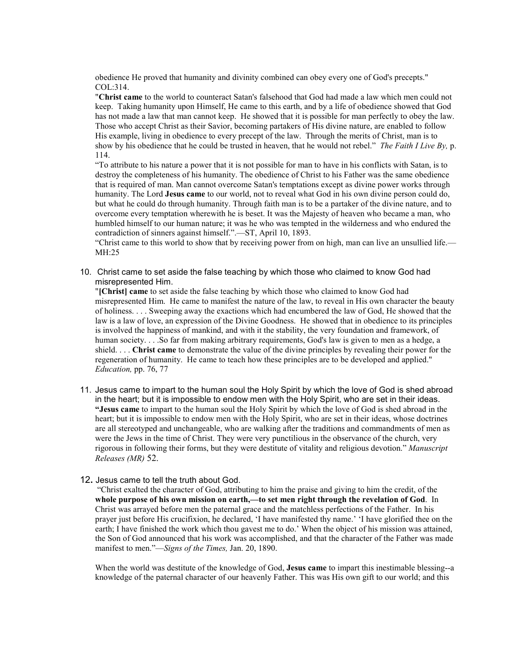obedience He proved that humanity and divinity combined can obey every one of God's precepts." COL:314.

"Christ came to the world to counteract Satan's falsehood that God had made a law which men could not keep. Taking humanity upon Himself, He came to this earth, and by a life of obedience showed that God has not made a law that man cannot keep. He showed that it is possible for man perfectly to obey the law. Those who accept Christ as their Savior, becoming partakers of His divine nature, are enabled to follow His example, living in obedience to every precept of the law. Through the merits of Christ, man is to show by his obedience that he could be trusted in heaven, that he would not rebel." The Faith I Live By, p. 114.

"To attribute to his nature a power that it is not possible for man to have in his conflicts with Satan, is to destroy the completeness of his humanity. The obedience of Christ to his Father was the same obedience that is required of man. Man cannot overcome Satan's temptations except as divine power works through humanity. The Lord **Jesus came** to our world, not to reveal what God in his own divine person could do, but what he could do through humanity. Through faith man is to be a partaker of the divine nature, and to overcome every temptation wherewith he is beset. It was the Majesty of heaven who became a man, who humbled himself to our human nature; it was he who was tempted in the wilderness and who endured the contradiction of sinners against himself.".—ST, April 10, 1893.

"Christ came to this world to show that by receiving power from on high, man can live an unsullied life.— MH:25

10. Christ came to set aside the false teaching by which those who claimed to know God had misrepresented Him.

"[Christ] came to set aside the false teaching by which those who claimed to know God had misrepresented Him. He came to manifest the nature of the law, to reveal in His own character the beauty of holiness. . . . Sweeping away the exactions which had encumbered the law of God, He showed that the law is a law of love, an expression of the Divine Goodness. He showed that in obedience to its principles is involved the happiness of mankind, and with it the stability, the very foundation and framework, of human society. . . .So far from making arbitrary requirements, God's law is given to men as a hedge, a shield. . . . Christ came to demonstrate the value of the divine principles by revealing their power for the regeneration of humanity. He came to teach how these principles are to be developed and applied." Education, pp. 76, 77

- 11. Jesus came to impart to the human soul the Holy Spirit by which the love of God is shed abroad in the heart; but it is impossible to endow men with the Holy Spirit, who are set in their ideas. "Jesus came to impart to the human soul the Holy Spirit by which the love of God is shed abroad in the heart; but it is impossible to endow men with the Holy Spirit, who are set in their ideas, whose doctrines are all stereotyped and unchangeable, who are walking after the traditions and commandments of men as were the Jews in the time of Christ. They were very punctilious in the observance of the church, very rigorous in following their forms, but they were destitute of vitality and religious devotion." Manuscript Releases (MR) 52.
- 12. Jesus came to tell the truth about God.

 "Christ exalted the character of God, attributing to him the praise and giving to him the credit, of the whole purpose of his own mission on earth,—to set men right through the revelation of God. In Christ was arrayed before men the paternal grace and the matchless perfections of the Father. In his prayer just before His crucifixion, he declared, 'I have manifested thy name.' 'I have glorified thee on the earth; I have finished the work which thou gavest me to do.' When the object of his mission was attained, the Son of God announced that his work was accomplished, and that the character of the Father was made manifest to men."—Signs of the Times, Jan. 20, 1890.

When the world was destitute of the knowledge of God, **Jesus came** to impart this inestimable blessing--a knowledge of the paternal character of our heavenly Father. This was His own gift to our world; and this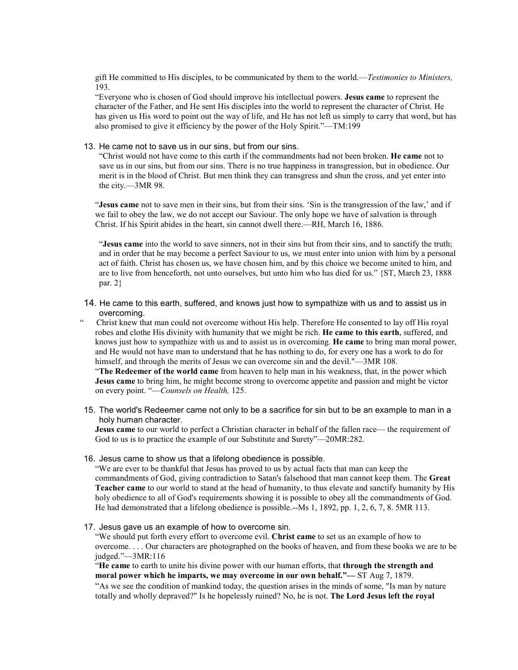gift He committed to His disciples, to be communicated by them to the world.—Testimonies to Ministers, 193.

 "Everyone who is chosen of God should improve his intellectual powers. Jesus came to represent the character of the Father, and He sent His disciples into the world to represent the character of Christ. He has given us His word to point out the way of life, and He has not left us simply to carry that word, but has also promised to give it efficiency by the power of the Holy Spirit."—TM:199

13. He came not to save us in our sins, but from our sins.

"Christ would not have come to this earth if the commandments had not been broken. He came not to save us in our sins, but from our sins. There is no true happiness in transgression, but in obedience. Our merit is in the blood of Christ. But men think they can transgress and shun the cross, and yet enter into the city.—3MR 98.

"Jesus came not to save men in their sins, but from their sins. 'Sin is the transgression of the law,' and if we fail to obey the law, we do not accept our Saviour. The only hope we have of salvation is through Christ. If his Spirit abides in the heart, sin cannot dwell there.—RH, March 16, 1886.

"Jesus came into the world to save sinners, not in their sins but from their sins, and to sanctify the truth; and in order that he may become a perfect Saviour to us, we must enter into union with him by a personal act of faith. Christ has chosen us, we have chosen him, and by this choice we become united to him, and are to live from henceforth, not unto ourselves, but unto him who has died for us." {ST, March 23, 1888 par. 2}

14. He came to this earth, suffered, and knows just how to sympathize with us and to assist us in overcoming.

" Christ knew that man could not overcome without His help. Therefore He consented to lay off His royal robes and clothe His divinity with humanity that we might be rich. He came to this earth, suffered, and knows just how to sympathize with us and to assist us in overcoming. He came to bring man moral power, and He would not have man to understand that he has nothing to do, for every one has a work to do for himself, and through the merits of Jesus we can overcome sin and the devil."—3MR 108.

"The Redeemer of the world came from heaven to help man in his weakness, that, in the power which Jesus came to bring him, he might become strong to overcome appetite and passion and might be victor on every point. "—Counsels on Health, 125.

15. The world's Redeemer came not only to be a sacrifice for sin but to be an example to man in a holy human character.

**Jesus came** to our world to perfect a Christian character in behalf of the fallen race— the requirement of God to us is to practice the example of our Substitute and Surety"—20MR:282.

16. Jesus came to show us that a lifelong obedience is possible.

"We are ever to be thankful that Jesus has proved to us by actual facts that man can keep the commandments of God, giving contradiction to Satan's falsehood that man cannot keep them. The Great Teacher came to our world to stand at the head of humanity, to thus elevate and sanctify humanity by His holy obedience to all of God's requirements showing it is possible to obey all the commandments of God. He had demonstrated that a lifelong obedience is possible.--Ms 1, 1892, pp. 1, 2, 6, 7, 8. 5MR 113.

17. Jesus gave us an example of how to overcome sin.

"We should put forth every effort to overcome evil. Christ came to set us an example of how to overcome. . . . Our characters are photographed on the books of heaven, and from these books we are to be  $i$ udged." $-3MR:116$ 

"He came to earth to unite his divine power with our human efforts, that through the strength and moral power which he imparts, we may overcome in our own behalf."— ST Aug 7, 1879. "As we see the condition of mankind today, the question arises in the minds of some, "Is man by nature totally and wholly depraved?" Is he hopelessly ruined? No, he is not. The Lord Jesus left the royal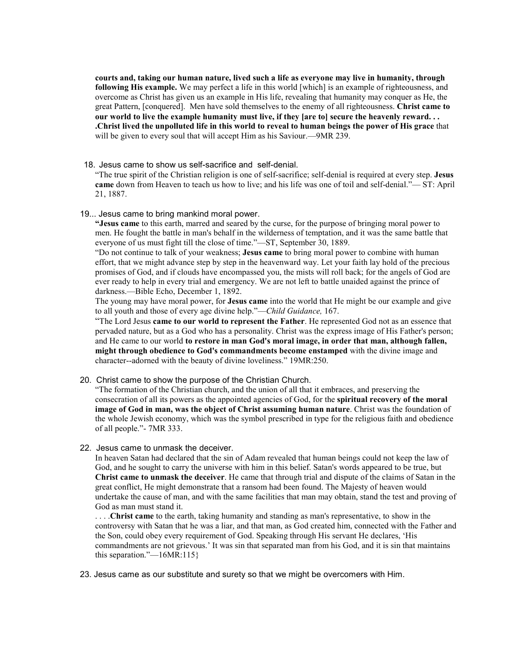courts and, taking our human nature, lived such a life as everyone may live in humanity, through following His example. We may perfect a life in this world [which] is an example of righteousness, and overcome as Christ has given us an example in His life, revealing that humanity may conquer as He, the great Pattern, [conquered]. Men have sold themselves to the enemy of all righteousness. Christ came to our world to live the example humanity must live, if they [are to] secure the heavenly reward. . . .Christ lived the unpolluted life in this world to reveal to human beings the power of His grace that will be given to every soul that will accept Him as his Saviour.—9MR 239.

18. Jesus came to show us self-sacrifice and self-denial.

"The true spirit of the Christian religion is one of self-sacrifice; self-denial is required at every step. Jesus came down from Heaven to teach us how to live; and his life was one of toil and self-denial."— ST: April 21, 1887.

19... Jesus came to bring mankind moral power.

"Jesus came to this earth, marred and seared by the curse, for the purpose of bringing moral power to men. He fought the battle in man's behalf in the wilderness of temptation, and it was the same battle that everyone of us must fight till the close of time."—ST, September 30, 1889.

"Do not continue to talk of your weakness; Jesus came to bring moral power to combine with human effort, that we might advance step by step in the heavenward way. Let your faith lay hold of the precious promises of God, and if clouds have encompassed you, the mists will roll back; for the angels of God are ever ready to help in every trial and emergency. We are not left to battle unaided against the prince of darkness.—Bible Echo, December 1, 1892.

The young may have moral power, for **Jesus came** into the world that He might be our example and give to all youth and those of every age divine help."—Child Guidance, 167.

"The Lord Jesus came to our world to represent the Father. He represented God not as an essence that pervaded nature, but as a God who has a personality. Christ was the express image of His Father's person; and He came to our world to restore in man God's moral image, in order that man, although fallen, might through obedience to God's commandments become enstamped with the divine image and character--adorned with the beauty of divine loveliness." 19MR:250.

20. Christ came to show the purpose of the Christian Church.

"The formation of the Christian church, and the union of all that it embraces, and preserving the consecration of all its powers as the appointed agencies of God, for the spiritual recovery of the moral image of God in man, was the object of Christ assuming human nature. Christ was the foundation of the whole Jewish economy, which was the symbol prescribed in type for the religious faith and obedience of all people."- 7MR 333.

22. Jesus came to unmask the deceiver.

In heaven Satan had declared that the sin of Adam revealed that human beings could not keep the law of God, and he sought to carry the universe with him in this belief. Satan's words appeared to be true, but Christ came to unmask the deceiver. He came that through trial and dispute of the claims of Satan in the great conflict, He might demonstrate that a ransom had been found. The Majesty of heaven would undertake the cause of man, and with the same facilities that man may obtain, stand the test and proving of God as man must stand it.

. . . .Christ came to the earth, taking humanity and standing as man's representative, to show in the controversy with Satan that he was a liar, and that man, as God created him, connected with the Father and the Son, could obey every requirement of God. Speaking through His servant He declares, 'His commandments are not grievous.' It was sin that separated man from his God, and it is sin that maintains this separation."—16MR:115}

23. Jesus came as our substitute and surety so that we might be overcomers with Him.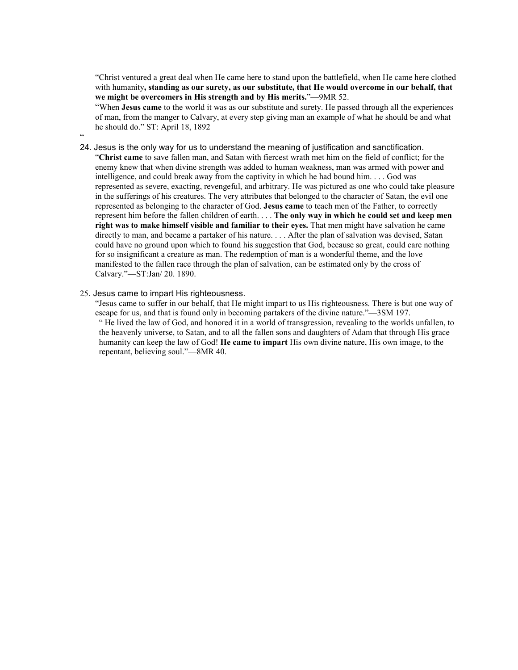"Christ ventured a great deal when He came here to stand upon the battlefield, when He came here clothed with humanity, standing as our surety, as our substitute, that He would overcome in our behalf, that we might be overcomers in His strength and by His merits."—9MR 52.

"When Jesus came to the world it was as our substitute and surety. He passed through all the experiences of man, from the manger to Calvary, at every step giving man an example of what he should be and what he should do." ST: April 18, 1892

24. Jesus is the only way for us to understand the meaning of justification and sanctification.

"Christ came to save fallen man, and Satan with fiercest wrath met him on the field of conflict; for the enemy knew that when divine strength was added to human weakness, man was armed with power and intelligence, and could break away from the captivity in which he had bound him. . . . God was represented as severe, exacting, revengeful, and arbitrary. He was pictured as one who could take pleasure in the sufferings of his creatures. The very attributes that belonged to the character of Satan, the evil one represented as belonging to the character of God. Jesus came to teach men of the Father, to correctly represent him before the fallen children of earth. . . . The only way in which he could set and keep men right was to make himself visible and familiar to their eyes. That men might have salvation he came directly to man, and became a partaker of his nature. . . . After the plan of salvation was devised, Satan could have no ground upon which to found his suggestion that God, because so great, could care nothing for so insignificant a creature as man. The redemption of man is a wonderful theme, and the love manifested to the fallen race through the plan of salvation, can be estimated only by the cross of Calvary."—ST:Jan/ 20. 1890.

25. Jesus came to impart His righteousness.

.<br>..

"Jesus came to suffer in our behalf, that He might impart to us His righteousness. There is but one way of escape for us, and that is found only in becoming partakers of the divine nature."—3SM 197. " He lived the law of God, and honored it in a world of transgression, revealing to the worlds unfallen, to the heavenly universe, to Satan, and to all the fallen sons and daughters of Adam that through His grace humanity can keep the law of God! He came to impart His own divine nature, His own image, to the repentant, believing soul."—8MR 40.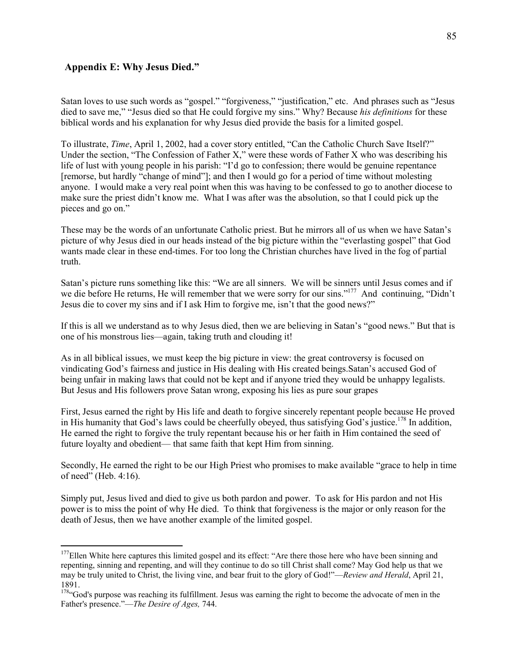# Appendix E: Why Jesus Died."

-

Satan loves to use such words as "gospel." "forgiveness," "justification," etc. And phrases such as "Jesus died to save me," "Jesus died so that He could forgive my sins." Why? Because his definitions for these biblical words and his explanation for why Jesus died provide the basis for a limited gospel.

To illustrate, Time, April 1, 2002, had a cover story entitled, "Can the Catholic Church Save Itself?" Under the section, "The Confession of Father X," were these words of Father X who was describing his life of lust with young people in his parish: "I'd go to confession; there would be genuine repentance [remorse, but hardly "change of mind"]; and then I would go for a period of time without molesting anyone. I would make a very real point when this was having to be confessed to go to another diocese to make sure the priest didn't know me. What I was after was the absolution, so that I could pick up the pieces and go on."

These may be the words of an unfortunate Catholic priest. But he mirrors all of us when we have Satan's picture of why Jesus died in our heads instead of the big picture within the "everlasting gospel" that God wants made clear in these end-times. For too long the Christian churches have lived in the fog of partial truth.

Satan's picture runs something like this: "We are all sinners. We will be sinners until Jesus comes and if we die before He returns, He will remember that we were sorry for our sins."<sup>177</sup> And continuing, "Didn't Jesus die to cover my sins and if I ask Him to forgive me, isn't that the good news?"

If this is all we understand as to why Jesus died, then we are believing in Satan's "good news." But that is one of his monstrous lies—again, taking truth and clouding it!

As in all biblical issues, we must keep the big picture in view: the great controversy is focused on vindicating God's fairness and justice in His dealing with His created beings.Satan's accused God of being unfair in making laws that could not be kept and if anyone tried they would be unhappy legalists. But Jesus and His followers prove Satan wrong, exposing his lies as pure sour grapes

First, Jesus earned the right by His life and death to forgive sincerely repentant people because He proved in His humanity that God's laws could be cheerfully obeyed, thus satisfying God's justice.<sup>178</sup> In addition, He earned the right to forgive the truly repentant because his or her faith in Him contained the seed of future loyalty and obedient— that same faith that kept Him from sinning.

Secondly, He earned the right to be our High Priest who promises to make available "grace to help in time of need" (Heb. 4:16).

Simply put, Jesus lived and died to give us both pardon and power. To ask for His pardon and not His power is to miss the point of why He died. To think that forgiveness is the major or only reason for the death of Jesus, then we have another example of the limited gospel.

<sup>&</sup>lt;sup>177</sup>Ellen White here captures this limited gospel and its effect: "Are there those here who have been sinning and repenting, sinning and repenting, and will they continue to do so till Christ shall come? May God help us that we may be truly united to Christ, the living vine, and bear fruit to the glory of God!"—Review and Herald, April 21, 1891.

<sup>&</sup>lt;sup>178</sup>"God's purpose was reaching its fulfillment. Jesus was earning the right to become the advocate of men in the Father's presence."—The Desire of Ages, 744.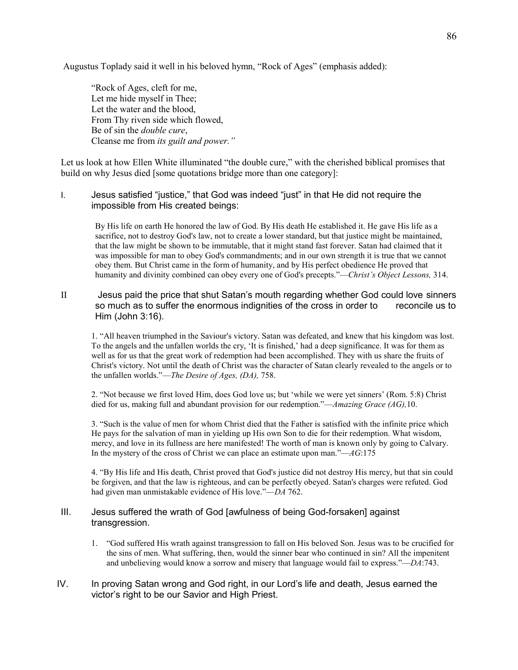Augustus Toplady said it well in his beloved hymn, "Rock of Ages" (emphasis added):

"Rock of Ages, cleft for me, Let me hide myself in Thee; Let the water and the blood, From Thy riven side which flowed, Be of sin the double cure, Cleanse me from its guilt and power."

Let us look at how Ellen White illuminated "the double cure," with the cherished biblical promises that build on why Jesus died [some quotations bridge more than one category]:

## I. Jesus satisfied "justice," that God was indeed "just" in that He did not require the impossible from His created beings:

By His life on earth He honored the law of God. By His death He established it. He gave His life as a sacrifice, not to destroy God's law, not to create a lower standard, but that justice might be maintained, that the law might be shown to be immutable, that it might stand fast forever. Satan had claimed that it was impossible for man to obey God's commandments; and in our own strength it is true that we cannot obey them. But Christ came in the form of humanity, and by His perfect obedience He proved that humanity and divinity combined can obey every one of God's precepts."—Christ's Object Lessons, 314.

## II Jesus paid the price that shut Satan's mouth regarding whether God could love sinners so much as to suffer the enormous indignities of the cross in order to reconcile us to Him (John 3:16).

1. "All heaven triumphed in the Saviour's victory. Satan was defeated, and knew that his kingdom was lost. To the angels and the unfallen worlds the cry, 'It is finished,' had a deep significance. It was for them as well as for us that the great work of redemption had been accomplished. They with us share the fruits of Christ's victory. Not until the death of Christ was the character of Satan clearly revealed to the angels or to the unfallen worlds."—The Desire of Ages, (DA), 758.

2. "Not because we first loved Him, does God love us; but 'while we were yet sinners' (Rom. 5:8) Christ died for us, making full and abundant provision for our redemption."—Amazing Grace  $(AG)$ , 10.

 3. "Such is the value of men for whom Christ died that the Father is satisfied with the infinite price which He pays for the salvation of man in yielding up His own Son to die for their redemption. What wisdom, mercy, and love in its fullness are here manifested! The worth of man is known only by going to Calvary. In the mystery of the cross of Christ we can place an estimate upon man." $-AG:175$ 

4. "By His life and His death, Christ proved that God's justice did not destroy His mercy, but that sin could be forgiven, and that the law is righteous, and can be perfectly obeyed. Satan's charges were refuted. God had given man unmistakable evidence of His love."—DA 762.

## III. Jesus suffered the wrath of God [awfulness of being God-forsaken] against transgression.

- 1. "God suffered His wrath against transgression to fall on His beloved Son. Jesus was to be crucified for the sins of men. What suffering, then, would the sinner bear who continued in sin? All the impenitent and unbelieving would know a sorrow and misery that language would fail to express."—DA:743.
- IV. In proving Satan wrong and God right, in our Lord's life and death, Jesus earned the victor's right to be our Savior and High Priest.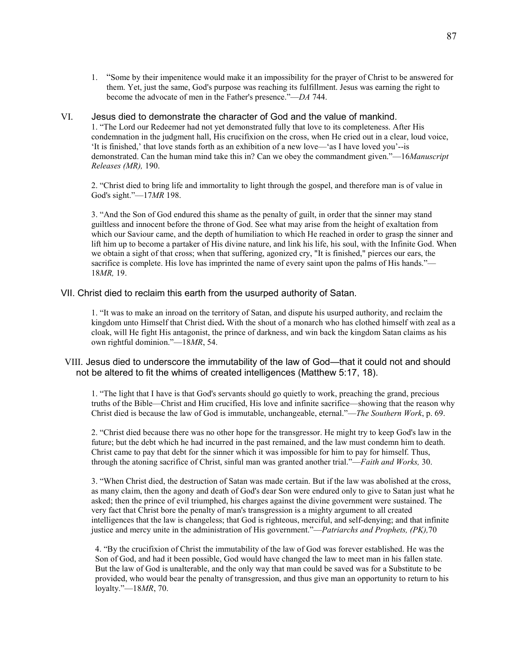1. "Some by their impenitence would make it an impossibility for the prayer of Christ to be answered for them. Yet, just the same, God's purpose was reaching its fulfillment. Jesus was earning the right to become the advocate of men in the Father's presence."—DA 744.

#### VI. Jesus died to demonstrate the character of God and the value of mankind.

1. "The Lord our Redeemer had not yet demonstrated fully that love to its completeness. After His condemnation in the judgment hall, His crucifixion on the cross, when He cried out in a clear, loud voice, 'It is finished,' that love stands forth as an exhibition of a new love—'as I have loved you'--is demonstrated. Can the human mind take this in? Can we obey the commandment given."—16Manuscript Releases (MR), 190.

2. "Christ died to bring life and immortality to light through the gospel, and therefore man is of value in God's sight."—17MR 198.

3. "And the Son of God endured this shame as the penalty of guilt, in order that the sinner may stand guiltless and innocent before the throne of God. See what may arise from the height of exaltation from which our Saviour came, and the depth of humiliation to which He reached in order to grasp the sinner and lift him up to become a partaker of His divine nature, and link his life, his soul, with the Infinite God. When we obtain a sight of that cross; when that suffering, agonized cry, "It is finished," pierces our ears, the sacrifice is complete. His love has imprinted the name of every saint upon the palms of His hands."— 18MR, 19.

#### VII. Christ died to reclaim this earth from the usurped authority of Satan.

1. "It was to make an inroad on the territory of Satan, and dispute his usurped authority, and reclaim the kingdom unto Himself that Christ died. With the shout of a monarch who has clothed himself with zeal as a cloak, will He fight His antagonist, the prince of darkness, and win back the kingdom Satan claims as his own rightful dominion."—18MR, 54.

## VIII. Jesus died to underscore the immutability of the law of God—that it could not and should not be altered to fit the whims of created intelligences (Matthew 5:17, 18).

1. "The light that I have is that God's servants should go quietly to work, preaching the grand, precious truths of the Bible—Christ and Him crucified, His love and infinite sacrifice—showing that the reason why Christ died is because the law of God is immutable, unchangeable, eternal."—The Southern Work, p. 69.

 2. "Christ died because there was no other hope for the transgressor. He might try to keep God's law in the future; but the debt which he had incurred in the past remained, and the law must condemn him to death. Christ came to pay that debt for the sinner which it was impossible for him to pay for himself. Thus, through the atoning sacrifice of Christ, sinful man was granted another trial."—Faith and Works, 30.

3. "When Christ died, the destruction of Satan was made certain. But if the law was abolished at the cross, as many claim, then the agony and death of God's dear Son were endured only to give to Satan just what he asked; then the prince of evil triumphed, his charges against the divine government were sustained. The very fact that Christ bore the penalty of man's transgression is a mighty argument to all created intelligences that the law is changeless; that God is righteous, merciful, and self-denying; and that infinite justice and mercy unite in the administration of His government."—Patriarchs and Prophets, (PK),70

4. "By the crucifixion of Christ the immutability of the law of God was forever established. He was the Son of God, and had it been possible, God would have changed the law to meet man in his fallen state. But the law of God is unalterable, and the only way that man could be saved was for a Substitute to be provided, who would bear the penalty of transgression, and thus give man an opportunity to return to his loyalty."—18MR, 70.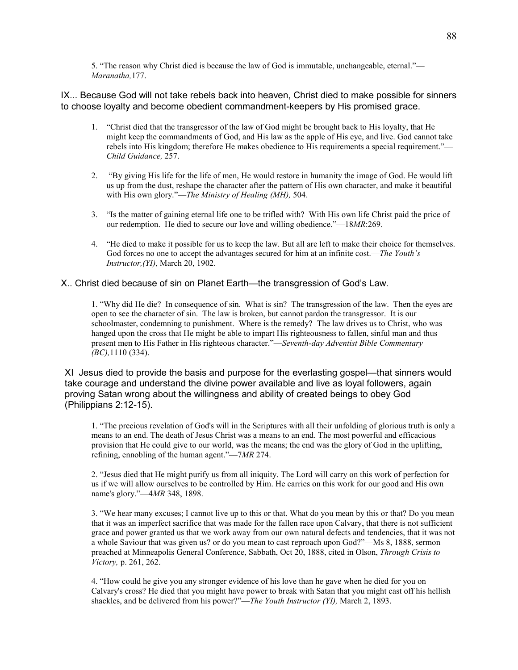5. "The reason why Christ died is because the law of God is immutable, unchangeable, eternal."— Maranatha,177.

IX... Because God will not take rebels back into heaven, Christ died to make possible for sinners to choose loyalty and become obedient commandment-keepers by His promised grace.

- 1. "Christ died that the transgressor of the law of God might be brought back to His loyalty, that He might keep the commandments of God, and His law as the apple of His eye, and live. God cannot take rebels into His kingdom; therefore He makes obedience to His requirements a special requirement."— Child Guidance, 257.
- 2. "By giving His life for the life of men, He would restore in humanity the image of God. He would lift us up from the dust, reshape the character after the pattern of His own character, and make it beautiful with His own glory."—The Ministry of Healing (MH), 504.
- 3. "Is the matter of gaining eternal life one to be trifled with? With His own life Christ paid the price of our redemption. He died to secure our love and willing obedience."—18MR:269.
- 4. "He died to make it possible for us to keep the law. But all are left to make their choice for themselves. God forces no one to accept the advantages secured for him at an infinite cost.—The Youth's Instructor,(YI), March 20, 1902.

#### X.. Christ died because of sin on Planet Earth—the transgression of God's Law.

1. "Why did He die? In consequence of sin. What is sin? The transgression of the law. Then the eyes are open to see the character of sin. The law is broken, but cannot pardon the transgressor. It is our schoolmaster, condemning to punishment. Where is the remedy? The law drives us to Christ, who was hanged upon the cross that He might be able to impart His righteousness to fallen, sinful man and thus present men to His Father in His righteous character."—Seventh-day Adventist Bible Commentary (BC),1110 (334).

XI Jesus died to provide the basis and purpose for the everlasting gospel—that sinners would take courage and understand the divine power available and live as loyal followers, again proving Satan wrong about the willingness and ability of created beings to obey God (Philippians 2:12-15).

1. "The precious revelation of God's will in the Scriptures with all their unfolding of glorious truth is only a means to an end. The death of Jesus Christ was a means to an end. The most powerful and efficacious provision that He could give to our world, was the means; the end was the glory of God in the uplifting, refining, ennobling of the human agent."—7MR 274.

2. "Jesus died that He might purify us from all iniquity. The Lord will carry on this work of perfection for us if we will allow ourselves to be controlled by Him. He carries on this work for our good and His own name's glory."—4MR 348, 1898.

3. "We hear many excuses; I cannot live up to this or that. What do you mean by this or that? Do you mean that it was an imperfect sacrifice that was made for the fallen race upon Calvary, that there is not sufficient grace and power granted us that we work away from our own natural defects and tendencies, that it was not a whole Saviour that was given us? or do you mean to cast reproach upon God?"—Ms 8, 1888, sermon preached at Minneapolis General Conference, Sabbath, Oct 20, 1888, cited in Olson, Through Crisis to Victory, p. 261, 262.

4. "How could he give you any stronger evidence of his love than he gave when he died for you on Calvary's cross? He died that you might have power to break with Satan that you might cast off his hellish shackles, and be delivered from his power?"—The Youth Instructor (YI), March 2, 1893.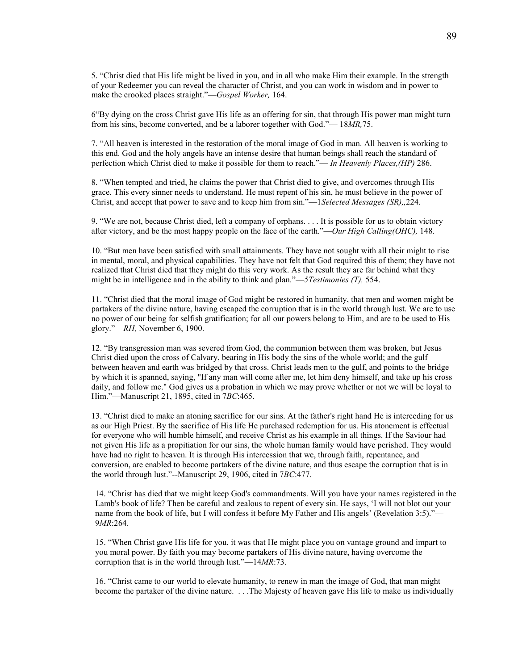5. "Christ died that His life might be lived in you, and in all who make Him their example. In the strength of your Redeemer you can reveal the character of Christ, and you can work in wisdom and in power to make the crooked places straight."—Gospel Worker, 164.

 6"By dying on the cross Christ gave His life as an offering for sin, that through His power man might turn from his sins, become converted, and be a laborer together with God."— 18MR,75.

 7. "All heaven is interested in the restoration of the moral image of God in man. All heaven is working to this end. God and the holy angels have an intense desire that human beings shall reach the standard of perfection which Christ died to make it possible for them to reach."— In Heavenly Places,(HP) 286.

 8. "When tempted and tried, he claims the power that Christ died to give, and overcomes through His grace. This every sinner needs to understand. He must repent of his sin, he must believe in the power of Christ, and accept that power to save and to keep him from sin."—1Selected Messages (SR),,224.

9. "We are not, because Christ died, left a company of orphans. . . . It is possible for us to obtain victory after victory, and be the most happy people on the face of the earth."—Our High Calling(OHC), 148.

10. "But men have been satisfied with small attainments. They have not sought with all their might to rise in mental, moral, and physical capabilities. They have not felt that God required this of them; they have not realized that Christ died that they might do this very work. As the result they are far behind what they might be in intelligence and in the ability to think and plan."— $5Test$  imonies (T), 554.

11. "Christ died that the moral image of God might be restored in humanity, that men and women might be partakers of the divine nature, having escaped the corruption that is in the world through lust. We are to use no power of our being for selfish gratification; for all our powers belong to Him, and are to be used to His glory."—RH, November 6, 1900.

12. "By transgression man was severed from God, the communion between them was broken, but Jesus Christ died upon the cross of Calvary, bearing in His body the sins of the whole world; and the gulf between heaven and earth was bridged by that cross. Christ leads men to the gulf, and points to the bridge by which it is spanned, saying, "If any man will come after me, let him deny himself, and take up his cross daily, and follow me." God gives us a probation in which we may prove whether or not we will be loyal to Him."—Manuscript 21, 1895, cited in 7BC:465.

13. "Christ died to make an atoning sacrifice for our sins. At the father's right hand He is interceding for us as our High Priest. By the sacrifice of His life He purchased redemption for us. His atonement is effectual for everyone who will humble himself, and receive Christ as his example in all things. If the Saviour had not given His life as a propitiation for our sins, the whole human family would have perished. They would have had no right to heaven. It is through His intercession that we, through faith, repentance, and conversion, are enabled to become partakers of the divine nature, and thus escape the corruption that is in the world through lust."--Manuscript 29, 1906, cited in 7BC:477.

14. "Christ has died that we might keep God's commandments. Will you have your names registered in the Lamb's book of life? Then be careful and zealous to repent of every sin. He says, 'I will not blot out your name from the book of life, but I will confess it before My Father and His angels' (Revelation 3:5)."— 9MR:264.

15. "When Christ gave His life for you, it was that He might place you on vantage ground and impart to you moral power. By faith you may become partakers of His divine nature, having overcome the corruption that is in the world through lust."—14MR:73.

16. "Christ came to our world to elevate humanity, to renew in man the image of God, that man might become the partaker of the divine nature. . . .The Majesty of heaven gave His life to make us individually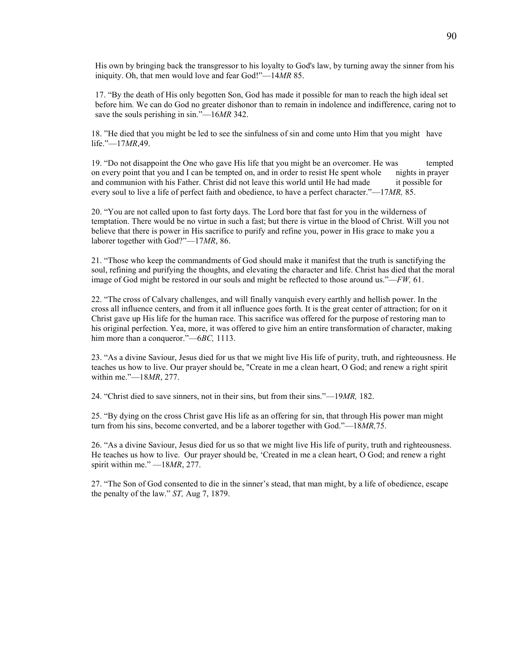His own by bringing back the transgressor to his loyalty to God's law, by turning away the sinner from his iniquity. Oh, that men would love and fear God!"—14MR 85.

17. "By the death of His only begotten Son, God has made it possible for man to reach the high ideal set before him. We can do God no greater dishonor than to remain in indolence and indifference, caring not to save the souls perishing in sin."—16*MR* 342.

18. "He died that you might be led to see the sinfulness of sin and come unto Him that you might have life."—17MR,49.

19. "Do not disappoint the One who gave His life that you might be an overcomer. He was tempted on every point that you and I can be tempted on, and in order to resist He spent whole nights in prayer and communion with his Father. Christ did not leave this world until He had made it possible for every soul to live a life of perfect faith and obedience, to have a perfect character."—17MR, 85.

20. "You are not called upon to fast forty days. The Lord bore that fast for you in the wilderness of temptation. There would be no virtue in such a fast; but there is virtue in the blood of Christ. Will you not believe that there is power in His sacrifice to purify and refine you, power in His grace to make you a laborer together with God?"—17MR, 86.

21. "Those who keep the commandments of God should make it manifest that the truth is sanctifying the soul, refining and purifying the thoughts, and elevating the character and life. Christ has died that the moral image of God might be restored in our souls and might be reflected to those around us."— $FW$ , 61.

22. "The cross of Calvary challenges, and will finally vanquish every earthly and hellish power. In the cross all influence centers, and from it all influence goes forth. It is the great center of attraction; for on it Christ gave up His life for the human race. This sacrifice was offered for the purpose of restoring man to his original perfection. Yea, more, it was offered to give him an entire transformation of character, making him more than a conqueror."—6BC, 1113.

23. "As a divine Saviour, Jesus died for us that we might live His life of purity, truth, and righteousness. He teaches us how to live. Our prayer should be, "Create in me a clean heart, O God; and renew a right spirit within me."—18MR, 277.

24. "Christ died to save sinners, not in their sins, but from their sins."—19MR, 182.

 25. "By dying on the cross Christ gave His life as an offering for sin, that through His power man might turn from his sins, become converted, and be a laborer together with God."—18MR,75.

26. "As a divine Saviour, Jesus died for us so that we might live His life of purity, truth and righteousness. He teaches us how to live. Our prayer should be, 'Created in me a clean heart, O God; and renew a right spirit within me." -18MR, 277.

27. "The Son of God consented to die in the sinner's stead, that man might, by a life of obedience, escape the penalty of the law." ST, Aug 7, 1879.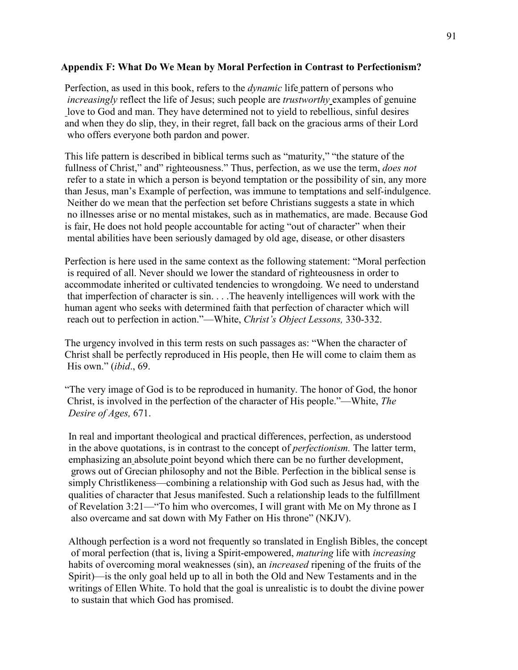# Appendix F: What Do We Mean by Moral Perfection in Contrast to Perfectionism?

 Perfection, as used in this book, refers to the dynamic life pattern of persons who increasingly reflect the life of Jesus; such people are *trustworthy* examples of genuine love to God and man. They have determined not to yield to rebellious, sinful desires and when they do slip, they, in their regret, fall back on the gracious arms of their Lord who offers everyone both pardon and power.

This life pattern is described in biblical terms such as "maturity," "the stature of the fullness of Christ," and" righteousness." Thus, perfection, as we use the term, *does not*  refer to a state in which a person is beyond temptation or the possibility of sin, any more than Jesus, man's Example of perfection, was immune to temptations and self-indulgence. Neither do we mean that the perfection set before Christians suggests a state in which no illnesses arise or no mental mistakes, such as in mathematics, are made. Because God is fair, He does not hold people accountable for acting "out of character" when their mental abilities have been seriously damaged by old age, disease, or other disasters

 Perfection is here used in the same context as the following statement: "Moral perfection is required of all. Never should we lower the standard of righteousness in order to accommodate inherited or cultivated tendencies to wrongdoing. We need to understand that imperfection of character is sin. . . .The heavenly intelligences will work with the human agent who seeks with determined faith that perfection of character which will reach out to perfection in action."—White, Christ's Object Lessons, 330-332.

 The urgency involved in this term rests on such passages as: "When the character of Christ shall be perfectly reproduced in His people, then He will come to claim them as His own." (ibid., 69.

 "The very image of God is to be reproduced in humanity. The honor of God, the honor Christ, is involved in the perfection of the character of His people."—White, The Desire of Ages, 671.

 In real and important theological and practical differences, perfection, as understood in the above quotations, is in contrast to the concept of perfectionism. The latter term, emphasizing an absolute point beyond which there can be no further development, grows out of Grecian philosophy and not the Bible. Perfection in the biblical sense is simply Christlikeness—combining a relationship with God such as Jesus had, with the qualities of character that Jesus manifested. Such a relationship leads to the fulfillment of Revelation 3:21—"To him who overcomes, I will grant with Me on My throne as I also overcame and sat down with My Father on His throne" (NKJV).

 Although perfection is a word not frequently so translated in English Bibles, the concept of moral perfection (that is, living a Spirit-empowered, maturing life with increasing habits of overcoming moral weaknesses (sin), an *increased* ripening of the fruits of the Spirit)—is the only goal held up to all in both the Old and New Testaments and in the writings of Ellen White. To hold that the goal is unrealistic is to doubt the divine power to sustain that which God has promised.